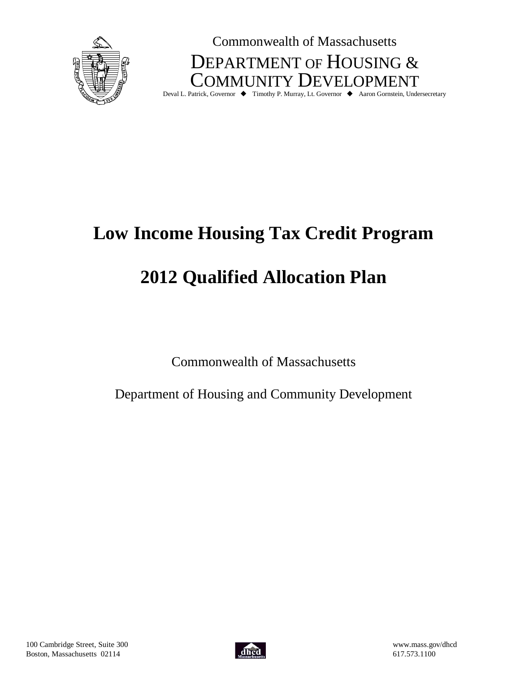

Commonwealth of Massachusetts DEPARTMENT OF HOUSING & COMMUNITY DEVELOPMENT

Deval L. Patrick, Governor ♦ Timothy P. Murray, Lt. Governor ♦ Aaron Gornstein, Undersecretary

# **Low Income Housing Tax Credit Program**

# **2012 Qualified Allocation Plan**

Commonwealth of Massachusetts

Department of Housing and Community Development

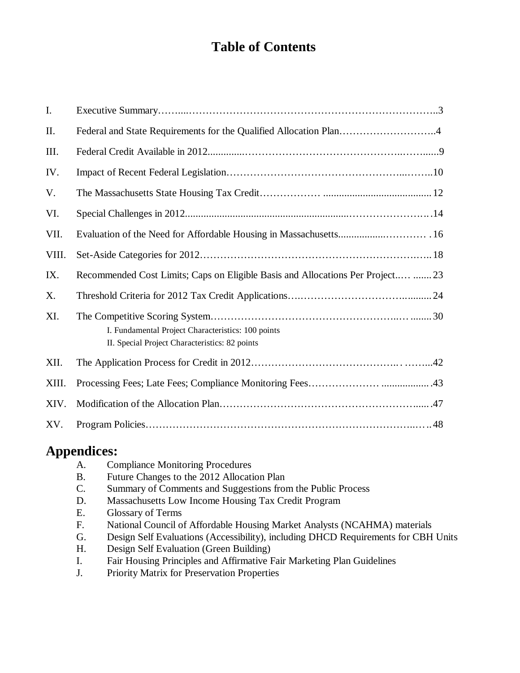## **Table of Contents**

| I.    |                                                                                                      |
|-------|------------------------------------------------------------------------------------------------------|
| II.   | Federal and State Requirements for the Qualified Allocation Plan4                                    |
| III.  |                                                                                                      |
| IV.   |                                                                                                      |
| V.    |                                                                                                      |
| VI.   |                                                                                                      |
| VII.  |                                                                                                      |
| VIII. |                                                                                                      |
| IX.   | Recommended Cost Limits; Caps on Eligible Basis and Allocations Per Project  23                      |
| X.    |                                                                                                      |
| XI.   | I. Fundamental Project Characteristics: 100 points<br>II. Special Project Characteristics: 82 points |
| XII.  |                                                                                                      |
| XIII. |                                                                                                      |
| XIV.  |                                                                                                      |
| XV.   |                                                                                                      |

## **Appendices:**

| A.             | <b>Compliance Monitoring Procedures</b>                                            |
|----------------|------------------------------------------------------------------------------------|
| <b>B.</b>      | Future Changes to the 2012 Allocation Plan                                         |
| $\mathbf{C}$ . | Summary of Comments and Suggestions from the Public Process                        |
| D.             | Massachusetts Low Income Housing Tax Credit Program                                |
| Ε.             | <b>Glossary of Terms</b>                                                           |
| $F_{\cdot}$    | National Council of Affordable Housing Market Analysts (NCAHMA) materials          |
| G.             | Design Self Evaluations (Accessibility), including DHCD Requirements for CBH Units |
| H.             | Design Self Evaluation (Green Building)                                            |
| Ι.             | Fair Housing Principles and Affirmative Fair Marketing Plan Guidelines             |
| $\mathbf{r}$   | n''un''c n''n                                                                      |

J. Priority Matrix for Preservation Properties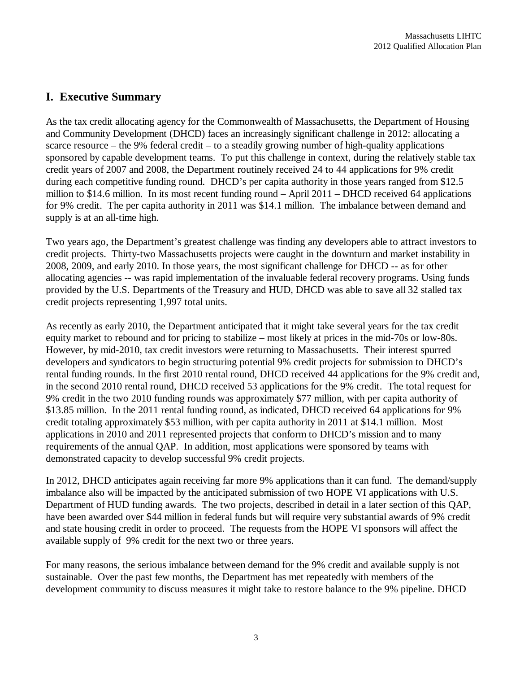## **I. Executive Summary**

As the tax credit allocating agency for the Commonwealth of Massachusetts, the Department of Housing and Community Development (DHCD) faces an increasingly significant challenge in 2012: allocating a scarce resource – the 9% federal credit – to a steadily growing number of high-quality applications sponsored by capable development teams. To put this challenge in context, during the relatively stable tax credit years of 2007 and 2008, the Department routinely received 24 to 44 applications for 9% credit during each competitive funding round. DHCD's per capita authority in those years ranged from \$12.5 million to \$14.6 million.In its most recent funding round – April 2011 – DHCD received 64 applications for 9% credit. The per capita authority in 2011 was \$14.1 million. The imbalance between demand and supply is at an all-time high.

Two years ago, the Department's greatest challenge was finding any developers able to attract investors to credit projects. Thirty-two Massachusetts projects were caught in the downturn and market instability in 2008, 2009, and early 2010. In those years, the most significant challenge for DHCD -- as for other allocating agencies -- was rapid implementation of the invaluable federal recovery programs. Using funds provided by the U.S. Departments of the Treasury and HUD, DHCD was able to save all 32 stalled tax credit projects representing 1,997 total units.

As recently as early 2010, the Department anticipated that it might take several years for the tax credit equity market to rebound and for pricing to stabilize – most likely at prices in the mid-70s or low-80s. However, by mid-2010, tax credit investors were returning to Massachusetts. Their interest spurred developers and syndicators to begin structuring potential 9% credit projects for submission to DHCD's rental funding rounds. In the first 2010 rental round, DHCD received 44 applications for the 9% credit and, in the second 2010 rental round, DHCD received 53 applications for the 9% credit. The total request for 9% credit in the two 2010 funding rounds was approximately \$77 million, with per capita authority of \$13.85 million. In the 2011 rental funding round, as indicated, DHCD received 64 applications for 9% credit totaling approximately \$53 million, with per capita authority in 2011 at \$14.1 million. Most applications in 2010 and 2011 represented projects that conform to DHCD's mission and to many requirements of the annual QAP. In addition, most applications were sponsored by teams with demonstrated capacity to develop successful 9% credit projects.

In 2012, DHCD anticipates again receiving far more 9% applications than it can fund. The demand/supply imbalance also will be impacted by the anticipated submission of two HOPE VI applications with U.S. Department of HUD funding awards. The two projects, described in detail in a later section of this QAP, have been awarded over \$44 million in federal funds but will require very substantial awards of 9% credit and state housing credit in order to proceed. The requests from the HOPE VI sponsors will affect the available supply of 9% credit for the next two or three years.

For many reasons, the serious imbalance between demand for the 9% credit and available supply is not sustainable. Over the past few months, the Department has met repeatedly with members of the development community to discuss measures it might take to restore balance to the 9% pipeline. DHCD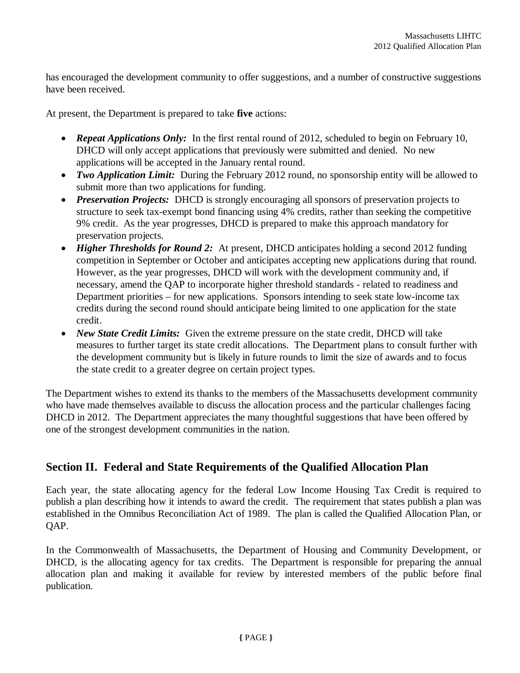has encouraged the development community to offer suggestions, and a number of constructive suggestions have been received.

At present, the Department is prepared to take **five** actions:

- Repeat Applications Only: In the first rental round of 2012, scheduled to begin on February 10, DHCD will only accept applications that previously were submitted and denied. No new applications will be accepted in the January rental round.
- Two Application Limit: During the February 2012 round, no sponsorship entity will be allowed to submit more than two applications for funding.
- *Preservation Projects:* DHCD is strongly encouraging all sponsors of preservation projects to structure to seek tax-exempt bond financing using 4% credits, rather than seeking the competitive 9% credit. As the year progresses, DHCD is prepared to make this approach mandatory for preservation projects.
- *Higher Thresholds for Round 2:* At present, DHCD anticipates holding a second 2012 funding competition in September or October and anticipates accepting new applications during that round. However, as the year progresses, DHCD will work with the development community and, if necessary, amend the QAP to incorporate higher threshold standards - related to readiness and Department priorities – for new applications. Sponsors intending to seek state low-income tax credits during the second round should anticipate being limited to one application for the state credit.
- *New State Credit Limits:* Given the extreme pressure on the state credit, DHCD will take measures to further target its state credit allocations. The Department plans to consult further with the development community but is likely in future rounds to limit the size of awards and to focus the state credit to a greater degree on certain project types.

The Department wishes to extend its thanks to the members of the Massachusetts development community who have made themselves available to discuss the allocation process and the particular challenges facing DHCD in 2012. The Department appreciates the many thoughtful suggestions that have been offered by one of the strongest development communities in the nation.

## **Section II. Federal and State Requirements of the Qualified Allocation Plan**

Each year, the state allocating agency for the federal Low Income Housing Tax Credit is required to publish a plan describing how it intends to award the credit. The requirement that states publish a plan was established in the Omnibus Reconciliation Act of 1989. The plan is called the Qualified Allocation Plan, or QAP.

In the Commonwealth of Massachusetts, the Department of Housing and Community Development, or DHCD, is the allocating agency for tax credits. The Department is responsible for preparing the annual allocation plan and making it available for review by interested members of the public before final publication.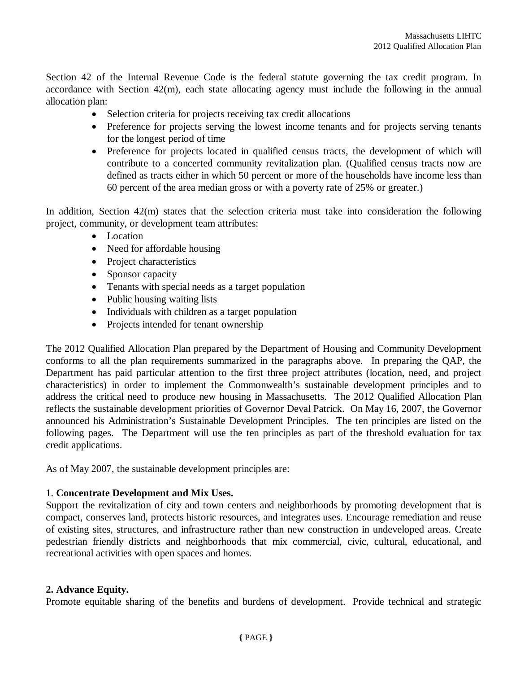Section 42 of the Internal Revenue Code is the federal statute governing the tax credit program. In accordance with Section 42(m), each state allocating agency must include the following in the annual allocation plan:

- Selection criteria for projects receiving tax credit allocations
- Preference for projects serving the lowest income tenants and for projects serving tenants for the longest period of time
- Preference for projects located in qualified census tracts, the development of which will contribute to a concerted community revitalization plan. (Qualified census tracts now are defined as tracts either in which 50 percent or more of the households have income less than 60 percent of the area median gross or with a poverty rate of 25% or greater.)

In addition, Section 42(m) states that the selection criteria must take into consideration the following project, community, or development team attributes:

- Location
- Need for affordable housing
- Project characteristics
- Sponsor capacity
- Tenants with special needs as a target population
- Public housing waiting lists
- Individuals with children as a target population
- Projects intended for tenant ownership

The 2012 Qualified Allocation Plan prepared by the Department of Housing and Community Development conforms to all the plan requirements summarized in the paragraphs above. In preparing the QAP, the Department has paid particular attention to the first three project attributes (location, need, and project characteristics) in order to implement the Commonwealth's sustainable development principles and to address the critical need to produce new housing in Massachusetts. The 2012 Qualified Allocation Plan reflects the sustainable development priorities of Governor Deval Patrick. On May 16, 2007, the Governor announced his Administration's Sustainable Development Principles. The ten principles are listed on the following pages. The Department will use the ten principles as part of the threshold evaluation for tax credit applications.

As of May 2007, the sustainable development principles are:

#### 1. **Concentrate Development and Mix Uses.**

Support the revitalization of city and town centers and neighborhoods by promoting development that is compact, conserves land, protects historic resources, and integrates uses. Encourage remediation and reuse of existing sites, structures, and infrastructure rather than new construction in undeveloped areas. Create pedestrian friendly districts and neighborhoods that mix commercial, civic, cultural, educational, and recreational activities with open spaces and homes.

#### **2. Advance Equity.**

Promote equitable sharing of the benefits and burdens of development. Provide technical and strategic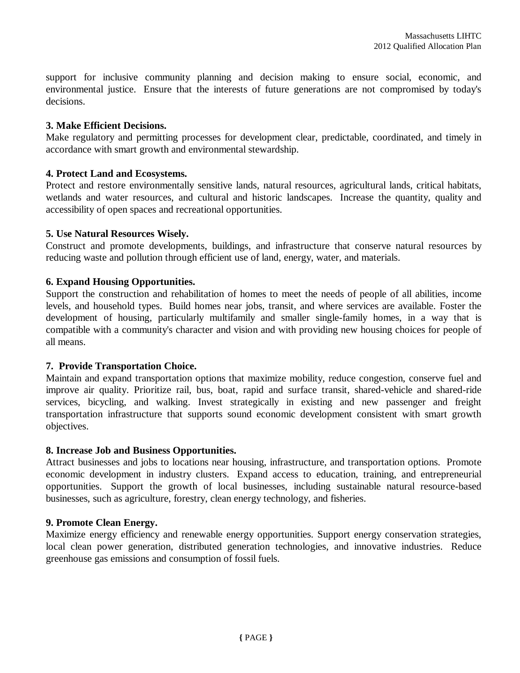support for inclusive community planning and decision making to ensure social, economic, and environmental justice. Ensure that the interests of future generations are not compromised by today's decisions.

#### **3. Make Efficient Decisions.**

Make regulatory and permitting processes for development clear, predictable, coordinated, and timely in accordance with smart growth and environmental stewardship.

#### **4. Protect Land and Ecosystems.**

Protect and restore environmentally sensitive lands, natural resources, agricultural lands, critical habitats, wetlands and water resources, and cultural and historic landscapes. Increase the quantity, quality and accessibility of open spaces and recreational opportunities.

#### **5. Use Natural Resources Wisely.**

Construct and promote developments, buildings, and infrastructure that conserve natural resources by reducing waste and pollution through efficient use of land, energy, water, and materials.

#### **6. Expand Housing Opportunities.**

Support the construction and rehabilitation of homes to meet the needs of people of all abilities, income levels, and household types. Build homes near jobs, transit, and where services are available. Foster the development of housing, particularly multifamily and smaller single-family homes, in a way that is compatible with a community's character and vision and with providing new housing choices for people of all means.

#### **7. Provide Transportation Choice.**

Maintain and expand transportation options that maximize mobility, reduce congestion, conserve fuel and improve air quality. Prioritize rail, bus, boat, rapid and surface transit, shared-vehicle and shared-ride services, bicycling, and walking. Invest strategically in existing and new passenger and freight transportation infrastructure that supports sound economic development consistent with smart growth objectives.

#### **8. Increase Job and Business Opportunities.**

Attract businesses and jobs to locations near housing, infrastructure, and transportation options. Promote economic development in industry clusters. Expand access to education, training, and entrepreneurial opportunities. Support the growth of local businesses, including sustainable natural resource-based businesses, such as agriculture, forestry, clean energy technology, and fisheries.

#### **9. Promote Clean Energy.**

Maximize energy efficiency and renewable energy opportunities. Support energy conservation strategies, local clean power generation, distributed generation technologies, and innovative industries. Reduce greenhouse gas emissions and consumption of fossil fuels.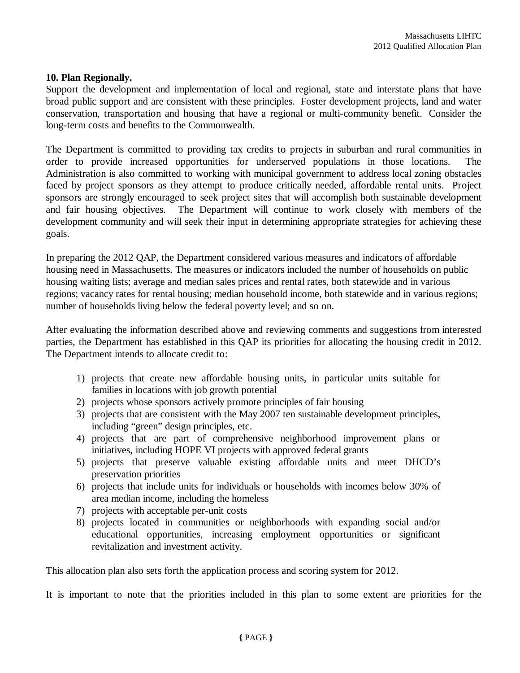#### **10. Plan Regionally.**

Support the development and implementation of local and regional, state and interstate plans that have broad public support and are consistent with these principles. Foster development projects, land and water conservation, transportation and housing that have a regional or multi-community benefit. Consider the long-term costs and benefits to the Commonwealth.

The Department is committed to providing tax credits to projects in suburban and rural communities in order to provide increased opportunities for underserved populations in those locations. The Administration is also committed to working with municipal government to address local zoning obstacles faced by project sponsors as they attempt to produce critically needed, affordable rental units. Project sponsors are strongly encouraged to seek project sites that will accomplish both sustainable development and fair housing objectives. The Department will continue to work closely with members of the development community and will seek their input in determining appropriate strategies for achieving these goals.

In preparing the 2012 QAP, the Department considered various measures and indicators of affordable housing need in Massachusetts. The measures or indicators included the number of households on public housing waiting lists; average and median sales prices and rental rates, both statewide and in various regions; vacancy rates for rental housing; median household income, both statewide and in various regions; number of households living below the federal poverty level; and so on.

After evaluating the information described above and reviewing comments and suggestions from interested parties, the Department has established in this QAP its priorities for allocating the housing credit in 2012. The Department intends to allocate credit to:

- 1) projects that create new affordable housing units, in particular units suitable for families in locations with job growth potential
- 2) projects whose sponsors actively promote principles of fair housing
- 3) projects that are consistent with the May 2007 ten sustainable development principles, including "green" design principles, etc.
- 4) projects that are part of comprehensive neighborhood improvement plans or initiatives, including HOPE VI projects with approved federal grants
- 5) projects that preserve valuable existing affordable units and meet DHCD's preservation priorities
- 6) projects that include units for individuals or households with incomes below 30% of area median income, including the homeless
- 7) projects with acceptable per-unit costs
- 8) projects located in communities or neighborhoods with expanding social and/or educational opportunities, increasing employment opportunities or significant revitalization and investment activity.

This allocation plan also sets forth the application process and scoring system for 2012.

It is important to note that the priorities included in this plan to some extent are priorities for the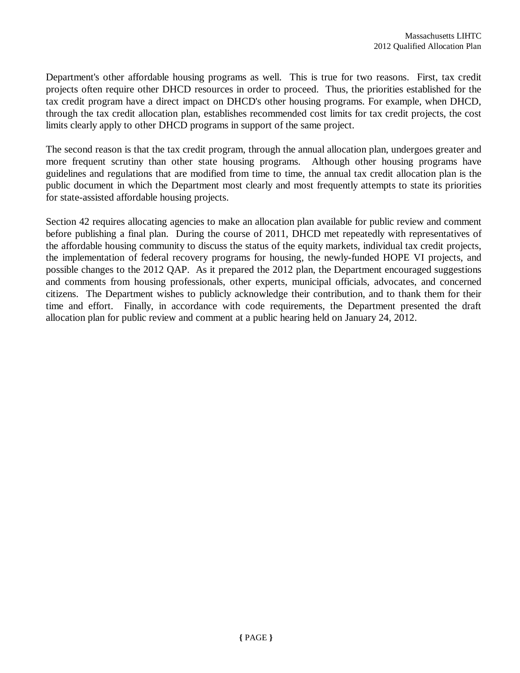Department's other affordable housing programs as well. This is true for two reasons. First, tax credit projects often require other DHCD resources in order to proceed. Thus, the priorities established for the tax credit program have a direct impact on DHCD's other housing programs. For example, when DHCD, through the tax credit allocation plan, establishes recommended cost limits for tax credit projects, the cost limits clearly apply to other DHCD programs in support of the same project.

The second reason is that the tax credit program, through the annual allocation plan, undergoes greater and more frequent scrutiny than other state housing programs. Although other housing programs have guidelines and regulations that are modified from time to time, the annual tax credit allocation plan is the public document in which the Department most clearly and most frequently attempts to state its priorities for state-assisted affordable housing projects.

Section 42 requires allocating agencies to make an allocation plan available for public review and comment before publishing a final plan. During the course of 2011, DHCD met repeatedly with representatives of the affordable housing community to discuss the status of the equity markets, individual tax credit projects, the implementation of federal recovery programs for housing, the newly-funded HOPE VI projects, and possible changes to the 2012 QAP. As it prepared the 2012 plan, the Department encouraged suggestions and comments from housing professionals, other experts, municipal officials, advocates, and concerned citizens. The Department wishes to publicly acknowledge their contribution, and to thank them for their time and effort. Finally, in accordance with code requirements, the Department presented the draft allocation plan for public review and comment at a public hearing held on January 24, 2012.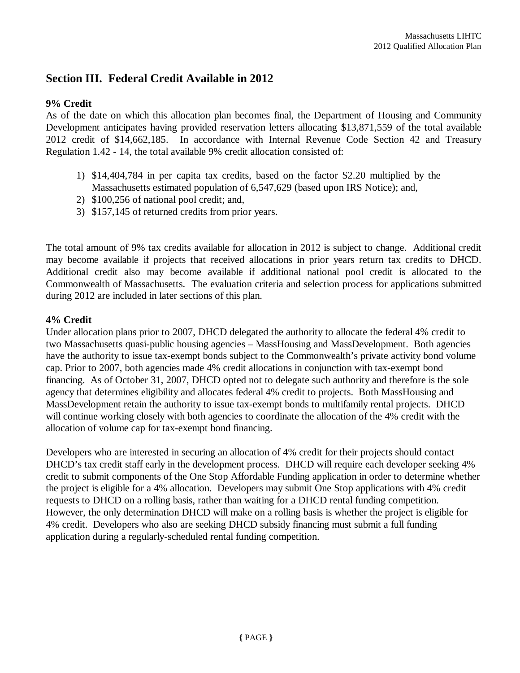## **Section III. Federal Credit Available in 2012**

#### **9% Credit**

As of the date on which this allocation plan becomes final, the Department of Housing and Community Development anticipates having provided reservation letters allocating \$13,871,559 of the total available 2012 credit of \$14,662,185. In accordance with Internal Revenue Code Section 42 and Treasury Regulation 1.42 - 14, the total available 9% credit allocation consisted of:

- 1) \$14,404,784 in per capita tax credits, based on the factor \$2.20 multiplied by the Massachusetts estimated population of 6,547,629 (based upon IRS Notice); and,
- 2) \$100,256 of national pool credit; and,
- 3) \$157,145 of returned credits from prior years.

The total amount of 9% tax credits available for allocation in 2012 is subject to change. Additional credit may become available if projects that received allocations in prior years return tax credits to DHCD. Additional credit also may become available if additional national pool credit is allocated to the Commonwealth of Massachusetts. The evaluation criteria and selection process for applications submitted during 2012 are included in later sections of this plan.

#### **4% Credit**

Under allocation plans prior to 2007, DHCD delegated the authority to allocate the federal 4% credit to two Massachusetts quasi-public housing agencies – MassHousing and MassDevelopment. Both agencies have the authority to issue tax-exempt bonds subject to the Commonwealth's private activity bond volume cap. Prior to 2007, both agencies made 4% credit allocations in conjunction with tax-exempt bond financing. As of October 31, 2007, DHCD opted not to delegate such authority and therefore is the sole agency that determines eligibility and allocates federal 4% credit to projects. Both MassHousing and MassDevelopment retain the authority to issue tax-exempt bonds to multifamily rental projects. DHCD will continue working closely with both agencies to coordinate the allocation of the 4% credit with the allocation of volume cap for tax-exempt bond financing.

Developers who are interested in securing an allocation of 4% credit for their projects should contact DHCD's tax credit staff early in the development process. DHCD will require each developer seeking 4% credit to submit components of the One Stop Affordable Funding application in order to determine whether the project is eligible for a 4% allocation. Developers may submit One Stop applications with 4% credit requests to DHCD on a rolling basis, rather than waiting for a DHCD rental funding competition. However, the only determination DHCD will make on a rolling basis is whether the project is eligible for 4% credit. Developers who also are seeking DHCD subsidy financing must submit a full funding application during a regularly-scheduled rental funding competition.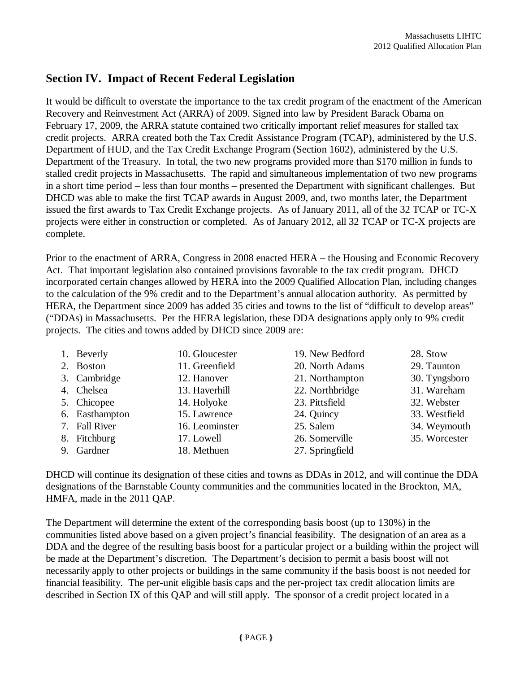## **Section IV. Impact of Recent Federal Legislation**

It would be difficult to overstate the importance to the tax credit program of the enactment of the American Recovery and Reinvestment Act (ARRA) of 2009. Signed into law by President Barack Obama on February 17, 2009, the ARRA statute contained two critically important relief measures for stalled tax credit projects. ARRA created both the Tax Credit Assistance Program (TCAP), administered by the U.S. Department of HUD, and the Tax Credit Exchange Program (Section 1602), administered by the U.S. Department of the Treasury. In total, the two new programs provided more than \$170 million in funds to stalled credit projects in Massachusetts. The rapid and simultaneous implementation of two new programs in a short time period – less than four months – presented the Department with significant challenges. But DHCD was able to make the first TCAP awards in August 2009, and, two months later, the Department issued the first awards to Tax Credit Exchange projects. As of January 2011, all of the 32 TCAP or TC-X projects were either in construction or completed. As of January 2012, all 32 TCAP or TC-X projects are complete.

Prior to the enactment of ARRA, Congress in 2008 enacted HERA – the Housing and Economic Recovery Act. That important legislation also contained provisions favorable to the tax credit program. DHCD incorporated certain changes allowed by HERA into the 2009 Qualified Allocation Plan, including changes to the calculation of the 9% credit and to the Department's annual allocation authority. As permitted by HERA, the Department since 2009 has added 35 cities and towns to the list of "difficult to develop areas" ("DDAs) in Massachusetts. Per the HERA legislation, these DDA designations apply only to 9% credit projects. The cities and towns added by DHCD since 2009 are:

| 1. Beverly     | 10. Gloucester | 19. New Bedford | 28. Stow      |
|----------------|----------------|-----------------|---------------|
| 2. Boston      | 11. Greenfield | 20. North Adams | 29. Taunton   |
| 3. Cambridge   | 12. Hanover    | 21. Northampton | 30. Tyngsboro |
| 4. Chelsea     | 13. Haverhill  | 22. Northbridge | 31. Wareham   |
| 5. Chicopee    | 14. Holyoke    | 23. Pittsfield  | 32. Webster   |
| 6. Easthampton | 15. Lawrence   | 24. Quincy      | 33. Westfield |
| 7. Fall River  | 16. Leominster | 25. Salem       | 34. Weymouth  |
| 8. Fitchburg   | 17. Lowell     | 26. Somerville  | 35. Worcester |
| 9. Gardner     | 18. Methuen    | 27. Springfield |               |

DHCD will continue its designation of these cities and towns as DDAs in 2012, and will continue the DDA designations of the Barnstable County communities and the communities located in the Brockton, MA, HMFA, made in the 2011 QAP.

The Department will determine the extent of the corresponding basis boost (up to 130%) in the communities listed above based on a given project's financial feasibility. The designation of an area as a DDA and the degree of the resulting basis boost for a particular project or a building within the project will be made at the Department's discretion. The Department's decision to permit a basis boost will not necessarily apply to other projects or buildings in the same community if the basis boost is not needed for financial feasibility. The per-unit eligible basis caps and the per-project tax credit allocation limits are described in Section IX of this QAP and will still apply. The sponsor of a credit project located in a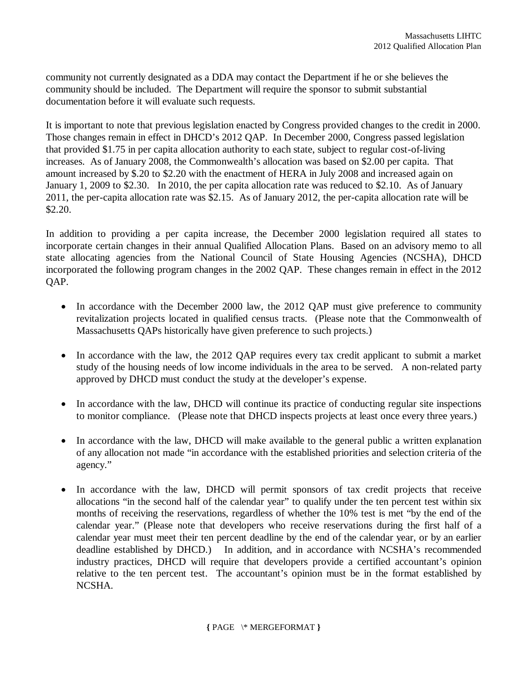community not currently designated as a DDA may contact the Department if he or she believes the community should be included. The Department will require the sponsor to submit substantial documentation before it will evaluate such requests.

It is important to note that previous legislation enacted by Congress provided changes to the credit in 2000. Those changes remain in effect in DHCD's 2012 QAP. In December 2000, Congress passed legislation that provided \$1.75 in per capita allocation authority to each state, subject to regular cost-of-living increases. As of January 2008, the Commonwealth's allocation was based on \$2.00 per capita. That amount increased by \$.20 to \$2.20 with the enactment of HERA in July 2008 and increased again on January 1, 2009 to \$2.30. In 2010, the per capita allocation rate was reduced to \$2.10. As of January 2011, the per-capita allocation rate was \$2.15. As of January 2012, the per-capita allocation rate will be \$2.20.

In addition to providing a per capita increase, the December 2000 legislation required all states to incorporate certain changes in their annual Qualified Allocation Plans. Based on an advisory memo to all state allocating agencies from the National Council of State Housing Agencies (NCSHA), DHCD incorporated the following program changes in the 2002 QAP. These changes remain in effect in the 2012 QAP.

- In accordance with the December 2000 law, the 2012 OAP must give preference to community revitalization projects located in qualified census tracts. (Please note that the Commonwealth of Massachusetts QAPs historically have given preference to such projects.)
- In accordance with the law, the 2012 QAP requires every tax credit applicant to submit a market study of the housing needs of low income individuals in the area to be served. A non-related party approved by DHCD must conduct the study at the developer's expense.
- In accordance with the law, DHCD will continue its practice of conducting regular site inspections to monitor compliance. (Please note that DHCD inspects projects at least once every three years.)
- In accordance with the law, DHCD will make available to the general public a written explanation of any allocation not made "in accordance with the established priorities and selection criteria of the agency."
- In accordance with the law, DHCD will permit sponsors of tax credit projects that receive allocations "in the second half of the calendar year" to qualify under the ten percent test within six months of receiving the reservations, regardless of whether the 10% test is met "by the end of the calendar year." (Please note that developers who receive reservations during the first half of a calendar year must meet their ten percent deadline by the end of the calendar year, or by an earlier deadline established by DHCD.) In addition, and in accordance with NCSHA's recommended industry practices, DHCD will require that developers provide a certified accountant's opinion relative to the ten percent test. The accountant's opinion must be in the format established by NCSHA.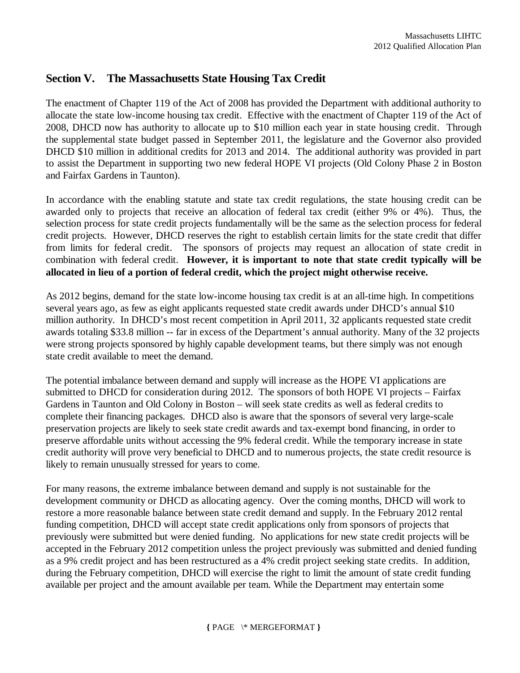## **Section V. The Massachusetts State Housing Tax Credit**

The enactment of Chapter 119 of the Act of 2008 has provided the Department with additional authority to allocate the state low-income housing tax credit. Effective with the enactment of Chapter 119 of the Act of 2008, DHCD now has authority to allocate up to \$10 million each year in state housing credit. Through the supplemental state budget passed in September 2011, the legislature and the Governor also provided DHCD \$10 million in additional credits for 2013 and 2014. The additional authority was provided in part to assist the Department in supporting two new federal HOPE VI projects (Old Colony Phase 2 in Boston and Fairfax Gardens in Taunton).

In accordance with the enabling statute and state tax credit regulations, the state housing credit can be awarded only to projects that receive an allocation of federal tax credit (either 9% or 4%). Thus, the selection process for state credit projects fundamentally will be the same as the selection process for federal credit projects. However, DHCD reserves the right to establish certain limits for the state credit that differ from limits for federal credit. The sponsors of projects may request an allocation of state credit in combination with federal credit. **However, it is important to note that state credit typically will be allocated in lieu of a portion of federal credit, which the project might otherwise receive.** 

As 2012 begins, demand for the state low-income housing tax credit is at an all-time high. In competitions several years ago, as few as eight applicants requested state credit awards under DHCD's annual \$10 million authority. In DHCD's most recent competition in April 2011, 32 applicants requested state credit awards totaling \$33.8 million -- far in excess of the Department's annual authority. Many of the 32 projects were strong projects sponsored by highly capable development teams, but there simply was not enough state credit available to meet the demand.

The potential imbalance between demand and supply will increase as the HOPE VI applications are submitted to DHCD for consideration during 2012. The sponsors of both HOPE VI projects – Fairfax Gardens in Taunton and Old Colony in Boston – will seek state credits as well as federal credits to complete their financing packages. DHCD also is aware that the sponsors of several very large-scale preservation projects are likely to seek state credit awards and tax-exempt bond financing, in order to preserve affordable units without accessing the 9% federal credit. While the temporary increase in state credit authority will prove very beneficial to DHCD and to numerous projects, the state credit resource is likely to remain unusually stressed for years to come.

For many reasons, the extreme imbalance between demand and supply is not sustainable for the development community or DHCD as allocating agency. Over the coming months, DHCD will work to restore a more reasonable balance between state credit demand and supply. In the February 2012 rental funding competition, DHCD will accept state credit applications only from sponsors of projects that previously were submitted but were denied funding. No applications for new state credit projects will be accepted in the February 2012 competition unless the project previously was submitted and denied funding as a 9% credit project and has been restructured as a 4% credit project seeking state credits. In addition, during the February competition, DHCD will exercise the right to limit the amount of state credit funding available per project and the amount available per team. While the Department may entertain some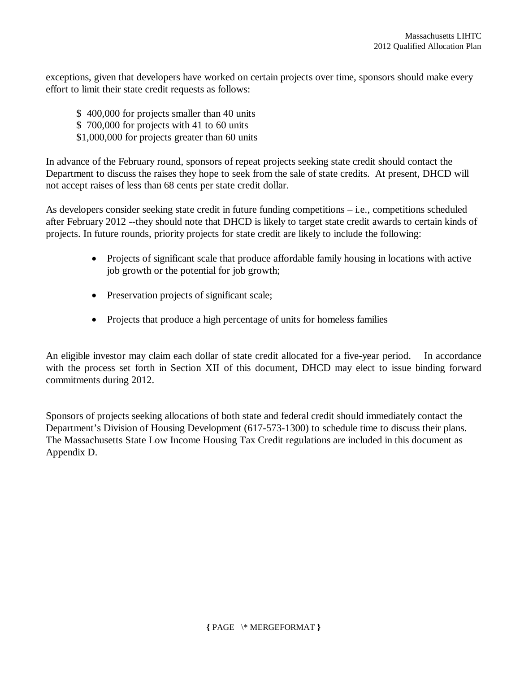exceptions, given that developers have worked on certain projects over time, sponsors should make every effort to limit their state credit requests as follows:

- \$ 400,000 for projects smaller than 40 units
- \$ 700,000 for projects with 41 to 60 units
- \$1,000,000 for projects greater than 60 units

In advance of the February round, sponsors of repeat projects seeking state credit should contact the Department to discuss the raises they hope to seek from the sale of state credits. At present, DHCD will not accept raises of less than 68 cents per state credit dollar.

As developers consider seeking state credit in future funding competitions – i.e., competitions scheduled after February 2012 --they should note that DHCD is likely to target state credit awards to certain kinds of projects. In future rounds, priority projects for state credit are likely to include the following:

- Projects of significant scale that produce affordable family housing in locations with active job growth or the potential for job growth;
- Preservation projects of significant scale;
- Projects that produce a high percentage of units for homeless families

An eligible investor may claim each dollar of state credit allocated for a five-year period. In accordance with the process set forth in Section XII of this document, DHCD may elect to issue binding forward commitments during 2012.

Sponsors of projects seeking allocations of both state and federal credit should immediately contact the Department's Division of Housing Development (617-573-1300) to schedule time to discuss their plans. The Massachusetts State Low Income Housing Tax Credit regulations are included in this document as Appendix D.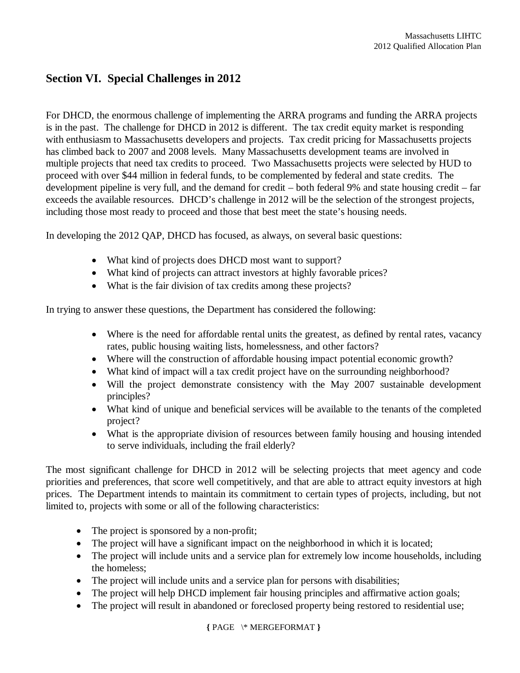## **Section VI. Special Challenges in 2012**

For DHCD, the enormous challenge of implementing the ARRA programs and funding the ARRA projects is in the past. The challenge for DHCD in 2012 is different. The tax credit equity market is responding with enthusiasm to Massachusetts developers and projects. Tax credit pricing for Massachusetts projects has climbed back to 2007 and 2008 levels. Many Massachusetts development teams are involved in multiple projects that need tax credits to proceed. Two Massachusetts projects were selected by HUD to proceed with over \$44 million in federal funds, to be complemented by federal and state credits. The development pipeline is very full, and the demand for credit – both federal 9% and state housing credit – far exceeds the available resources. DHCD's challenge in 2012 will be the selection of the strongest projects, including those most ready to proceed and those that best meet the state's housing needs.

In developing the 2012 QAP, DHCD has focused, as always, on several basic questions:

- What kind of projects does DHCD most want to support?
- What kind of projects can attract investors at highly favorable prices?
- What is the fair division of tax credits among these projects?

In trying to answer these questions, the Department has considered the following:

- Where is the need for affordable rental units the greatest, as defined by rental rates, vacancy rates, public housing waiting lists, homelessness, and other factors?
- Where will the construction of affordable housing impact potential economic growth?
- What kind of impact will a tax credit project have on the surrounding neighborhood?
- Will the project demonstrate consistency with the May 2007 sustainable development principles?
- What kind of unique and beneficial services will be available to the tenants of the completed project?
- What is the appropriate division of resources between family housing and housing intended to serve individuals, including the frail elderly?

The most significant challenge for DHCD in 2012 will be selecting projects that meet agency and code priorities and preferences, that score well competitively, and that are able to attract equity investors at high prices. The Department intends to maintain its commitment to certain types of projects, including, but not limited to, projects with some or all of the following characteristics:

- The project is sponsored by a non-profit;
- The project will have a significant impact on the neighborhood in which it is located;
- The project will include units and a service plan for extremely low income households, including the homeless;
- The project will include units and a service plan for persons with disabilities;
- The project will help DHCD implement fair housing principles and affirmative action goals;
- The project will result in abandoned or foreclosed property being restored to residential use;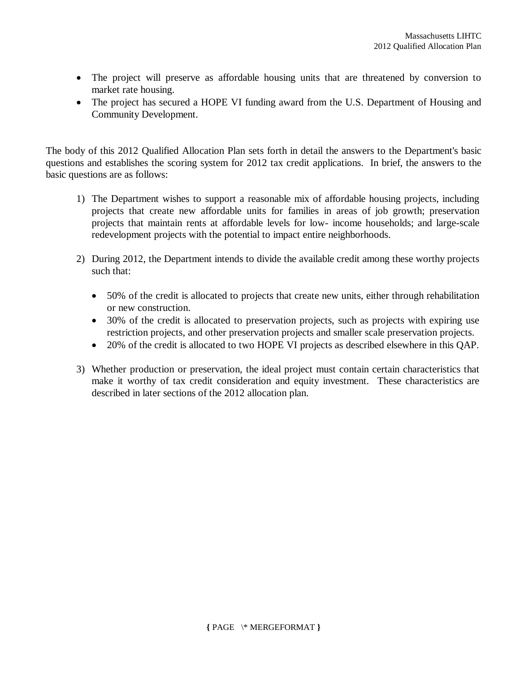- The project will preserve as affordable housing units that are threatened by conversion to market rate housing.
- The project has secured a HOPE VI funding award from the U.S. Department of Housing and Community Development.

The body of this 2012 Qualified Allocation Plan sets forth in detail the answers to the Department's basic questions and establishes the scoring system for 2012 tax credit applications. In brief, the answers to the basic questions are as follows:

- 1) The Department wishes to support a reasonable mix of affordable housing projects, including projects that create new affordable units for families in areas of job growth; preservation projects that maintain rents at affordable levels for low- income households; and large-scale redevelopment projects with the potential to impact entire neighborhoods.
- 2) During 2012, the Department intends to divide the available credit among these worthy projects such that:
	- 50% of the credit is allocated to projects that create new units, either through rehabilitation or new construction.
	- 30% of the credit is allocated to preservation projects, such as projects with expiring use restriction projects, and other preservation projects and smaller scale preservation projects.
	- 20% of the credit is allocated to two HOPE VI projects as described elsewhere in this QAP.
- 3) Whether production or preservation, the ideal project must contain certain characteristics that make it worthy of tax credit consideration and equity investment. These characteristics are described in later sections of the 2012 allocation plan.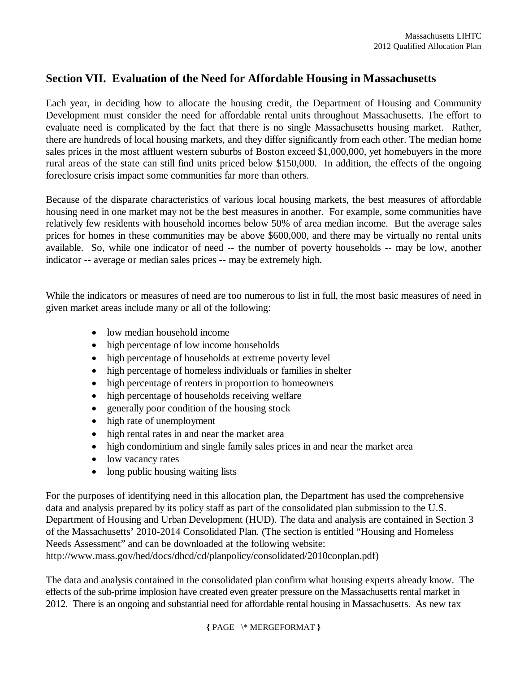## **Section VII. Evaluation of the Need for Affordable Housing in Massachusetts**

Each year, in deciding how to allocate the housing credit, the Department of Housing and Community Development must consider the need for affordable rental units throughout Massachusetts. The effort to evaluate need is complicated by the fact that there is no single Massachusetts housing market. Rather, there are hundreds of local housing markets, and they differ significantly from each other. The median home sales prices in the most affluent western suburbs of Boston exceed \$1,000,000, yet homebuyers in the more rural areas of the state can still find units priced below \$150,000. In addition, the effects of the ongoing foreclosure crisis impact some communities far more than others.

Because of the disparate characteristics of various local housing markets, the best measures of affordable housing need in one market may not be the best measures in another. For example, some communities have relatively few residents with household incomes below 50% of area median income. But the average sales prices for homes in these communities may be above \$600,000, and there may be virtually no rental units available. So, while one indicator of need -- the number of poverty households -- may be low, another indicator -- average or median sales prices -- may be extremely high.

While the indicators or measures of need are too numerous to list in full, the most basic measures of need in given market areas include many or all of the following:

- low median household income
- high percentage of low income households
- high percentage of households at extreme poverty level
- high percentage of homeless individuals or families in shelter
- high percentage of renters in proportion to homeowners
- high percentage of households receiving welfare
- generally poor condition of the housing stock
- high rate of unemployment
- high rental rates in and near the market area
- high condominium and single family sales prices in and near the market area
- low vacancy rates
- long public housing waiting lists

For the purposes of identifying need in this allocation plan, the Department has used the comprehensive data and analysis prepared by its policy staff as part of the consolidated plan submission to the U.S. Department of Housing and Urban Development (HUD). The data and analysis are contained in Section 3 of the Massachusetts' 2010-2014 Consolidated Plan. (The section is entitled "Housing and Homeless Needs Assessment" and can be downloaded at the following website: http://www.mass.gov/hed/docs/dhcd/cd/planpolicy/consolidated/2010conplan.pdf)

The data and analysis contained in the consolidated plan confirm what housing experts already know. The effects of the sub-prime implosion have created even greater pressure on the Massachusetts rental market in 2012. There is an ongoing and substantial need for affordable rental housing in Massachusetts. As new tax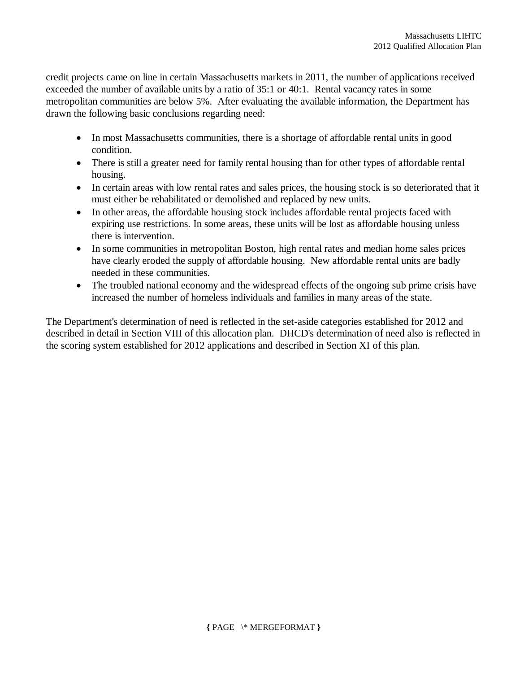credit projects came on line in certain Massachusetts markets in 2011, the number of applications received exceeded the number of available units by a ratio of 35:1 or 40:1. Rental vacancy rates in some metropolitan communities are below 5%. After evaluating the available information, the Department has drawn the following basic conclusions regarding need:

- In most Massachusetts communities, there is a shortage of affordable rental units in good condition.
- There is still a greater need for family rental housing than for other types of affordable rental housing.
- In certain areas with low rental rates and sales prices, the housing stock is so deteriorated that it must either be rehabilitated or demolished and replaced by new units.
- In other areas, the affordable housing stock includes affordable rental projects faced with expiring use restrictions. In some areas, these units will be lost as affordable housing unless there is intervention.
- In some communities in metropolitan Boston, high rental rates and median home sales prices have clearly eroded the supply of affordable housing. New affordable rental units are badly needed in these communities.
- The troubled national economy and the widespread effects of the ongoing sub prime crisis have increased the number of homeless individuals and families in many areas of the state.

The Department's determination of need is reflected in the set-aside categories established for 2012 and described in detail in Section VIII of this allocation plan. DHCD's determination of need also is reflected in the scoring system established for 2012 applications and described in Section XI of this plan.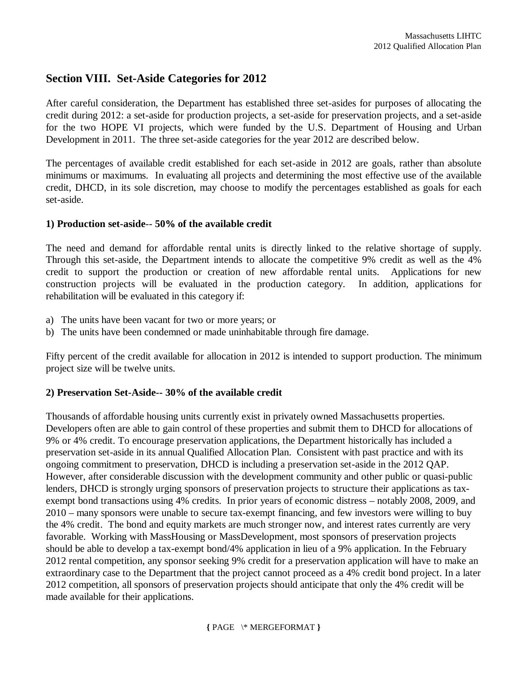## **Section VIII. Set-Aside Categories for 2012**

After careful consideration, the Department has established three set-asides for purposes of allocating the credit during 2012: a set-aside for production projects, a set-aside for preservation projects, and a set-aside for the two HOPE VI projects, which were funded by the U.S. Department of Housing and Urban Development in 2011. The three set-aside categories for the year 2012 are described below.

The percentages of available credit established for each set-aside in 2012 are goals, rather than absolute minimums or maximums. In evaluating all projects and determining the most effective use of the available credit, DHCD, in its sole discretion, may choose to modify the percentages established as goals for each set-aside.

#### **1) Production set-aside**-- **50% of the available credit**

The need and demand for affordable rental units is directly linked to the relative shortage of supply. Through this set-aside, the Department intends to allocate the competitive 9% credit as well as the 4% credit to support the production or creation of new affordable rental units. Applications for new construction projects will be evaluated in the production category. In addition, applications for rehabilitation will be evaluated in this category if:

- a) The units have been vacant for two or more years; or
- b) The units have been condemned or made uninhabitable through fire damage.

Fifty percent of the credit available for allocation in 2012 is intended to support production. The minimum project size will be twelve units.

#### **2) Preservation Set-Aside-- 30% of the available credit**

Thousands of affordable housing units currently exist in privately owned Massachusetts properties. Developers often are able to gain control of these properties and submit them to DHCD for allocations of 9% or 4% credit. To encourage preservation applications, the Department historically has included a preservation set-aside in its annual Qualified Allocation Plan. Consistent with past practice and with its ongoing commitment to preservation, DHCD is including a preservation set-aside in the 2012 QAP. However, after considerable discussion with the development community and other public or quasi-public lenders, DHCD is strongly urging sponsors of preservation projects to structure their applications as taxexempt bond transactions using 4% credits. In prior years of economic distress – notably 2008, 2009, and 2010 – many sponsors were unable to secure tax-exempt financing, and few investors were willing to buy the 4% credit. The bond and equity markets are much stronger now, and interest rates currently are very favorable. Working with MassHousing or MassDevelopment, most sponsors of preservation projects should be able to develop a tax-exempt bond/4% application in lieu of a 9% application. In the February 2012 rental competition, any sponsor seeking 9% credit for a preservation application will have to make an extraordinary case to the Department that the project cannot proceed as a 4% credit bond project. In a later 2012 competition, all sponsors of preservation projects should anticipate that only the 4% credit will be made available for their applications.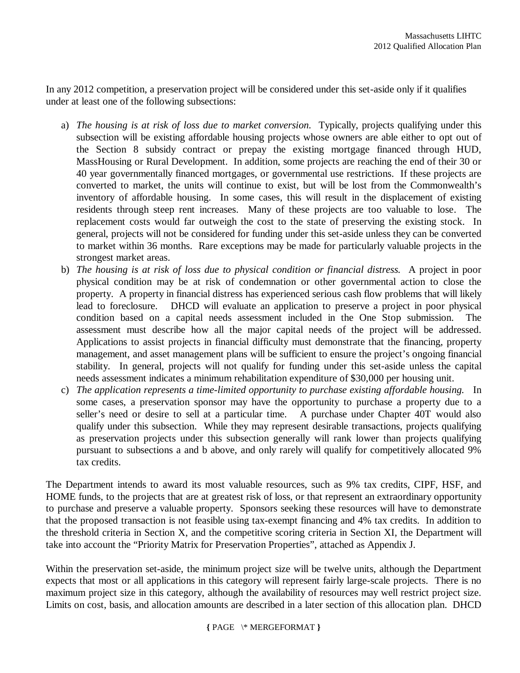In any 2012 competition, a preservation project will be considered under this set-aside only if it qualifies under at least one of the following subsections:

- a) *The housing is at risk of loss due to market conversion.* Typically, projects qualifying under this subsection will be existing affordable housing projects whose owners are able either to opt out of the Section 8 subsidy contract or prepay the existing mortgage financed through HUD, MassHousing or Rural Development. In addition, some projects are reaching the end of their 30 or 40 year governmentally financed mortgages, or governmental use restrictions. If these projects are converted to market, the units will continue to exist, but will be lost from the Commonwealth's inventory of affordable housing. In some cases, this will result in the displacement of existing residents through steep rent increases. Many of these projects are too valuable to lose. The replacement costs would far outweigh the cost to the state of preserving the existing stock. In general, projects will not be considered for funding under this set-aside unless they can be converted to market within 36 months. Rare exceptions may be made for particularly valuable projects in the strongest market areas.
- b) *The housing is at risk of loss due to physical condition or financial distress.* A project in poor physical condition may be at risk of condemnation or other governmental action to close the property. A property in financial distress has experienced serious cash flow problems that will likely lead to foreclosure. DHCD will evaluate an application to preserve a project in poor physical condition based on a capital needs assessment included in the One Stop submission. The assessment must describe how all the major capital needs of the project will be addressed. Applications to assist projects in financial difficulty must demonstrate that the financing, property management, and asset management plans will be sufficient to ensure the project's ongoing financial stability. In general, projects will not qualify for funding under this set-aside unless the capital needs assessment indicates a minimum rehabilitation expenditure of \$30,000 per housing unit.
- c) *The application represents a time-limited opportunity to purchase existing affordable housing.* In some cases, a preservation sponsor may have the opportunity to purchase a property due to a seller's need or desire to sell at a particular time. A purchase under Chapter 40T would also qualify under this subsection. While they may represent desirable transactions, projects qualifying as preservation projects under this subsection generally will rank lower than projects qualifying pursuant to subsections a and b above, and only rarely will qualify for competitively allocated 9% tax credits.

The Department intends to award its most valuable resources, such as 9% tax credits, CIPF, HSF, and HOME funds, to the projects that are at greatest risk of loss, or that represent an extraordinary opportunity to purchase and preserve a valuable property. Sponsors seeking these resources will have to demonstrate that the proposed transaction is not feasible using tax-exempt financing and 4% tax credits. In addition to the threshold criteria in Section X, and the competitive scoring criteria in Section XI, the Department will take into account the "Priority Matrix for Preservation Properties", attached as Appendix J.

Within the preservation set-aside, the minimum project size will be twelve units, although the Department expects that most or all applications in this category will represent fairly large-scale projects. There is no maximum project size in this category, although the availability of resources may well restrict project size. Limits on cost, basis, and allocation amounts are described in a later section of this allocation plan. DHCD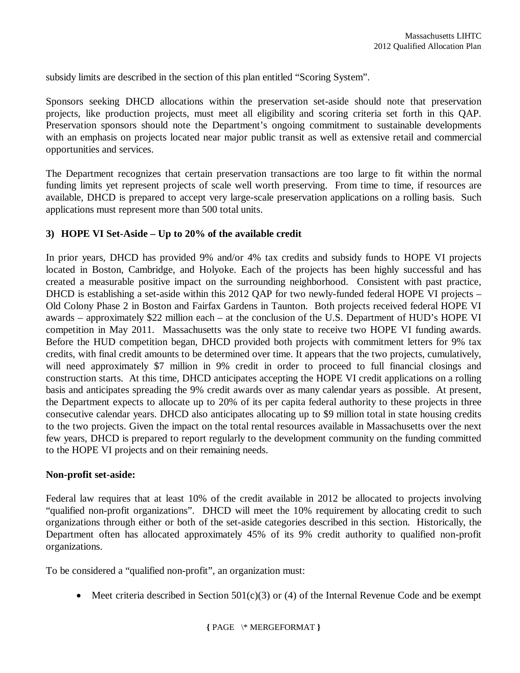subsidy limits are described in the section of this plan entitled "Scoring System".

Sponsors seeking DHCD allocations within the preservation set-aside should note that preservation projects, like production projects, must meet all eligibility and scoring criteria set forth in this QAP. Preservation sponsors should note the Department's ongoing commitment to sustainable developments with an emphasis on projects located near major public transit as well as extensive retail and commercial opportunities and services.

The Department recognizes that certain preservation transactions are too large to fit within the normal funding limits yet represent projects of scale well worth preserving. From time to time, if resources are available, DHCD is prepared to accept very large-scale preservation applications on a rolling basis. Such applications must represent more than 500 total units.

#### **3) HOPE VI Set-Aside – Up to 20% of the available credit**

In prior years, DHCD has provided 9% and/or 4% tax credits and subsidy funds to HOPE VI projects located in Boston, Cambridge, and Holyoke. Each of the projects has been highly successful and has created a measurable positive impact on the surrounding neighborhood. Consistent with past practice, DHCD is establishing a set-aside within this 2012 QAP for two newly-funded federal HOPE VI projects – Old Colony Phase 2 in Boston and Fairfax Gardens in Taunton. Both projects received federal HOPE VI awards – approximately \$22 million each – at the conclusion of the U.S. Department of HUD's HOPE VI competition in May 2011. Massachusetts was the only state to receive two HOPE VI funding awards. Before the HUD competition began, DHCD provided both projects with commitment letters for 9% tax credits, with final credit amounts to be determined over time. It appears that the two projects, cumulatively, will need approximately \$7 million in 9% credit in order to proceed to full financial closings and construction starts. At this time, DHCD anticipates accepting the HOPE VI credit applications on a rolling basis and anticipates spreading the 9% credit awards over as many calendar years as possible. At present, the Department expects to allocate up to 20% of its per capita federal authority to these projects in three consecutive calendar years. DHCD also anticipates allocating up to \$9 million total in state housing credits to the two projects. Given the impact on the total rental resources available in Massachusetts over the next few years, DHCD is prepared to report regularly to the development community on the funding committed to the HOPE VI projects and on their remaining needs.

#### **Non-profit set-aside:**

Federal law requires that at least 10% of the credit available in 2012 be allocated to projects involving "qualified non-profit organizations". DHCD will meet the 10% requirement by allocating credit to such organizations through either or both of the set-aside categories described in this section. Historically, the Department often has allocated approximately 45% of its 9% credit authority to qualified non-profit organizations.

To be considered a "qualified non-profit", an organization must:

• Meet criteria described in Section  $501(c)(3)$  or (4) of the Internal Revenue Code and be exempt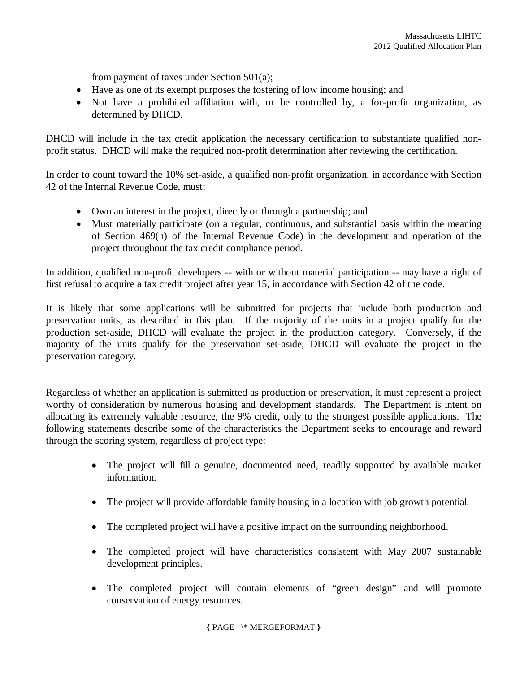from payment of taxes under Section 501(a);

- Have as one of its exempt purposes the fostering of low income housing; and
- Not have a prohibited affiliation with, or be controlled by, a for-profit organization, as determined by DHCD.

DHCD will include in the tax credit application the necessary certification to substantiate qualified nonprofit status. DHCD will make the required non-profit determination after reviewing the certification.

In order to count toward the 10% set-aside, a qualified non-profit organization, in accordance with Section 42 of the Internal Revenue Code, must:

- Own an interest in the project, directly or through a partnership; and
- Must materially participate (on a regular, continuous, and substantial basis within the meaning of Section 469(h) of the Internal Revenue Code) in the development and operation of the project throughout the tax credit compliance period.

In addition, qualified non-profit developers -- with or without material participation -- may have a right of first refusal to acquire a tax credit project after year 15, in accordance with Section 42 of the code.

It is likely that some applications will be submitted for projects that include both production and preservation units, as described in this plan. If the majority of the units in a project qualify for the production set-aside, DHCD will evaluate the project in the production category. Conversely, if the majority of the units qualify for the preservation set-aside, DHCD will evaluate the project in the preservation category.

Regardless of whether an application is submitted as production or preservation, it must represent a project worthy of consideration by numerous housing and development standards. The Department is intent on allocating its extremely valuable resource, the 9% credit, only to the strongest possible applications. The following statements describe some of the characteristics the Department seeks to encourage and reward through the scoring system, regardless of project type:

- The project will fill a genuine, documented need, readily supported by available market information.
- The project will provide affordable family housing in a location with job growth potential.
- The completed project will have a positive impact on the surrounding neighborhood.
- The completed project will have characteristics consistent with May 2007 sustainable development principles.
- The completed project will contain elements of "green design" and will promote conservation of energy resources.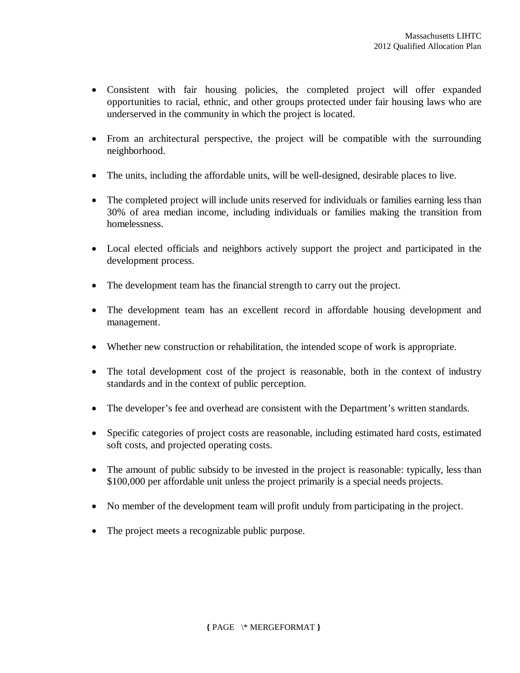- Consistent with fair housing policies, the completed project will offer expanded opportunities to racial, ethnic, and other groups protected under fair housing laws who are underserved in the community in which the project is located.
- From an architectural perspective, the project will be compatible with the surrounding neighborhood.
- The units, including the affordable units, will be well-designed, desirable places to live.
- The completed project will include units reserved for individuals or families earning less than 30% of area median income, including individuals or families making the transition from homelessness.
- Local elected officials and neighbors actively support the project and participated in the development process.
- The development team has the financial strength to carry out the project.
- The development team has an excellent record in affordable housing development and management.
- Whether new construction or rehabilitation, the intended scope of work is appropriate.
- The total development cost of the project is reasonable, both in the context of industry standards and in the context of public perception.
- The developer's fee and overhead are consistent with the Department's written standards.
- Specific categories of project costs are reasonable, including estimated hard costs, estimated soft costs, and projected operating costs.
- The amount of public subsidy to be invested in the project is reasonable: typically, less than \$100,000 per affordable unit unless the project primarily is a special needs projects.
- No member of the development team will profit unduly from participating in the project.
- The project meets a recognizable public purpose.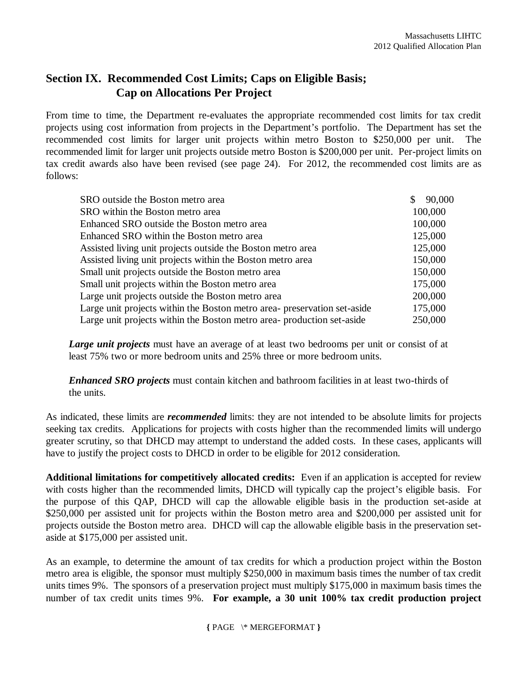## **Section IX. Recommended Cost Limits; Caps on Eligible Basis; Cap on Allocations Per Project**

From time to time, the Department re-evaluates the appropriate recommended cost limits for tax credit projects using cost information from projects in the Department's portfolio. The Department has set the recommended cost limits for larger unit projects within metro Boston to \$250,000 per unit. The recommended limit for larger unit projects outside metro Boston is \$200,000 per unit. Per-project limits on tax credit awards also have been revised (see page 24). For 2012, the recommended cost limits are as follows:

| SRO outside the Boston metro area                                        | 90,000  |
|--------------------------------------------------------------------------|---------|
| SRO within the Boston metro area                                         | 100,000 |
| Enhanced SRO outside the Boston metro area                               | 100,000 |
| Enhanced SRO within the Boston metro area                                | 125,000 |
| Assisted living unit projects outside the Boston metro area              | 125,000 |
| Assisted living unit projects within the Boston metro area               | 150,000 |
| Small unit projects outside the Boston metro area                        | 150,000 |
| Small unit projects within the Boston metro area                         | 175,000 |
| Large unit projects outside the Boston metro area                        | 200,000 |
| Large unit projects within the Boston metro area- preservation set-aside | 175,000 |
| Large unit projects within the Boston metro area- production set-aside   | 250,000 |

*Large unit projects* must have an average of at least two bedrooms per unit or consist of at least 75% two or more bedroom units and 25% three or more bedroom units.

*Enhanced SRO projects* must contain kitchen and bathroom facilities in at least two-thirds of the units.

As indicated, these limits are *recommended* limits: they are not intended to be absolute limits for projects seeking tax credits. Applications for projects with costs higher than the recommended limits will undergo greater scrutiny, so that DHCD may attempt to understand the added costs. In these cases, applicants will have to justify the project costs to DHCD in order to be eligible for 2012 consideration.

**Additional limitations for competitively allocated credits:** Even if an application is accepted for review with costs higher than the recommended limits, DHCD will typically cap the project's eligible basis. For the purpose of this QAP, DHCD will cap the allowable eligible basis in the production set-aside at \$250,000 per assisted unit for projects within the Boston metro area and \$200,000 per assisted unit for projects outside the Boston metro area. DHCD will cap the allowable eligible basis in the preservation setaside at \$175,000 per assisted unit.

As an example, to determine the amount of tax credits for which a production project within the Boston metro area is eligible, the sponsor must multiply \$250,000 in maximum basis times the number of tax credit units times 9%. The sponsors of a preservation project must multiply \$175,000 in maximum basis times the number of tax credit units times 9%. **For example, a 30 unit 100% tax credit production project**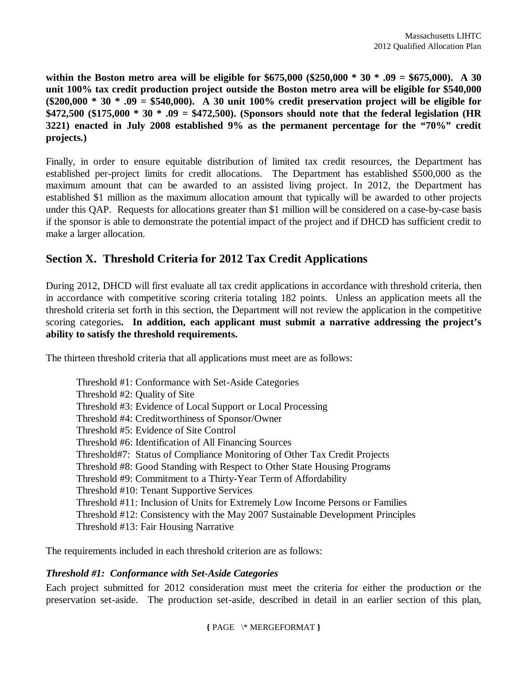**within the Boston metro area will be eligible for \$675,000 (\$250,000 \* 30 \* .09 = \$675,000). A 30 unit 100% tax credit production project outside the Boston metro area will be eligible for \$540,000 (\$200,000 \* 30 \* .09 = \$540,000). A 30 unit 100% credit preservation project will be eligible for \$472,500 (\$175,000 \* 30 \* .09 = \$472,500). (Sponsors should note that the federal legislation (HR 3221) enacted in July 2008 established 9% as the permanent percentage for the "70%" credit projects.)**

Finally, in order to ensure equitable distribution of limited tax credit resources, the Department has established per-project limits for credit allocations. The Department has established \$500,000 as the maximum amount that can be awarded to an assisted living project. In 2012, the Department has established \$1 million as the maximum allocation amount that typically will be awarded to other projects under this QAP. Requests for allocations greater than \$1 million will be considered on a case-by-case basis if the sponsor is able to demonstrate the potential impact of the project and if DHCD has sufficient credit to make a larger allocation.

## **Section X. Threshold Criteria for 2012 Tax Credit Applications**

During 2012, DHCD will first evaluate all tax credit applications in accordance with threshold criteria, then in accordance with competitive scoring criteria totaling 182 points. Unless an application meets all the threshold criteria set forth in this section, the Department will not review the application in the competitive scoring categories**. In addition, each applicant must submit a narrative addressing the project's ability to satisfy the threshold requirements.** 

The thirteen threshold criteria that all applications must meet are as follows:

Threshold #1: Conformance with Set-Aside Categories Threshold #2: Quality of Site Threshold #3: Evidence of Local Support or Local Processing Threshold #4: Creditworthiness of Sponsor/Owner Threshold #5: Evidence of Site Control Threshold #6: Identification of All Financing Sources Threshold#7: Status of Compliance Monitoring of Other Tax Credit Projects Threshold #8: Good Standing with Respect to Other State Housing Programs Threshold #9: Commitment to a Thirty-Year Term of Affordability Threshold #10: Tenant Supportive Services Threshold #11: Inclusion of Units for Extremely Low Income Persons or Families Threshold #12: Consistency with the May 2007 Sustainable Development Principles Threshold #13: Fair Housing Narrative

The requirements included in each threshold criterion are as follows:

#### *Threshold #1: Conformance with Set-Aside Categories*

Each project submitted for 2012 consideration must meet the criteria for either the production or the preservation set-aside. The production set-aside, described in detail in an earlier section of this plan,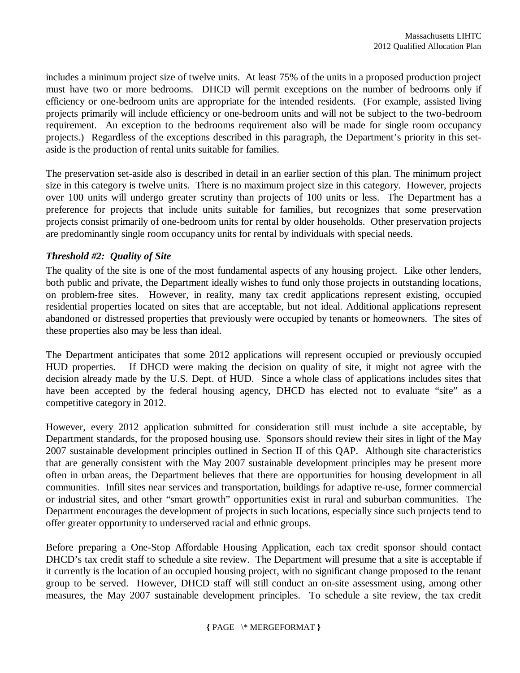includes a minimum project size of twelve units. At least 75% of the units in a proposed production project must have two or more bedrooms. DHCD will permit exceptions on the number of bedrooms only if efficiency or one-bedroom units are appropriate for the intended residents. (For example, assisted living projects primarily will include efficiency or one-bedroom units and will not be subject to the two-bedroom requirement. An exception to the bedrooms requirement also will be made for single room occupancy projects.) Regardless of the exceptions described in this paragraph, the Department's priority in this setaside is the production of rental units suitable for families.

The preservation set-aside also is described in detail in an earlier section of this plan. The minimum project size in this category is twelve units. There is no maximum project size in this category. However, projects over 100 units will undergo greater scrutiny than projects of 100 units or less. The Department has a preference for projects that include units suitable for families, but recognizes that some preservation projects consist primarily of one-bedroom units for rental by older households. Other preservation projects are predominantly single room occupancy units for rental by individuals with special needs.

#### *Threshold #2: Quality of Site*

The quality of the site is one of the most fundamental aspects of any housing project. Like other lenders, both public and private, the Department ideally wishes to fund only those projects in outstanding locations, on problem-free sites. However, in reality, many tax credit applications represent existing, occupied residential properties located on sites that are acceptable, but not ideal. Additional applications represent abandoned or distressed properties that previously were occupied by tenants or homeowners. The sites of these properties also may be less than ideal.

The Department anticipates that some 2012 applications will represent occupied or previously occupied HUD properties. If DHCD were making the decision on quality of site, it might not agree with the decision already made by the U.S. Dept. of HUD. Since a whole class of applications includes sites that have been accepted by the federal housing agency, DHCD has elected not to evaluate "site" as a competitive category in 2012.

However, every 2012 application submitted for consideration still must include a site acceptable, by Department standards, for the proposed housing use. Sponsors should review their sites in light of the May 2007 sustainable development principles outlined in Section II of this QAP. Although site characteristics that are generally consistent with the May 2007 sustainable development principles may be present more often in urban areas, the Department believes that there are opportunities for housing development in all communities. Infill sites near services and transportation, buildings for adaptive re-use, former commercial or industrial sites, and other "smart growth" opportunities exist in rural and suburban communities. The Department encourages the development of projects in such locations, especially since such projects tend to offer greater opportunity to underserved racial and ethnic groups.

Before preparing a One-Stop Affordable Housing Application, each tax credit sponsor should contact DHCD's tax credit staff to schedule a site review. The Department will presume that a site is acceptable if it currently is the location of an occupied housing project, with no significant change proposed to the tenant group to be served. However, DHCD staff will still conduct an on-site assessment using, among other measures, the May 2007 sustainable development principles. To schedule a site review, the tax credit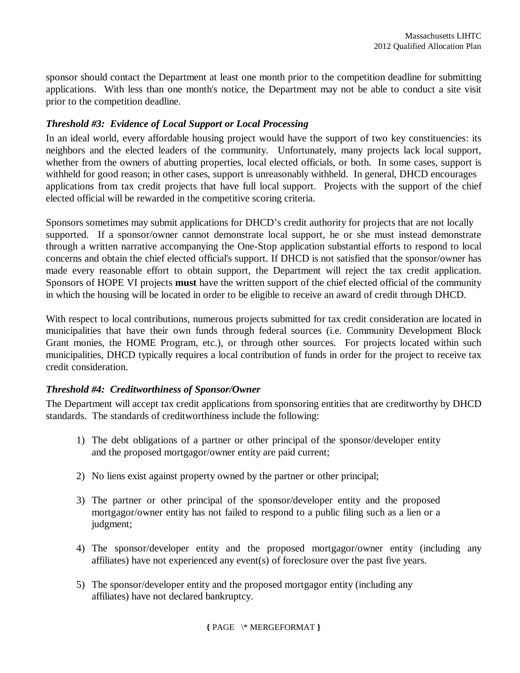sponsor should contact the Department at least one month prior to the competition deadline for submitting applications. With less than one month's notice, the Department may not be able to conduct a site visit prior to the competition deadline.

#### *Threshold #3: Evidence of Local Support or Local Processing*

In an ideal world, every affordable housing project would have the support of two key constituencies: its neighbors and the elected leaders of the community. Unfortunately, many projects lack local support, whether from the owners of abutting properties, local elected officials, or both. In some cases, support is withheld for good reason; in other cases, support is unreasonably withheld. In general, DHCD encourages applications from tax credit projects that have full local support. Projects with the support of the chief elected official will be rewarded in the competitive scoring criteria.

Sponsors sometimes may submit applications for DHCD's credit authority for projects that are not locally supported. If a sponsor/owner cannot demonstrate local support, he or she must instead demonstrate through a written narrative accompanying the One-Stop application substantial efforts to respond to local concerns and obtain the chief elected official's support. If DHCD is not satisfied that the sponsor/owner has made every reasonable effort to obtain support, the Department will reject the tax credit application. Sponsors of HOPE VI projects **must** have the written support of the chief elected official of the community in which the housing will be located in order to be eligible to receive an award of credit through DHCD.

With respect to local contributions, numerous projects submitted for tax credit consideration are located in municipalities that have their own funds through federal sources (i.e. Community Development Block Grant monies, the HOME Program, etc.), or through other sources. For projects located within such municipalities, DHCD typically requires a local contribution of funds in order for the project to receive tax credit consideration.

#### *Threshold #4: Creditworthiness of Sponsor/Owner*

The Department will accept tax credit applications from sponsoring entities that are creditworthy by DHCD standards. The standards of creditworthiness include the following:

- 1) The debt obligations of a partner or other principal of the sponsor/developer entity and the proposed mortgagor/owner entity are paid current;
- 2) No liens exist against property owned by the partner or other principal;
- 3) The partner or other principal of the sponsor/developer entity and the proposed mortgagor/owner entity has not failed to respond to a public filing such as a lien or a judgment:
- 4) The sponsor/developer entity and the proposed mortgagor/owner entity (including any affiliates) have not experienced any event(s) of foreclosure over the past five years.
- 5) The sponsor/developer entity and the proposed mortgagor entity (including any affiliates) have not declared bankruptcy.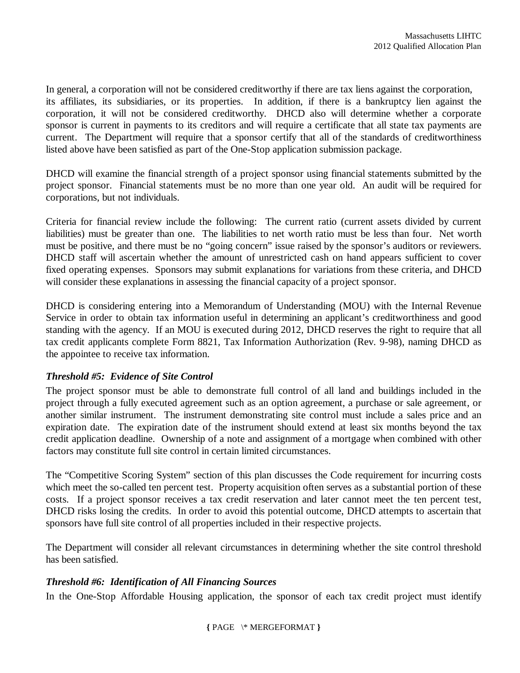In general, a corporation will not be considered creditworthy if there are tax liens against the corporation, its affiliates, its subsidiaries, or its properties. In addition, if there is a bankruptcy lien against the corporation, it will not be considered creditworthy. DHCD also will determine whether a corporate sponsor is current in payments to its creditors and will require a certificate that all state tax payments are current. The Department will require that a sponsor certify that all of the standards of creditworthiness listed above have been satisfied as part of the One-Stop application submission package.

DHCD will examine the financial strength of a project sponsor using financial statements submitted by the project sponsor. Financial statements must be no more than one year old. An audit will be required for corporations, but not individuals.

Criteria for financial review include the following: The current ratio (current assets divided by current liabilities) must be greater than one. The liabilities to net worth ratio must be less than four. Net worth must be positive, and there must be no "going concern" issue raised by the sponsor's auditors or reviewers. DHCD staff will ascertain whether the amount of unrestricted cash on hand appears sufficient to cover fixed operating expenses. Sponsors may submit explanations for variations from these criteria, and DHCD will consider these explanations in assessing the financial capacity of a project sponsor.

DHCD is considering entering into a Memorandum of Understanding (MOU) with the Internal Revenue Service in order to obtain tax information useful in determining an applicant's creditworthiness and good standing with the agency. If an MOU is executed during 2012, DHCD reserves the right to require that all tax credit applicants complete Form 8821, Tax Information Authorization (Rev. 9-98), naming DHCD as the appointee to receive tax information.

#### *Threshold #5: Evidence of Site Control*

The project sponsor must be able to demonstrate full control of all land and buildings included in the project through a fully executed agreement such as an option agreement, a purchase or sale agreement, or another similar instrument. The instrument demonstrating site control must include a sales price and an expiration date. The expiration date of the instrument should extend at least six months beyond the tax credit application deadline. Ownership of a note and assignment of a mortgage when combined with other factors may constitute full site control in certain limited circumstances.

The "Competitive Scoring System" section of this plan discusses the Code requirement for incurring costs which meet the so-called ten percent test. Property acquisition often serves as a substantial portion of these costs. If a project sponsor receives a tax credit reservation and later cannot meet the ten percent test, DHCD risks losing the credits. In order to avoid this potential outcome, DHCD attempts to ascertain that sponsors have full site control of all properties included in their respective projects.

The Department will consider all relevant circumstances in determining whether the site control threshold has been satisfied.

#### *Threshold #6: Identification of All Financing Sources*

In the One-Stop Affordable Housing application, the sponsor of each tax credit project must identify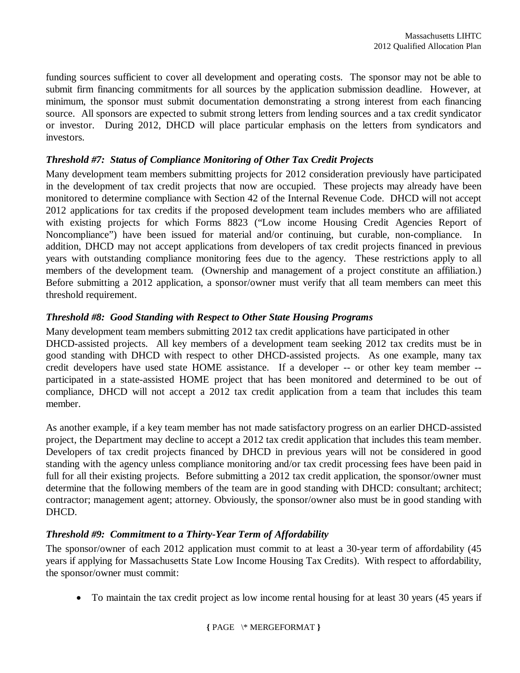funding sources sufficient to cover all development and operating costs. The sponsor may not be able to submit firm financing commitments for all sources by the application submission deadline. However, at minimum, the sponsor must submit documentation demonstrating a strong interest from each financing source. All sponsors are expected to submit strong letters from lending sources and a tax credit syndicator or investor. During 2012, DHCD will place particular emphasis on the letters from syndicators and investors.

#### *Threshold #7: Status of Compliance Monitoring of Other Tax Credit Projects*

Many development team members submitting projects for 2012 consideration previously have participated in the development of tax credit projects that now are occupied. These projects may already have been monitored to determine compliance with Section 42 of the Internal Revenue Code. DHCD will not accept 2012 applications for tax credits if the proposed development team includes members who are affiliated with existing projects for which Forms 8823 ("Low income Housing Credit Agencies Report of Noncompliance") have been issued for material and/or continuing, but curable, non-compliance. In addition, DHCD may not accept applications from developers of tax credit projects financed in previous years with outstanding compliance monitoring fees due to the agency. These restrictions apply to all members of the development team. (Ownership and management of a project constitute an affiliation.) Before submitting a 2012 application, a sponsor/owner must verify that all team members can meet this threshold requirement.

#### *Threshold #8: Good Standing with Respect to Other State Housing Programs*

Many development team members submitting 2012 tax credit applications have participated in other DHCD-assisted projects. All key members of a development team seeking 2012 tax credits must be in good standing with DHCD with respect to other DHCD-assisted projects. As one example, many tax credit developers have used state HOME assistance. If a developer -- or other key team member - participated in a state-assisted HOME project that has been monitored and determined to be out of compliance, DHCD will not accept a 2012 tax credit application from a team that includes this team member.

As another example, if a key team member has not made satisfactory progress on an earlier DHCD-assisted project, the Department may decline to accept a 2012 tax credit application that includes this team member. Developers of tax credit projects financed by DHCD in previous years will not be considered in good standing with the agency unless compliance monitoring and/or tax credit processing fees have been paid in full for all their existing projects. Before submitting a 2012 tax credit application, the sponsor/owner must determine that the following members of the team are in good standing with DHCD: consultant; architect; contractor; management agent; attorney. Obviously, the sponsor/owner also must be in good standing with DHCD.

### *Threshold #9: Commitment to a Thirty-Year Term of Affordability*

The sponsor/owner of each 2012 application must commit to at least a 30-year term of affordability (45 years if applying for Massachusetts State Low Income Housing Tax Credits). With respect to affordability, the sponsor/owner must commit:

• To maintain the tax credit project as low income rental housing for at least 30 years (45 years if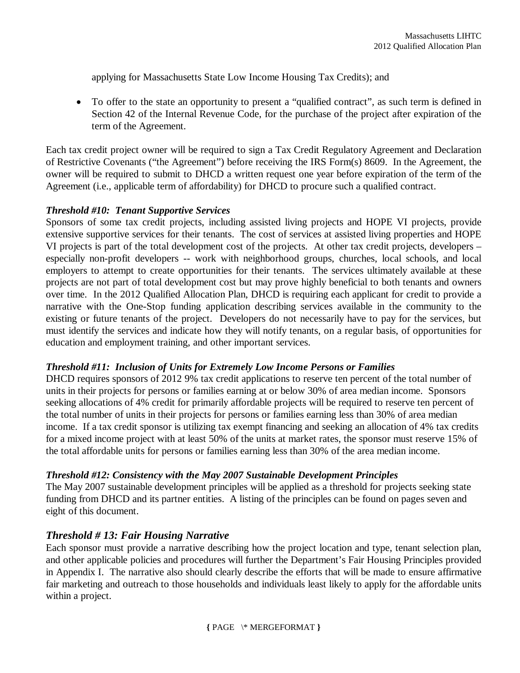applying for Massachusetts State Low Income Housing Tax Credits); and

 To offer to the state an opportunity to present a "qualified contract", as such term is defined in Section 42 of the Internal Revenue Code, for the purchase of the project after expiration of the term of the Agreement.

Each tax credit project owner will be required to sign a Tax Credit Regulatory Agreement and Declaration of Restrictive Covenants ("the Agreement") before receiving the IRS Form(s) 8609. In the Agreement, the owner will be required to submit to DHCD a written request one year before expiration of the term of the Agreement (i.e., applicable term of affordability) for DHCD to procure such a qualified contract.

#### *Threshold #10: Tenant Supportive Services*

Sponsors of some tax credit projects, including assisted living projects and HOPE VI projects, provide extensive supportive services for their tenants. The cost of services at assisted living properties and HOPE VI projects is part of the total development cost of the projects. At other tax credit projects, developers – especially non-profit developers -- work with neighborhood groups, churches, local schools, and local employers to attempt to create opportunities for their tenants. The services ultimately available at these projects are not part of total development cost but may prove highly beneficial to both tenants and owners over time. In the 2012 Qualified Allocation Plan, DHCD is requiring each applicant for credit to provide a narrative with the One-Stop funding application describing services available in the community to the existing or future tenants of the project. Developers do not necessarily have to pay for the services, but must identify the services and indicate how they will notify tenants, on a regular basis, of opportunities for education and employment training, and other important services.

#### *Threshold #11: Inclusion of Units for Extremely Low Income Persons or Families*

DHCD requires sponsors of 2012 9% tax credit applications to reserve ten percent of the total number of units in their projects for persons or families earning at or below 30% of area median income. Sponsors seeking allocations of 4% credit for primarily affordable projects will be required to reserve ten percent of the total number of units in their projects for persons or families earning less than 30% of area median income. If a tax credit sponsor is utilizing tax exempt financing and seeking an allocation of 4% tax credits for a mixed income project with at least 50% of the units at market rates, the sponsor must reserve 15% of the total affordable units for persons or families earning less than 30% of the area median income.

#### *Threshold #12: Consistency with the May 2007 Sustainable Development Principles*

The May 2007 sustainable development principles will be applied as a threshold for projects seeking state funding from DHCD and its partner entities. A listing of the principles can be found on pages seven and eight of this document.

#### *Threshold # 13: Fair Housing Narrative*

Each sponsor must provide a narrative describing how the project location and type, tenant selection plan, and other applicable policies and procedures will further the Department's Fair Housing Principles provided in Appendix I. The narrative also should clearly describe the efforts that will be made to ensure affirmative fair marketing and outreach to those households and individuals least likely to apply for the affordable units within a project.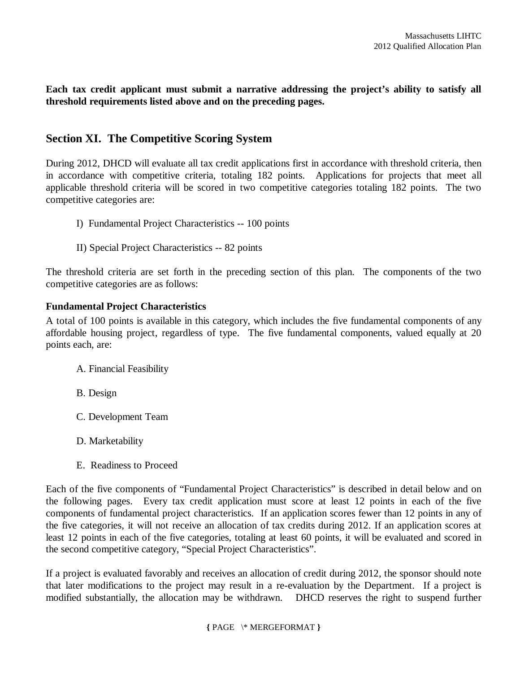**Each tax credit applicant must submit a narrative addressing the project's ability to satisfy all threshold requirements listed above and on the preceding pages.** 

### **Section XI. The Competitive Scoring System**

During 2012, DHCD will evaluate all tax credit applications first in accordance with threshold criteria, then in accordance with competitive criteria, totaling 182 points. Applications for projects that meet all applicable threshold criteria will be scored in two competitive categories totaling 182 points. The two competitive categories are:

- I) Fundamental Project Characteristics -- 100 points
- II) Special Project Characteristics -- 82 points

The threshold criteria are set forth in the preceding section of this plan. The components of the two competitive categories are as follows:

#### **Fundamental Project Characteristics**

A total of 100 points is available in this category, which includes the five fundamental components of any affordable housing project, regardless of type. The five fundamental components, valued equally at 20 points each, are:

- A. Financial Feasibility
- B. Design
- C. Development Team
- D. Marketability
- E. Readiness to Proceed

Each of the five components of "Fundamental Project Characteristics" is described in detail below and on the following pages. Every tax credit application must score at least 12 points in each of the five components of fundamental project characteristics. If an application scores fewer than 12 points in any of the five categories, it will not receive an allocation of tax credits during 2012. If an application scores at least 12 points in each of the five categories, totaling at least 60 points, it will be evaluated and scored in the second competitive category, "Special Project Characteristics".

If a project is evaluated favorably and receives an allocation of credit during 2012, the sponsor should note that later modifications to the project may result in a re-evaluation by the Department. If a project is modified substantially, the allocation may be withdrawn. DHCD reserves the right to suspend further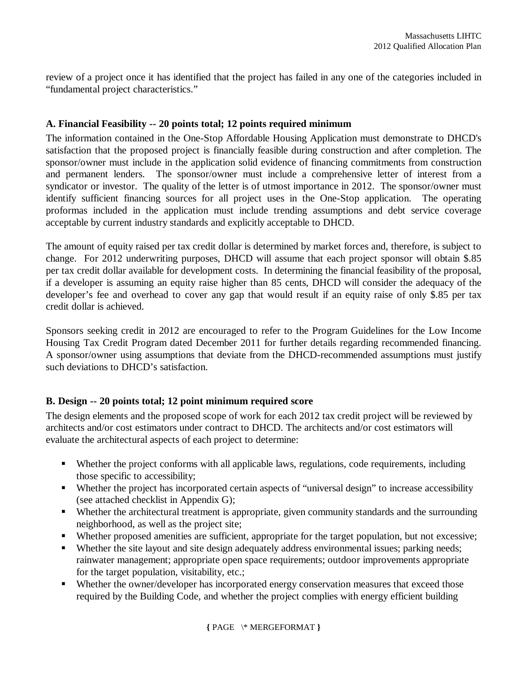review of a project once it has identified that the project has failed in any one of the categories included in "fundamental project characteristics."

#### **A. Financial Feasibility -- 20 points total; 12 points required minimum**

The information contained in the One-Stop Affordable Housing Application must demonstrate to DHCD's satisfaction that the proposed project is financially feasible during construction and after completion. The sponsor/owner must include in the application solid evidence of financing commitments from construction and permanent lenders. The sponsor/owner must include a comprehensive letter of interest from a syndicator or investor. The quality of the letter is of utmost importance in 2012. The sponsor/owner must identify sufficient financing sources for all project uses in the One-Stop application. The operating proformas included in the application must include trending assumptions and debt service coverage acceptable by current industry standards and explicitly acceptable to DHCD.

The amount of equity raised per tax credit dollar is determined by market forces and, therefore, is subject to change. For 2012 underwriting purposes, DHCD will assume that each project sponsor will obtain \$.85 per tax credit dollar available for development costs. In determining the financial feasibility of the proposal, if a developer is assuming an equity raise higher than 85 cents, DHCD will consider the adequacy of the developer's fee and overhead to cover any gap that would result if an equity raise of only \$.85 per tax credit dollar is achieved.

Sponsors seeking credit in 2012 are encouraged to refer to the Program Guidelines for the Low Income Housing Tax Credit Program dated December 2011 for further details regarding recommended financing. A sponsor/owner using assumptions that deviate from the DHCD-recommended assumptions must justify such deviations to DHCD's satisfaction.

#### **B. Design -- 20 points total; 12 point minimum required score**

The design elements and the proposed scope of work for each 2012 tax credit project will be reviewed by architects and/or cost estimators under contract to DHCD. The architects and/or cost estimators will evaluate the architectural aspects of each project to determine:

- Whether the project conforms with all applicable laws, regulations, code requirements, including those specific to accessibility;
- Whether the project has incorporated certain aspects of "universal design" to increase accessibility (see attached checklist in Appendix G);
- Whether the architectural treatment is appropriate, given community standards and the surrounding neighborhood, as well as the project site;
- Whether proposed amenities are sufficient, appropriate for the target population, but not excessive;
- Whether the site layout and site design adequately address environmental issues; parking needs; rainwater management; appropriate open space requirements; outdoor improvements appropriate for the target population, visitability, etc.;
- Whether the owner/developer has incorporated energy conservation measures that exceed those required by the Building Code, and whether the project complies with energy efficient building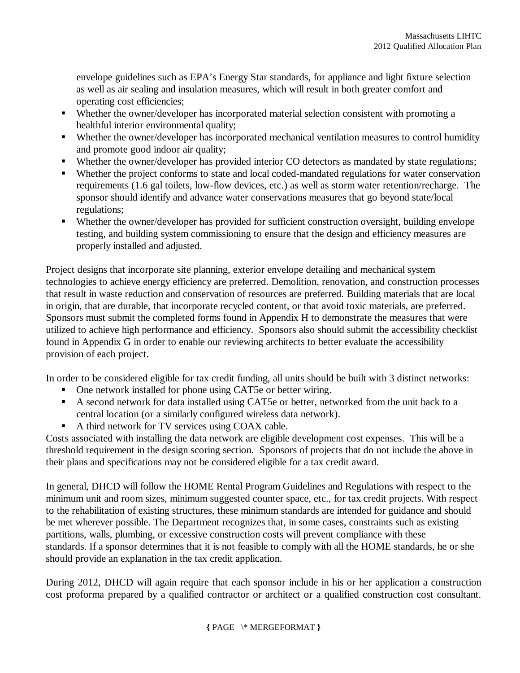envelope guidelines such as EPA's Energy Star standards, for appliance and light fixture selection as well as air sealing and insulation measures, which will result in both greater comfort and operating cost efficiencies;

- Whether the owner/developer has incorporated material selection consistent with promoting a healthful interior environmental quality;
- Whether the owner/developer has incorporated mechanical ventilation measures to control humidity and promote good indoor air quality;
- Whether the owner/developer has provided interior CO detectors as mandated by state regulations;
- Whether the project conforms to state and local coded-mandated regulations for water conservation requirements (1.6 gal toilets, low-flow devices, etc.) as well as storm water retention/recharge. The sponsor should identify and advance water conservations measures that go beyond state/local regulations;
- Whether the owner/developer has provided for sufficient construction oversight, building envelope testing, and building system commissioning to ensure that the design and efficiency measures are properly installed and adjusted.

Project designs that incorporate site planning, exterior envelope detailing and mechanical system technologies to achieve energy efficiency are preferred. Demolition, renovation, and construction processes that result in waste reduction and conservation of resources are preferred. Building materials that are local in origin, that are durable, that incorporate recycled content, or that avoid toxic materials, are preferred. Sponsors must submit the completed forms found in Appendix H to demonstrate the measures that were utilized to achieve high performance and efficiency. Sponsors also should submit the accessibility checklist found in Appendix G in order to enable our reviewing architects to better evaluate the accessibility provision of each project.

In order to be considered eligible for tax credit funding, all units should be built with 3 distinct networks:

- One network installed for phone using CAT5e or better wiring.
- A second network for data installed using CAT5e or better, networked from the unit back to a central location (or a similarly configured wireless data network).
- A third network for TV services using COAX cable.

Costs associated with installing the data network are eligible development cost expenses. This will be a threshold requirement in the design scoring section. Sponsors of projects that do not include the above in their plans and specifications may not be considered eligible for a tax credit award.

In general, DHCD will follow the HOME Rental Program Guidelines and Regulations with respect to the minimum unit and room sizes, minimum suggested counter space, etc., for tax credit projects. With respect to the rehabilitation of existing structures, these minimum standards are intended for guidance and should be met wherever possible. The Department recognizes that, in some cases, constraints such as existing partitions, walls, plumbing, or excessive construction costs will prevent compliance with these standards. If a sponsor determines that it is not feasible to comply with all the HOME standards, he or she should provide an explanation in the tax credit application.

During 2012, DHCD will again require that each sponsor include in his or her application a construction cost proforma prepared by a qualified contractor or architect or a qualified construction cost consultant.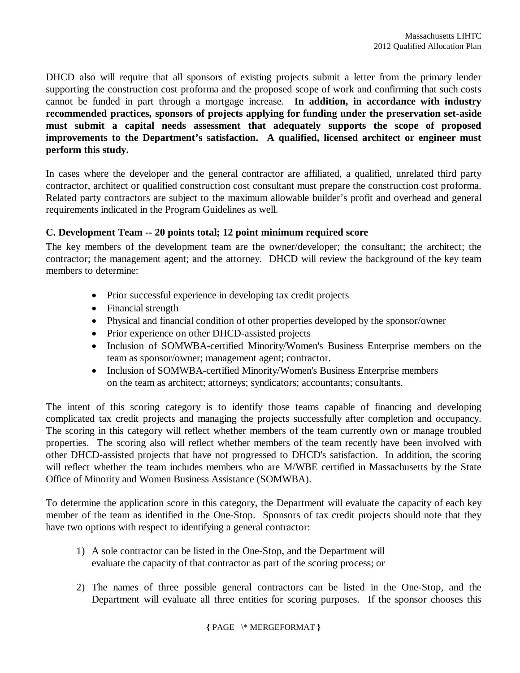DHCD also will require that all sponsors of existing projects submit a letter from the primary lender supporting the construction cost proforma and the proposed scope of work and confirming that such costs cannot be funded in part through a mortgage increase. **In addition, in accordance with industry recommended practices, sponsors of projects applying for funding under the preservation set-aside must submit a capital needs assessment that adequately supports the scope of proposed improvements to the Department's satisfaction. A qualified, licensed architect or engineer must perform this study.** 

In cases where the developer and the general contractor are affiliated, a qualified, unrelated third party contractor, architect or qualified construction cost consultant must prepare the construction cost proforma. Related party contractors are subject to the maximum allowable builder's profit and overhead and general requirements indicated in the Program Guidelines as well.

#### **C. Development Team -- 20 points total; 12 point minimum required score**

The key members of the development team are the owner/developer; the consultant; the architect; the contractor; the management agent; and the attorney. DHCD will review the background of the key team members to determine:

- Prior successful experience in developing tax credit projects
- Financial strength
- Physical and financial condition of other properties developed by the sponsor/owner
- Prior experience on other DHCD-assisted projects
- Inclusion of SOMWBA-certified Minority/Women's Business Enterprise members on the team as sponsor/owner; management agent; contractor.
- Inclusion of SOMWBA-certified Minority/Women's Business Enterprise members on the team as architect; attorneys; syndicators; accountants; consultants.

The intent of this scoring category is to identify those teams capable of financing and developing complicated tax credit projects and managing the projects successfully after completion and occupancy. The scoring in this category will reflect whether members of the team currently own or manage troubled properties. The scoring also will reflect whether members of the team recently have been involved with other DHCD-assisted projects that have not progressed to DHCD's satisfaction. In addition, the scoring will reflect whether the team includes members who are M/WBE certified in Massachusetts by the State Office of Minority and Women Business Assistance (SOMWBA).

To determine the application score in this category, the Department will evaluate the capacity of each key member of the team as identified in the One-Stop. Sponsors of tax credit projects should note that they have two options with respect to identifying a general contractor:

- 1) A sole contractor can be listed in the One-Stop, and the Department will evaluate the capacity of that contractor as part of the scoring process; or
- 2) The names of three possible general contractors can be listed in the One-Stop, and the Department will evaluate all three entities for scoring purposes. If the sponsor chooses this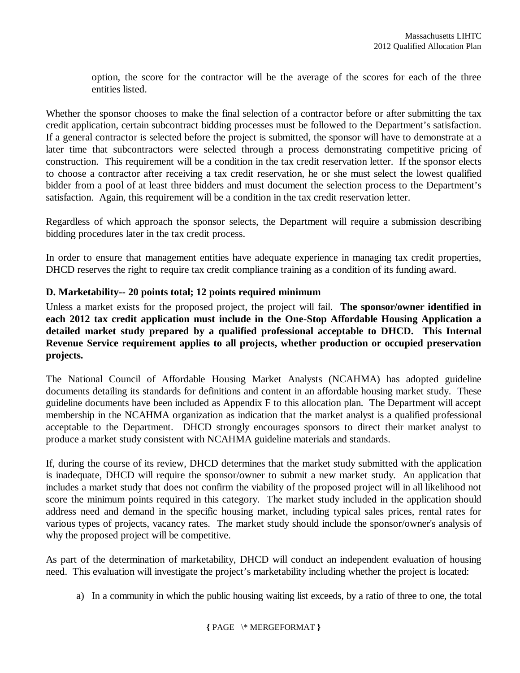option, the score for the contractor will be the average of the scores for each of the three entities listed.

Whether the sponsor chooses to make the final selection of a contractor before or after submitting the tax credit application, certain subcontract bidding processes must be followed to the Department's satisfaction. If a general contractor is selected before the project is submitted, the sponsor will have to demonstrate at a later time that subcontractors were selected through a process demonstrating competitive pricing of construction. This requirement will be a condition in the tax credit reservation letter. If the sponsor elects to choose a contractor after receiving a tax credit reservation, he or she must select the lowest qualified bidder from a pool of at least three bidders and must document the selection process to the Department's satisfaction. Again, this requirement will be a condition in the tax credit reservation letter.

Regardless of which approach the sponsor selects, the Department will require a submission describing bidding procedures later in the tax credit process.

In order to ensure that management entities have adequate experience in managing tax credit properties, DHCD reserves the right to require tax credit compliance training as a condition of its funding award.

#### **D. Marketability-- 20 points total; 12 points required minimum**

Unless a market exists for the proposed project, the project will fail. **The sponsor/owner identified in each 2012 tax credit application must include in the One-Stop Affordable Housing Application a detailed market study prepared by a qualified professional acceptable to DHCD. This Internal Revenue Service requirement applies to all projects, whether production or occupied preservation projects.**

The National Council of Affordable Housing Market Analysts (NCAHMA) has adopted guideline documents detailing its standards for definitions and content in an affordable housing market study. These guideline documents have been included as Appendix F to this allocation plan. The Department will accept membership in the NCAHMA organization as indication that the market analyst is a qualified professional acceptable to the Department. DHCD strongly encourages sponsors to direct their market analyst to produce a market study consistent with NCAHMA guideline materials and standards.

If, during the course of its review, DHCD determines that the market study submitted with the application is inadequate, DHCD will require the sponsor/owner to submit a new market study. An application that includes a market study that does not confirm the viability of the proposed project will in all likelihood not score the minimum points required in this category. The market study included in the application should address need and demand in the specific housing market, including typical sales prices, rental rates for various types of projects, vacancy rates. The market study should include the sponsor/owner's analysis of why the proposed project will be competitive.

As part of the determination of marketability, DHCD will conduct an independent evaluation of housing need. This evaluation will investigate the project's marketability including whether the project is located:

a) In a community in which the public housing waiting list exceeds, by a ratio of three to one, the total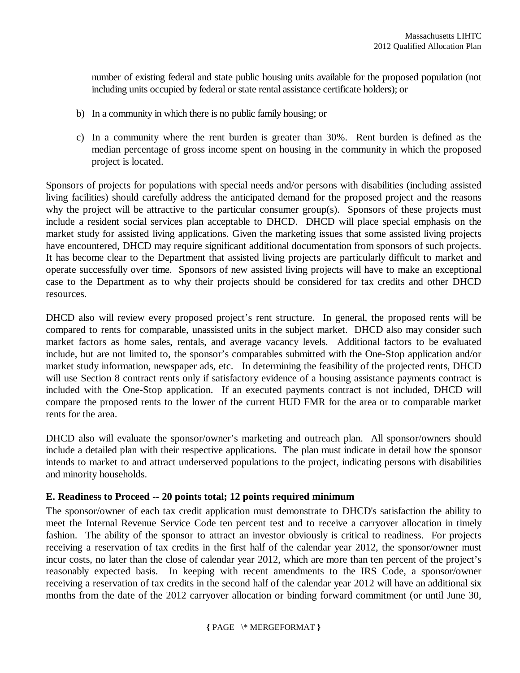number of existing federal and state public housing units available for the proposed population (not including units occupied by federal or state rental assistance certificate holders); or

- b) In a community in which there is no public family housing; or
- c) In a community where the rent burden is greater than 30%. Rent burden is defined as the median percentage of gross income spent on housing in the community in which the proposed project is located.

Sponsors of projects for populations with special needs and/or persons with disabilities (including assisted living facilities) should carefully address the anticipated demand for the proposed project and the reasons why the project will be attractive to the particular consumer group(s). Sponsors of these projects must include a resident social services plan acceptable to DHCD. DHCD will place special emphasis on the market study for assisted living applications. Given the marketing issues that some assisted living projects have encountered, DHCD may require significant additional documentation from sponsors of such projects. It has become clear to the Department that assisted living projects are particularly difficult to market and operate successfully over time. Sponsors of new assisted living projects will have to make an exceptional case to the Department as to why their projects should be considered for tax credits and other DHCD resources.

DHCD also will review every proposed project's rent structure. In general, the proposed rents will be compared to rents for comparable, unassisted units in the subject market. DHCD also may consider such market factors as home sales, rentals, and average vacancy levels. Additional factors to be evaluated include, but are not limited to, the sponsor's comparables submitted with the One-Stop application and/or market study information, newspaper ads, etc. In determining the feasibility of the projected rents, DHCD will use Section 8 contract rents only if satisfactory evidence of a housing assistance payments contract is included with the One-Stop application. If an executed payments contract is not included, DHCD will compare the proposed rents to the lower of the current HUD FMR for the area or to comparable market rents for the area.

DHCD also will evaluate the sponsor/owner's marketing and outreach plan. All sponsor/owners should include a detailed plan with their respective applications. The plan must indicate in detail how the sponsor intends to market to and attract underserved populations to the project, indicating persons with disabilities and minority households.

#### **E. Readiness to Proceed -- 20 points total; 12 points required minimum**

The sponsor/owner of each tax credit application must demonstrate to DHCD's satisfaction the ability to meet the Internal Revenue Service Code ten percent test and to receive a carryover allocation in timely fashion. The ability of the sponsor to attract an investor obviously is critical to readiness. For projects receiving a reservation of tax credits in the first half of the calendar year 2012, the sponsor/owner must incur costs, no later than the close of calendar year 2012, which are more than ten percent of the project's reasonably expected basis. In keeping with recent amendments to the IRS Code, a sponsor/owner receiving a reservation of tax credits in the second half of the calendar year 2012 will have an additional six months from the date of the 2012 carryover allocation or binding forward commitment (or until June 30,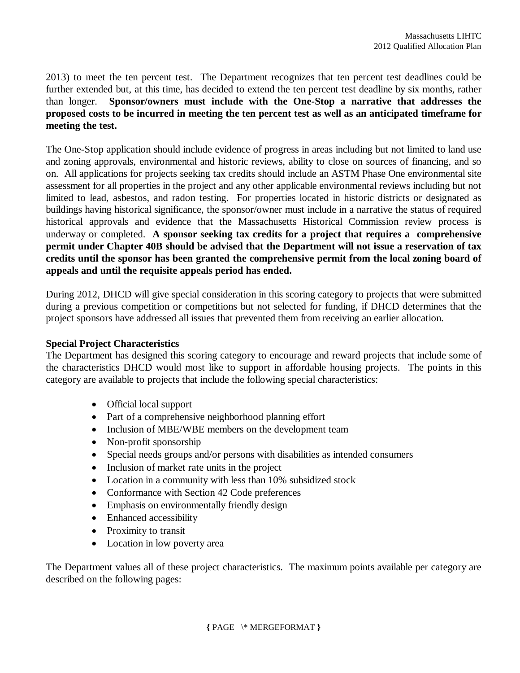2013) to meet the ten percent test. The Department recognizes that ten percent test deadlines could be further extended but, at this time, has decided to extend the ten percent test deadline by six months, rather than longer. **Sponsor/owners must include with the One-Stop a narrative that addresses the proposed costs to be incurred in meeting the ten percent test as well as an anticipated timeframe for meeting the test.**

The One-Stop application should include evidence of progress in areas including but not limited to land use and zoning approvals, environmental and historic reviews, ability to close on sources of financing, and so on. All applications for projects seeking tax credits should include an ASTM Phase One environmental site assessment for all properties in the project and any other applicable environmental reviews including but not limited to lead, asbestos, and radon testing. For properties located in historic districts or designated as buildings having historical significance, the sponsor/owner must include in a narrative the status of required historical approvals and evidence that the Massachusetts Historical Commission review process is underway or completed. **A sponsor seeking tax credits for a project that requires a comprehensive permit under Chapter 40B should be advised that the Department will not issue a reservation of tax credits until the sponsor has been granted the comprehensive permit from the local zoning board of appeals and until the requisite appeals period has ended.** 

During 2012, DHCD will give special consideration in this scoring category to projects that were submitted during a previous competition or competitions but not selected for funding, if DHCD determines that the project sponsors have addressed all issues that prevented them from receiving an earlier allocation.

#### **Special Project Characteristics**

The Department has designed this scoring category to encourage and reward projects that include some of the characteristics DHCD would most like to support in affordable housing projects. The points in this category are available to projects that include the following special characteristics:

- Official local support
- Part of a comprehensive neighborhood planning effort
- Inclusion of MBE/WBE members on the development team
- Non-profit sponsorship
- Special needs groups and/or persons with disabilities as intended consumers
- Inclusion of market rate units in the project
- Location in a community with less than 10% subsidized stock
- Conformance with Section 42 Code preferences
- Emphasis on environmentally friendly design
- Enhanced accessibility
- Proximity to transit
- Location in low poverty area

The Department values all of these project characteristics. The maximum points available per category are described on the following pages: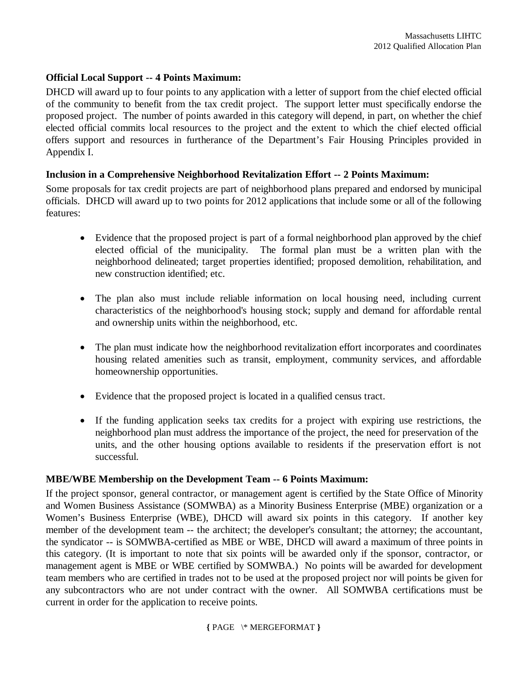#### **Official Local Support -- 4 Points Maximum:**

DHCD will award up to four points to any application with a letter of support from the chief elected official of the community to benefit from the tax credit project. The support letter must specifically endorse the proposed project. The number of points awarded in this category will depend, in part, on whether the chief elected official commits local resources to the project and the extent to which the chief elected official offers support and resources in furtherance of the Department's Fair Housing Principles provided in Appendix I.

#### **Inclusion in a Comprehensive Neighborhood Revitalization Effort -- 2 Points Maximum:**

Some proposals for tax credit projects are part of neighborhood plans prepared and endorsed by municipal officials. DHCD will award up to two points for 2012 applications that include some or all of the following features:

- Evidence that the proposed project is part of a formal neighborhood plan approved by the chief elected official of the municipality. The formal plan must be a written plan with the neighborhood delineated; target properties identified; proposed demolition, rehabilitation, and new construction identified; etc.
- The plan also must include reliable information on local housing need, including current characteristics of the neighborhood's housing stock; supply and demand for affordable rental and ownership units within the neighborhood, etc.
- The plan must indicate how the neighborhood revitalization effort incorporates and coordinates housing related amenities such as transit, employment, community services, and affordable homeownership opportunities.
- Evidence that the proposed project is located in a qualified census tract.
- If the funding application seeks tax credits for a project with expiring use restrictions, the neighborhood plan must address the importance of the project, the need for preservation of the units, and the other housing options available to residents if the preservation effort is not successful.

## **MBE/WBE Membership on the Development Team -- 6 Points Maximum:**

If the project sponsor, general contractor, or management agent is certified by the State Office of Minority and Women Business Assistance (SOMWBA) as a Minority Business Enterprise (MBE) organization or a Women's Business Enterprise (WBE), DHCD will award six points in this category. If another key member of the development team -- the architect; the developer's consultant; the attorney; the accountant, the syndicator -- is SOMWBA-certified as MBE or WBE, DHCD will award a maximum of three points in this category. (It is important to note that six points will be awarded only if the sponsor, contractor, or management agent is MBE or WBE certified by SOMWBA.) No points will be awarded for development team members who are certified in trades not to be used at the proposed project nor will points be given for any subcontractors who are not under contract with the owner. All SOMWBA certifications must be current in order for the application to receive points.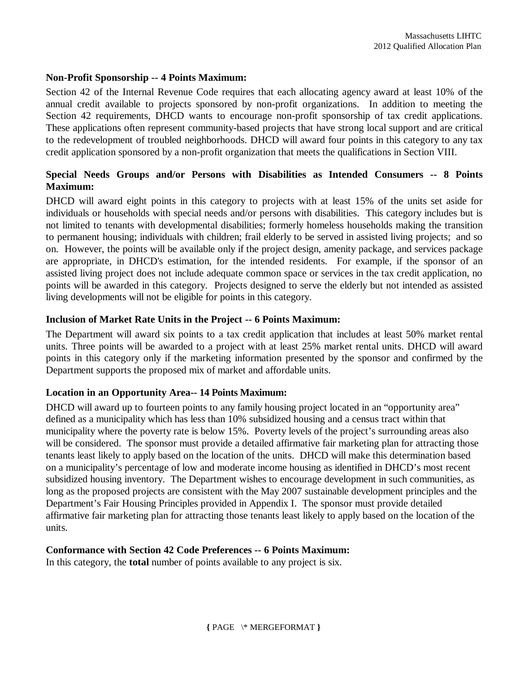#### **Non-Profit Sponsorship -- 4 Points Maximum:**

Section 42 of the Internal Revenue Code requires that each allocating agency award at least 10% of the annual credit available to projects sponsored by non-profit organizations. In addition to meeting the Section 42 requirements, DHCD wants to encourage non-profit sponsorship of tax credit applications. These applications often represent community-based projects that have strong local support and are critical to the redevelopment of troubled neighborhoods. DHCD will award four points in this category to any tax credit application sponsored by a non-profit organization that meets the qualifications in Section VIII.

## **Special Needs Groups and/or Persons with Disabilities as Intended Consumers -- 8 Points Maximum:**

DHCD will award eight points in this category to projects with at least 15% of the units set aside for individuals or households with special needs and/or persons with disabilities. This category includes but is not limited to tenants with developmental disabilities; formerly homeless households making the transition to permanent housing; individuals with children; frail elderly to be served in assisted living projects; and so on. However, the points will be available only if the project design, amenity package, and services package are appropriate, in DHCD's estimation, for the intended residents. For example, if the sponsor of an assisted living project does not include adequate common space or services in the tax credit application, no points will be awarded in this category. Projects designed to serve the elderly but not intended as assisted living developments will not be eligible for points in this category.

#### **Inclusion of Market Rate Units in the Project -- 6 Points Maximum:**

The Department will award six points to a tax credit application that includes at least 50% market rental units. Three points will be awarded to a project with at least 25% market rental units. DHCD will award points in this category only if the marketing information presented by the sponsor and confirmed by the Department supports the proposed mix of market and affordable units.

## **Location in an Opportunity Area-- 14 Points Maximum:**

DHCD will award up to fourteen points to any family housing project located in an "opportunity area" defined as a municipality which has less than 10% subsidized housing and a census tract within that municipality where the poverty rate is below 15%. Poverty levels of the project's surrounding areas also will be considered. The sponsor must provide a detailed affirmative fair marketing plan for attracting those tenants least likely to apply based on the location of the units. DHCD will make this determination based on a municipality's percentage of low and moderate income housing as identified in DHCD's most recent subsidized housing inventory. The Department wishes to encourage development in such communities, as long as the proposed projects are consistent with the May 2007 sustainable development principles and the Department's Fair Housing Principles provided in Appendix I. The sponsor must provide detailed affirmative fair marketing plan for attracting those tenants least likely to apply based on the location of the units.

#### **Conformance with Section 42 Code Preferences -- 6 Points Maximum:**

In this category, the **total** number of points available to any project is six.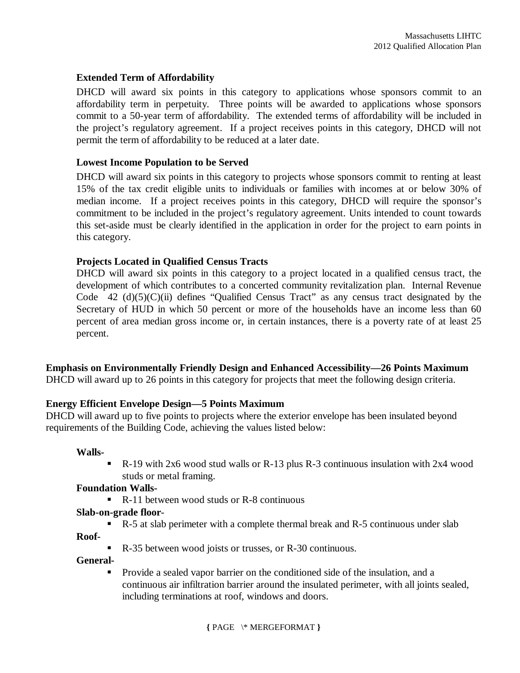#### **Extended Term of Affordability**

DHCD will award six points in this category to applications whose sponsors commit to an affordability term in perpetuity. Three points will be awarded to applications whose sponsors commit to a 50-year term of affordability. The extended terms of affordability will be included in the project's regulatory agreement. If a project receives points in this category, DHCD will not permit the term of affordability to be reduced at a later date.

#### **Lowest Income Population to be Served**

DHCD will award six points in this category to projects whose sponsors commit to renting at least 15% of the tax credit eligible units to individuals or families with incomes at or below 30% of median income. If a project receives points in this category, DHCD will require the sponsor's commitment to be included in the project's regulatory agreement. Units intended to count towards this set-aside must be clearly identified in the application in order for the project to earn points in this category.

#### **Projects Located in Qualified Census Tracts**

DHCD will award six points in this category to a project located in a qualified census tract, the development of which contributes to a concerted community revitalization plan. Internal Revenue Code 42  $(d)(5)(C)(ii)$  defines "Qualified Census Tract" as any census tract designated by the Secretary of HUD in which 50 percent or more of the households have an income less than 60 percent of area median gross income or, in certain instances, there is a poverty rate of at least 25 percent.

#### **Emphasis on Environmentally Friendly Design and Enhanced Accessibility—26 Points Maximum**

DHCD will award up to 26 points in this category for projects that meet the following design criteria.

#### **Energy Efficient Envelope Design—5 Points Maximum**

DHCD will award up to five points to projects where the exterior envelope has been insulated beyond requirements of the Building Code, achieving the values listed below:

#### **Walls-**

 R-19 with 2x6 wood stud walls or R-13 plus R-3 continuous insulation with 2x4 wood studs or metal framing.

#### **Foundation Walls-**

 $\blacksquare$  R-11 between wood studs or R-8 continuous

#### **Slab-on-grade floor**-

R-5 at slab perimeter with a complete thermal break and R-5 continuous under slab

**Roof-**

■ R-35 between wood joists or trusses, or R-30 continuous.

#### **General-**

 Provide a sealed vapor barrier on the conditioned side of the insulation, and a continuous air infiltration barrier around the insulated perimeter, with all joints sealed, including terminations at roof, windows and doors.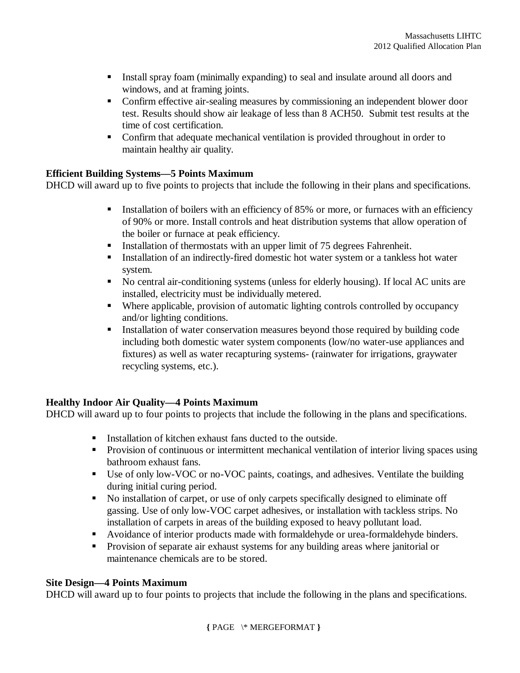- Install spray foam (minimally expanding) to seal and insulate around all doors and windows, and at framing joints.
- Confirm effective air-sealing measures by commissioning an independent blower door test. Results should show air leakage of less than 8 ACH50. Submit test results at the time of cost certification.
- Confirm that adequate mechanical ventilation is provided throughout in order to maintain healthy air quality.

## **Efficient Building Systems—5 Points Maximum**

DHCD will award up to five points to projects that include the following in their plans and specifications.

- Installation of boilers with an efficiency of 85% or more, or furnaces with an efficiency of 90% or more. Install controls and heat distribution systems that allow operation of the boiler or furnace at peak efficiency.
- Installation of thermostats with an upper limit of 75 degrees Fahrenheit.
- **Installation of an indirectly-fired domestic hot water system or a tankless hot water** system.
- No central air-conditioning systems (unless for elderly housing). If local AC units are installed, electricity must be individually metered.
- Where applicable, provision of automatic lighting controls controlled by occupancy and/or lighting conditions.
- Installation of water conservation measures beyond those required by building code including both domestic water system components (low/no water-use appliances and fixtures) as well as water recapturing systems- (rainwater for irrigations, graywater recycling systems, etc.).

## **Healthy Indoor Air Quality—4 Points Maximum**

DHCD will award up to four points to projects that include the following in the plans and specifications.

- Installation of kitchen exhaust fans ducted to the outside.
- **Provision of continuous or intermittent mechanical ventilation of interior living spaces using** bathroom exhaust fans.
- Use of only low-VOC or no-VOC paints, coatings, and adhesives. Ventilate the building during initial curing period.
- No installation of carpet, or use of only carpets specifically designed to eliminate off gassing. Use of only low-VOC carpet adhesives, or installation with tackless strips. No installation of carpets in areas of the building exposed to heavy pollutant load.
- Avoidance of interior products made with formaldehyde or urea-formaldehyde binders.
- **Provision of separate air exhaust systems for any building areas where janitorial or** maintenance chemicals are to be stored.

#### **Site Design—4 Points Maximum**

DHCD will award up to four points to projects that include the following in the plans and specifications.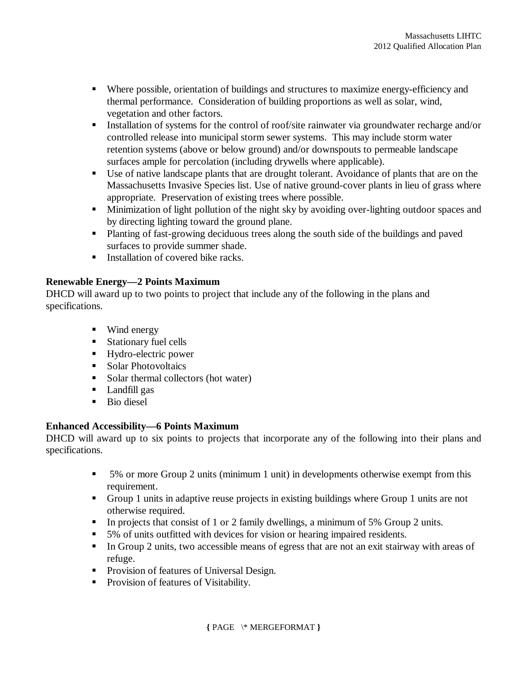- Where possible, orientation of buildings and structures to maximize energy-efficiency and thermal performance. Consideration of building proportions as well as solar, wind, vegetation and other factors.
- **Installation of systems for the control of roof/site rainwater via groundwater recharge and/or** controlled release into municipal storm sewer systems. This may include storm water retention systems (above or below ground) and/or downspouts to permeable landscape surfaces ample for percolation (including drywells where applicable).
- Use of native landscape plants that are drought tolerant. Avoidance of plants that are on the Massachusetts Invasive Species list. Use of native ground-cover plants in lieu of grass where appropriate. Preservation of existing trees where possible.
- **Minimization of light pollution of the night sky by avoiding over-lighting outdoor spaces and** by directing lighting toward the ground plane.
- Planting of fast-growing deciduous trees along the south side of the buildings and paved surfaces to provide summer shade.
- Installation of covered bike racks.

## **Renewable Energy—2 Points Maximum**

DHCD will award up to two points to project that include any of the following in the plans and specifications.

- Wind energy
- **Stationary fuel cells**
- Hydro-electric power
- **Solar Photovoltaics**
- Solar thermal collectors (hot water)
- **Landfill gas**
- **Bio diesel**

## **Enhanced Accessibility—6 Points Maximum**

DHCD will award up to six points to projects that incorporate any of the following into their plans and specifications.

- 5% or more Group 2 units (minimum 1 unit) in developments otherwise exempt from this requirement.
- Group 1 units in adaptive reuse projects in existing buildings where Group 1 units are not otherwise required.
- In projects that consist of 1 or 2 family dwellings, a minimum of 5% Group 2 units.
- 5% of units outfitted with devices for vision or hearing impaired residents.
- In Group 2 units, two accessible means of egress that are not an exit stairway with areas of refuge.
- **Provision of features of Universal Design.**
- **Provision of features of Visitability.**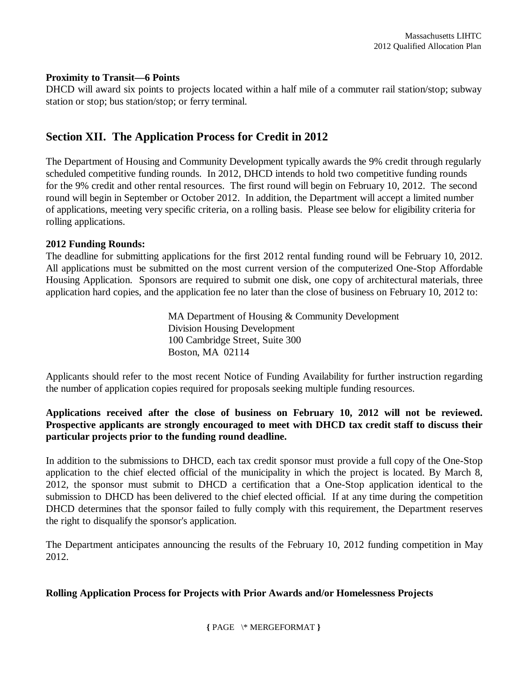#### **Proximity to Transit—6 Points**

DHCD will award six points to projects located within a half mile of a commuter rail station/stop; subway station or stop; bus station/stop; or ferry terminal.

## **Section XII. The Application Process for Credit in 2012**

The Department of Housing and Community Development typically awards the 9% credit through regularly scheduled competitive funding rounds. In 2012, DHCD intends to hold two competitive funding rounds for the 9% credit and other rental resources. The first round will begin on February 10, 2012. The second round will begin in September or October 2012. In addition, the Department will accept a limited number of applications, meeting very specific criteria, on a rolling basis. Please see below for eligibility criteria for rolling applications.

#### **2012 Funding Rounds:**

The deadline for submitting applications for the first 2012 rental funding round will be February 10, 2012. All applications must be submitted on the most current version of the computerized One-Stop Affordable Housing Application. Sponsors are required to submit one disk, one copy of architectural materials, three application hard copies, and the application fee no later than the close of business on February 10, 2012 to:

> MA Department of Housing & Community Development Division Housing Development 100 Cambridge Street, Suite 300 Boston, MA 02114

Applicants should refer to the most recent Notice of Funding Availability for further instruction regarding the number of application copies required for proposals seeking multiple funding resources.

## **Applications received after the close of business on February 10, 2012 will not be reviewed. Prospective applicants are strongly encouraged to meet with DHCD tax credit staff to discuss their particular projects prior to the funding round deadline.**

In addition to the submissions to DHCD, each tax credit sponsor must provide a full copy of the One-Stop application to the chief elected official of the municipality in which the project is located. By March 8, 2012, the sponsor must submit to DHCD a certification that a One-Stop application identical to the submission to DHCD has been delivered to the chief elected official. If at any time during the competition DHCD determines that the sponsor failed to fully comply with this requirement, the Department reserves the right to disqualify the sponsor's application.

The Department anticipates announcing the results of the February 10, 2012 funding competition in May 2012.

#### **Rolling Application Process for Projects with Prior Awards and/or Homelessness Projects**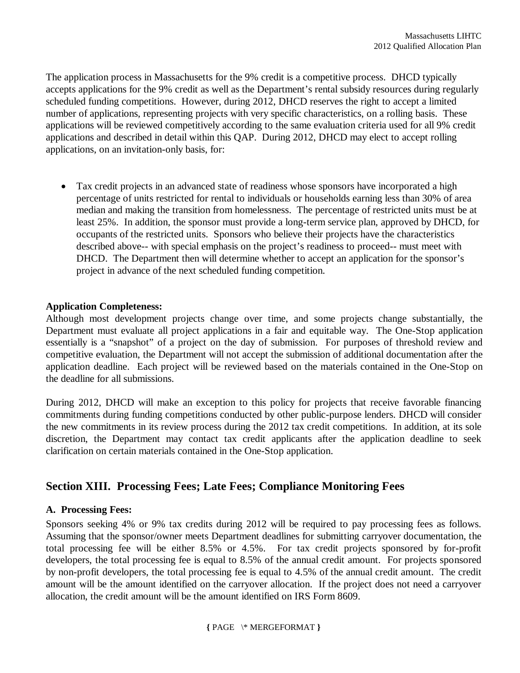The application process in Massachusetts for the 9% credit is a competitive process. DHCD typically accepts applications for the 9% credit as well as the Department's rental subsidy resources during regularly scheduled funding competitions. However, during 2012, DHCD reserves the right to accept a limited number of applications, representing projects with very specific characteristics, on a rolling basis. These applications will be reviewed competitively according to the same evaluation criteria used for all 9% credit applications and described in detail within this QAP. During 2012, DHCD may elect to accept rolling applications, on an invitation-only basis, for:

 Tax credit projects in an advanced state of readiness whose sponsors have incorporated a high percentage of units restricted for rental to individuals or households earning less than 30% of area median and making the transition from homelessness. The percentage of restricted units must be at least 25%. In addition, the sponsor must provide a long-term service plan, approved by DHCD, for occupants of the restricted units. Sponsors who believe their projects have the characteristics described above-- with special emphasis on the project's readiness to proceed-- must meet with DHCD. The Department then will determine whether to accept an application for the sponsor's project in advance of the next scheduled funding competition.

#### **Application Completeness:**

Although most development projects change over time, and some projects change substantially, the Department must evaluate all project applications in a fair and equitable way. The One-Stop application essentially is a "snapshot" of a project on the day of submission. For purposes of threshold review and competitive evaluation, the Department will not accept the submission of additional documentation after the application deadline. Each project will be reviewed based on the materials contained in the One-Stop on the deadline for all submissions.

During 2012, DHCD will make an exception to this policy for projects that receive favorable financing commitments during funding competitions conducted by other public-purpose lenders. DHCD will consider the new commitments in its review process during the 2012 tax credit competitions. In addition, at its sole discretion, the Department may contact tax credit applicants after the application deadline to seek clarification on certain materials contained in the One-Stop application.

## **Section XIII. Processing Fees; Late Fees; Compliance Monitoring Fees**

## **A. Processing Fees:**

Sponsors seeking 4% or 9% tax credits during 2012 will be required to pay processing fees as follows. Assuming that the sponsor/owner meets Department deadlines for submitting carryover documentation, the total processing fee will be either 8.5% or 4.5%. For tax credit projects sponsored by for-profit developers, the total processing fee is equal to 8.5% of the annual credit amount. For projects sponsored by non-profit developers, the total processing fee is equal to 4.5% of the annual credit amount. The credit amount will be the amount identified on the carryover allocation. If the project does not need a carryover allocation, the credit amount will be the amount identified on IRS Form 8609.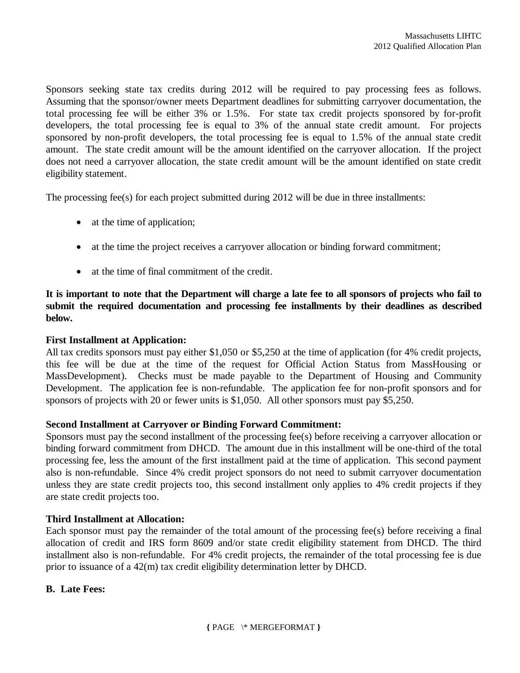Sponsors seeking state tax credits during 2012 will be required to pay processing fees as follows. Assuming that the sponsor/owner meets Department deadlines for submitting carryover documentation, the total processing fee will be either 3% or 1.5%. For state tax credit projects sponsored by for-profit developers, the total processing fee is equal to 3% of the annual state credit amount. For projects sponsored by non-profit developers, the total processing fee is equal to 1.5% of the annual state credit amount. The state credit amount will be the amount identified on the carryover allocation. If the project does not need a carryover allocation, the state credit amount will be the amount identified on state credit eligibility statement.

The processing fee(s) for each project submitted during 2012 will be due in three installments:

- at the time of application;
- at the time the project receives a carryover allocation or binding forward commitment;
- at the time of final commitment of the credit.

**It is important to note that the Department will charge a late fee to all sponsors of projects who fail to submit the required documentation and processing fee installments by their deadlines as described below.**

#### **First Installment at Application:**

All tax credits sponsors must pay either \$1,050 or \$5,250 at the time of application (for 4% credit projects, this fee will be due at the time of the request for Official Action Status from MassHousing or MassDevelopment). Checks must be made payable to the Department of Housing and Community Development. The application fee is non-refundable. The application fee for non-profit sponsors and for sponsors of projects with 20 or fewer units is \$1,050. All other sponsors must pay \$5,250.

#### **Second Installment at Carryover or Binding Forward Commitment:**

Sponsors must pay the second installment of the processing fee(s) before receiving a carryover allocation or binding forward commitment from DHCD. The amount due in this installment will be one-third of the total processing fee, less the amount of the first installment paid at the time of application. This second payment also is non-refundable. Since 4% credit project sponsors do not need to submit carryover documentation unless they are state credit projects too, this second installment only applies to 4% credit projects if they are state credit projects too.

#### **Third Installment at Allocation:**

Each sponsor must pay the remainder of the total amount of the processing fee(s) before receiving a final allocation of credit and IRS form 8609 and/or state credit eligibility statement from DHCD. The third installment also is non-refundable. For 4% credit projects, the remainder of the total processing fee is due prior to issuance of a 42(m) tax credit eligibility determination letter by DHCD.

#### **B. Late Fees:**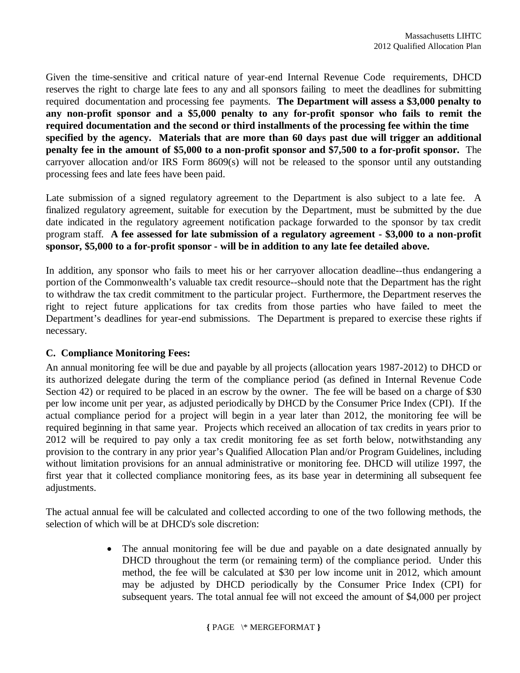Given the time-sensitive and critical nature of year-end Internal Revenue Code requirements, DHCD reserves the right to charge late fees to any and all sponsors failing to meet the deadlines for submitting required documentation and processing fee payments. **The Department will assess a \$3,000 penalty to any non-profit sponsor and a \$5,000 penalty to any for-profit sponsor who fails to remit the required documentation and the second or third installments of the processing fee within the time specified by the agency. Materials that are more than 60 days past due will trigger an additional penalty fee in the amount of \$5,000 to a non-profit sponsor and \$7,500 to a for-profit sponsor.** The carryover allocation and/or IRS Form 8609(s) will not be released to the sponsor until any outstanding processing fees and late fees have been paid.

Late submission of a signed regulatory agreement to the Department is also subject to a late fee. A finalized regulatory agreement, suitable for execution by the Department, must be submitted by the due date indicated in the regulatory agreement notification package forwarded to the sponsor by tax credit program staff. **A fee assessed for late submission of a regulatory agreement - \$3,000 to a non-profit sponsor, \$5,000 to a for-profit sponsor - will be in addition to any late fee detailed above.**

In addition, any sponsor who fails to meet his or her carryover allocation deadline--thus endangering a portion of the Commonwealth's valuable tax credit resource--should note that the Department has the right to withdraw the tax credit commitment to the particular project. Furthermore, the Department reserves the right to reject future applications for tax credits from those parties who have failed to meet the Department's deadlines for year-end submissions. The Department is prepared to exercise these rights if necessary.

## **C. Compliance Monitoring Fees:**

An annual monitoring fee will be due and payable by all projects (allocation years 1987-2012) to DHCD or its authorized delegate during the term of the compliance period (as defined in Internal Revenue Code Section 42) or required to be placed in an escrow by the owner. The fee will be based on a charge of \$30 per low income unit per year, as adjusted periodically by DHCD by the Consumer Price Index (CPI). If the actual compliance period for a project will begin in a year later than 2012, the monitoring fee will be required beginning in that same year. Projects which received an allocation of tax credits in years prior to 2012 will be required to pay only a tax credit monitoring fee as set forth below, notwithstanding any provision to the contrary in any prior year's Qualified Allocation Plan and/or Program Guidelines, including without limitation provisions for an annual administrative or monitoring fee. DHCD will utilize 1997, the first year that it collected compliance monitoring fees, as its base year in determining all subsequent fee adjustments.

The actual annual fee will be calculated and collected according to one of the two following methods, the selection of which will be at DHCD's sole discretion:

> The annual monitoring fee will be due and payable on a date designated annually by DHCD throughout the term (or remaining term) of the compliance period. Under this method, the fee will be calculated at \$30 per low income unit in 2012, which amount may be adjusted by DHCD periodically by the Consumer Price Index (CPI) for subsequent years. The total annual fee will not exceed the amount of \$4,000 per project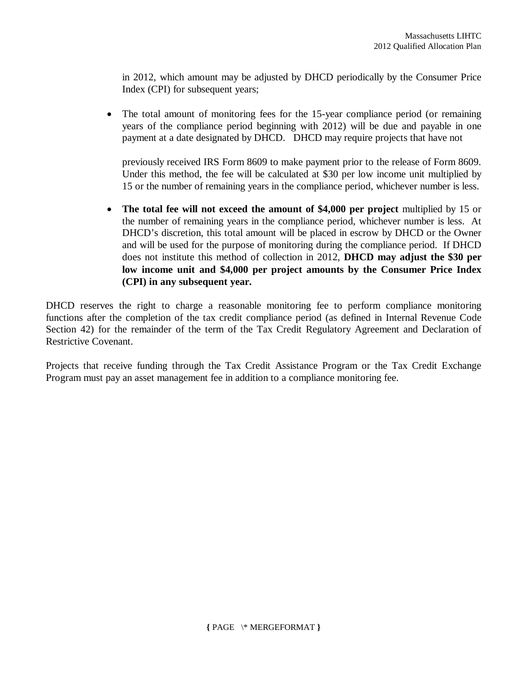in 2012, which amount may be adjusted by DHCD periodically by the Consumer Price Index (CPI) for subsequent years;

 The total amount of monitoring fees for the 15-year compliance period (or remaining years of the compliance period beginning with 2012) will be due and payable in one payment at a date designated by DHCD. DHCD may require projects that have not

previously received IRS Form 8609 to make payment prior to the release of Form 8609. Under this method, the fee will be calculated at \$30 per low income unit multiplied by 15 or the number of remaining years in the compliance period, whichever number is less.

 **The total fee will not exceed the amount of \$4,000 per project** multiplied by 15 or the number of remaining years in the compliance period, whichever number is less. At DHCD's discretion, this total amount will be placed in escrow by DHCD or the Owner and will be used for the purpose of monitoring during the compliance period. If DHCD does not institute this method of collection in 2012, **DHCD may adjust the \$30 per low income unit and \$4,000 per project amounts by the Consumer Price Index (CPI) in any subsequent year.** 

DHCD reserves the right to charge a reasonable monitoring fee to perform compliance monitoring functions after the completion of the tax credit compliance period (as defined in Internal Revenue Code Section 42) for the remainder of the term of the Tax Credit Regulatory Agreement and Declaration of Restrictive Covenant.

Projects that receive funding through the Tax Credit Assistance Program or the Tax Credit Exchange Program must pay an asset management fee in addition to a compliance monitoring fee.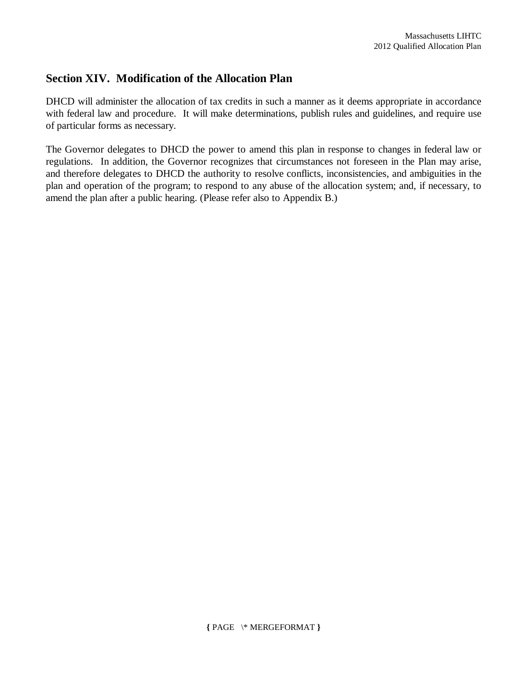# **Section XIV. Modification of the Allocation Plan**

DHCD will administer the allocation of tax credits in such a manner as it deems appropriate in accordance with federal law and procedure. It will make determinations, publish rules and guidelines, and require use of particular forms as necessary.

The Governor delegates to DHCD the power to amend this plan in response to changes in federal law or regulations. In addition, the Governor recognizes that circumstances not foreseen in the Plan may arise, and therefore delegates to DHCD the authority to resolve conflicts, inconsistencies, and ambiguities in the plan and operation of the program; to respond to any abuse of the allocation system; and, if necessary, to amend the plan after a public hearing. (Please refer also to Appendix B.)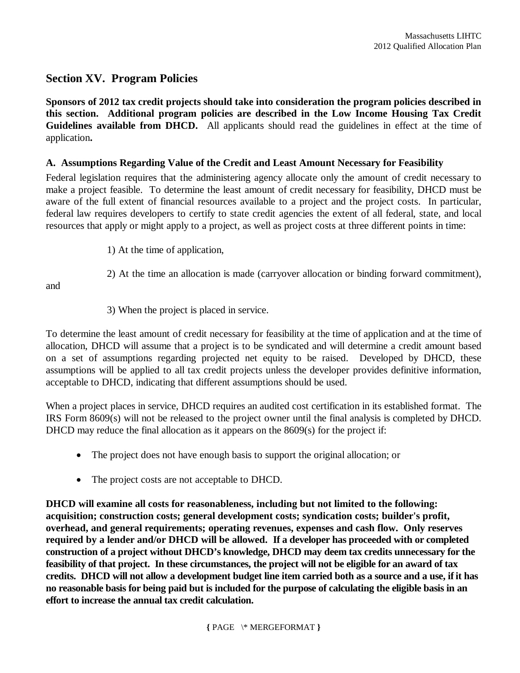# **Section XV. Program Policies**

**Sponsors of 2012 tax credit projects should take into consideration the program policies described in this section. Additional program policies are described in the Low Income Housing Tax Credit Guidelines available from DHCD.** All applicants should read the guidelines in effect at the time of application**.**

#### **A. Assumptions Regarding Value of the Credit and Least Amount Necessary for Feasibility**

Federal legislation requires that the administering agency allocate only the amount of credit necessary to make a project feasible. To determine the least amount of credit necessary for feasibility, DHCD must be aware of the full extent of financial resources available to a project and the project costs. In particular, federal law requires developers to certify to state credit agencies the extent of all federal, state, and local resources that apply or might apply to a project, as well as project costs at three different points in time:

1) At the time of application,

2) At the time an allocation is made (carryover allocation or binding forward commitment),

and

3) When the project is placed in service.

To determine the least amount of credit necessary for feasibility at the time of application and at the time of allocation, DHCD will assume that a project is to be syndicated and will determine a credit amount based on a set of assumptions regarding projected net equity to be raised. Developed by DHCD, these assumptions will be applied to all tax credit projects unless the developer provides definitive information, acceptable to DHCD, indicating that different assumptions should be used.

When a project places in service, DHCD requires an audited cost certification in its established format. The IRS Form 8609(s) will not be released to the project owner until the final analysis is completed by DHCD. DHCD may reduce the final allocation as it appears on the 8609(s) for the project if:

- The project does not have enough basis to support the original allocation; or
- The project costs are not acceptable to DHCD.

**DHCD will examine all costs for reasonableness, including but not limited to the following: acquisition; construction costs; general development costs; syndication costs; builder's profit, overhead, and general requirements; operating revenues, expenses and cash flow. Only reserves required by a lender and/or DHCD will be allowed. If a developer has proceeded with or completed construction of a project without DHCD's knowledge, DHCD may deem tax credits unnecessary for the feasibility of that project. In these circumstances, the project will not be eligible for an award of tax credits. DHCD will not allow a development budget line item carried both as a source and a use, if it has no reasonable basis for being paid but is included for the purpose of calculating the eligible basis in an effort to increase the annual tax credit calculation.**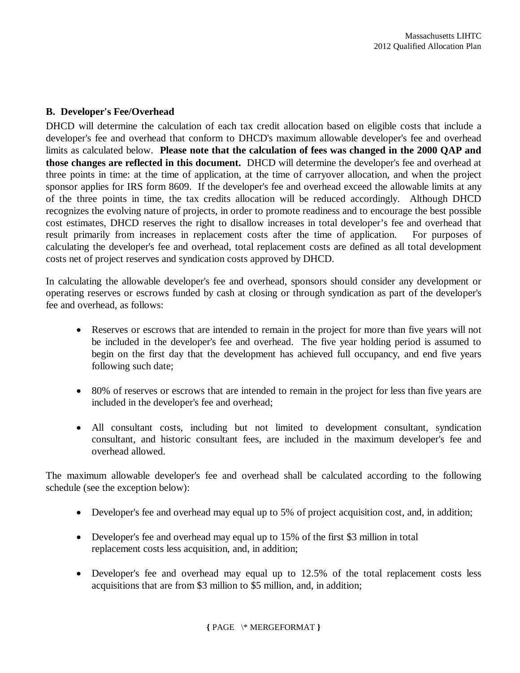#### **B. Developer's Fee/Overhead**

DHCD will determine the calculation of each tax credit allocation based on eligible costs that include a developer's fee and overhead that conform to DHCD's maximum allowable developer's fee and overhead limits as calculated below. **Please note that the calculation of fees was changed in the 2000 QAP and those changes are reflected in this document.** DHCD will determine the developer's fee and overhead at three points in time: at the time of application, at the time of carryover allocation, and when the project sponsor applies for IRS form 8609. If the developer's fee and overhead exceed the allowable limits at any of the three points in time, the tax credits allocation will be reduced accordingly. Although DHCD recognizes the evolving nature of projects, in order to promote readiness and to encourage the best possible cost estimates, DHCD reserves the right to disallow increases in total developer's fee and overhead that result primarily from increases in replacement costs after the time of application. For purposes of calculating the developer's fee and overhead, total replacement costs are defined as all total development costs net of project reserves and syndication costs approved by DHCD.

In calculating the allowable developer's fee and overhead, sponsors should consider any development or operating reserves or escrows funded by cash at closing or through syndication as part of the developer's fee and overhead, as follows:

- Reserves or escrows that are intended to remain in the project for more than five years will not be included in the developer's fee and overhead. The five year holding period is assumed to begin on the first day that the development has achieved full occupancy, and end five years following such date;
- 80% of reserves or escrows that are intended to remain in the project for less than five years are included in the developer's fee and overhead;
- All consultant costs, including but not limited to development consultant, syndication consultant, and historic consultant fees, are included in the maximum developer's fee and overhead allowed.

The maximum allowable developer's fee and overhead shall be calculated according to the following schedule (see the exception below):

- Developer's fee and overhead may equal up to 5% of project acquisition cost, and, in addition;
- Developer's fee and overhead may equal up to 15% of the first \$3 million in total replacement costs less acquisition, and, in addition;
- Developer's fee and overhead may equal up to 12.5% of the total replacement costs less acquisitions that are from \$3 million to \$5 million, and, in addition;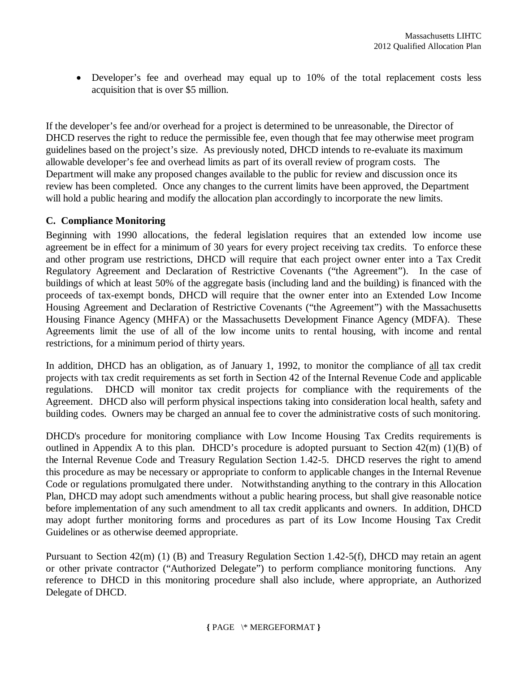• Developer's fee and overhead may equal up to 10% of the total replacement costs less acquisition that is over \$5 million.

If the developer's fee and/or overhead for a project is determined to be unreasonable, the Director of DHCD reserves the right to reduce the permissible fee, even though that fee may otherwise meet program guidelines based on the project's size. As previously noted, DHCD intends to re-evaluate its maximum allowable developer's fee and overhead limits as part of its overall review of program costs. The Department will make any proposed changes available to the public for review and discussion once its review has been completed. Once any changes to the current limits have been approved, the Department will hold a public hearing and modify the allocation plan accordingly to incorporate the new limits.

## **C. Compliance Monitoring**

Beginning with 1990 allocations, the federal legislation requires that an extended low income use agreement be in effect for a minimum of 30 years for every project receiving tax credits. To enforce these and other program use restrictions, DHCD will require that each project owner enter into a Tax Credit Regulatory Agreement and Declaration of Restrictive Covenants ("the Agreement"). In the case of buildings of which at least 50% of the aggregate basis (including land and the building) is financed with the proceeds of tax-exempt bonds, DHCD will require that the owner enter into an Extended Low Income Housing Agreement and Declaration of Restrictive Covenants ("the Agreement") with the Massachusetts Housing Finance Agency (MHFA) or the Massachusetts Development Finance Agency (MDFA). These Agreements limit the use of all of the low income units to rental housing, with income and rental restrictions, for a minimum period of thirty years.

In addition, DHCD has an obligation, as of January 1, 1992, to monitor the compliance of all tax credit projects with tax credit requirements as set forth in Section 42 of the Internal Revenue Code and applicable regulations. DHCD will monitor tax credit projects for compliance with the requirements of the Agreement. DHCD also will perform physical inspections taking into consideration local health, safety and building codes. Owners may be charged an annual fee to cover the administrative costs of such monitoring.

DHCD's procedure for monitoring compliance with Low Income Housing Tax Credits requirements is outlined in Appendix A to this plan. DHCD's procedure is adopted pursuant to Section 42(m) (1)(B) of the Internal Revenue Code and Treasury Regulation Section 1.42-5. DHCD reserves the right to amend this procedure as may be necessary or appropriate to conform to applicable changes in the Internal Revenue Code or regulations promulgated there under. Notwithstanding anything to the contrary in this Allocation Plan, DHCD may adopt such amendments without a public hearing process, but shall give reasonable notice before implementation of any such amendment to all tax credit applicants and owners. In addition, DHCD may adopt further monitoring forms and procedures as part of its Low Income Housing Tax Credit Guidelines or as otherwise deemed appropriate.

Pursuant to Section 42(m) (1) (B) and Treasury Regulation Section 1.42-5(f), DHCD may retain an agent or other private contractor ("Authorized Delegate") to perform compliance monitoring functions. Any reference to DHCD in this monitoring procedure shall also include, where appropriate, an Authorized Delegate of DHCD.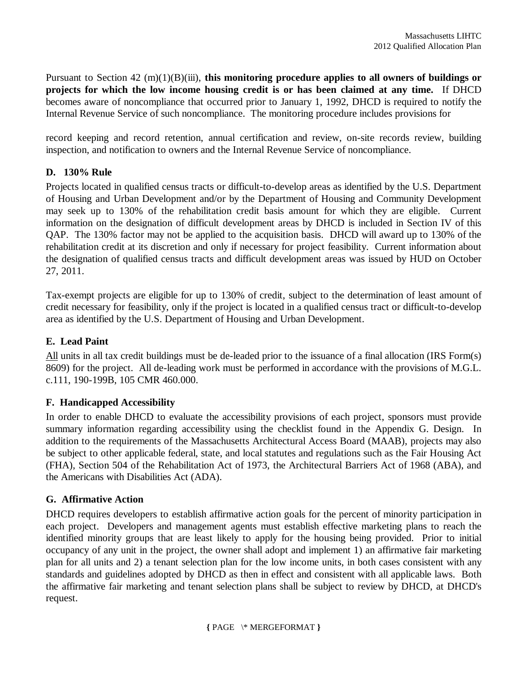Pursuant to Section 42 (m)(1)(B)(iii), **this monitoring procedure applies to all owners of buildings or projects for which the low income housing credit is or has been claimed at any time.** If DHCD becomes aware of noncompliance that occurred prior to January 1, 1992, DHCD is required to notify the Internal Revenue Service of such noncompliance. The monitoring procedure includes provisions for

record keeping and record retention, annual certification and review, on-site records review, building inspection, and notification to owners and the Internal Revenue Service of noncompliance.

## **D. 130% Rule**

Projects located in qualified census tracts or difficult-to-develop areas as identified by the U.S. Department of Housing and Urban Development and/or by the Department of Housing and Community Development may seek up to 130% of the rehabilitation credit basis amount for which they are eligible. Current information on the designation of difficult development areas by DHCD is included in Section IV of this QAP. The 130% factor may not be applied to the acquisition basis. DHCD will award up to 130% of the rehabilitation credit at its discretion and only if necessary for project feasibility. Current information about the designation of qualified census tracts and difficult development areas was issued by HUD on October 27, 2011.

Tax-exempt projects are eligible for up to 130% of credit, subject to the determination of least amount of credit necessary for feasibility, only if the project is located in a qualified census tract or difficult-to-develop area as identified by the U.S. Department of Housing and Urban Development.

## **E. Lead Paint**

All units in all tax credit buildings must be de-leaded prior to the issuance of a final allocation (IRS Form(s) 8609) for the project. All de-leading work must be performed in accordance with the provisions of M.G.L. c.111, 190-199B, 105 CMR 460.000.

## **F. Handicapped Accessibility**

In order to enable DHCD to evaluate the accessibility provisions of each project, sponsors must provide summary information regarding accessibility using the checklist found in the Appendix G. Design. In addition to the requirements of the Massachusetts Architectural Access Board (MAAB), projects may also be subject to other applicable federal, state, and local statutes and regulations such as the Fair Housing Act (FHA), Section 504 of the Rehabilitation Act of 1973, the Architectural Barriers Act of 1968 (ABA), and the Americans with Disabilities Act (ADA).

## **G. Affirmative Action**

DHCD requires developers to establish affirmative action goals for the percent of minority participation in each project. Developers and management agents must establish effective marketing plans to reach the identified minority groups that are least likely to apply for the housing being provided. Prior to initial occupancy of any unit in the project, the owner shall adopt and implement 1) an affirmative fair marketing plan for all units and 2) a tenant selection plan for the low income units, in both cases consistent with any standards and guidelines adopted by DHCD as then in effect and consistent with all applicable laws. Both the affirmative fair marketing and tenant selection plans shall be subject to review by DHCD, at DHCD's request.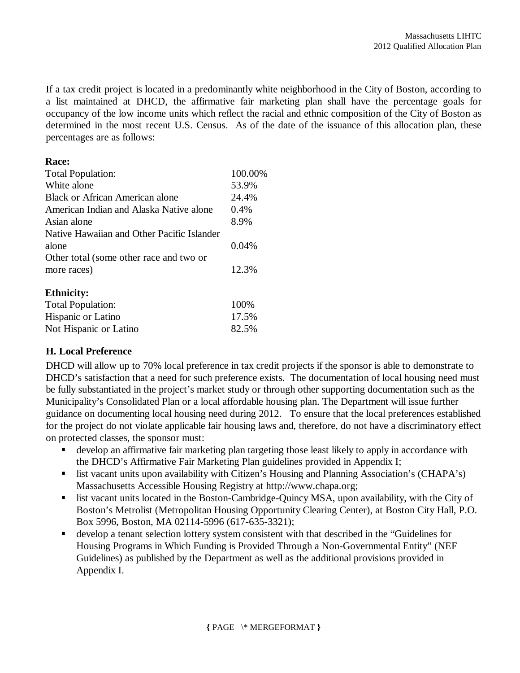If a tax credit project is located in a predominantly white neighborhood in the City of Boston, according to a list maintained at DHCD, the affirmative fair marketing plan shall have the percentage goals for occupancy of the low income units which reflect the racial and ethnic composition of the City of Boston as determined in the most recent U.S. Census. As of the date of the issuance of this allocation plan, these percentages are as follows:

#### **Race:**

| <b>Total Population:</b>                   | 100.00% |
|--------------------------------------------|---------|
| White alone                                | 53.9%   |
| <b>Black or African American alone</b>     | 24.4%   |
| American Indian and Alaska Native alone    | 0.4%    |
| Asian alone                                | 8.9%    |
| Native Hawaiian and Other Pacific Islander |         |
| alone                                      | 0.04%   |
| Other total (some other race and two or    |         |
| more races)                                | 12.3%   |
| <b>Ethnicity:</b>                          |         |
| <b>Total Population:</b>                   | 100%    |
| Hispanic or Latino                         | 17.5%   |

Not Hispanic or Latino 82.5%

#### **H. Local Preference**

DHCD will allow up to 70% local preference in tax credit projects if the sponsor is able to demonstrate to DHCD's satisfaction that a need for such preference exists. The documentation of local housing need must be fully substantiated in the project's market study or through other supporting documentation such as the Municipality's Consolidated Plan or a local affordable housing plan. The Department will issue further guidance on documenting local housing need during 2012. To ensure that the local preferences established for the project do not violate applicable fair housing laws and, therefore, do not have a discriminatory effect on protected classes, the sponsor must:

- develop an affirmative fair marketing plan targeting those least likely to apply in accordance with the DHCD's Affirmative Fair Marketing Plan guidelines provided in Appendix I;
- **Example 1** list vacant units upon availability with Citizen's Housing and Planning Association's (CHAPA's) Massachusetts Accessible Housing Registry at http://www.chapa.org;
- list vacant units located in the Boston-Cambridge-Quincy MSA, upon availability, with the City of Boston's Metrolist (Metropolitan Housing Opportunity Clearing Center), at Boston City Hall, P.O. Box 5996, Boston, MA 02114-5996 (617-635-3321);
- develop a tenant selection lottery system consistent with that described in the "Guidelines for Housing Programs in Which Funding is Provided Through a Non-Governmental Entity" (NEF Guidelines) as published by the Department as well as the additional provisions provided in Appendix I.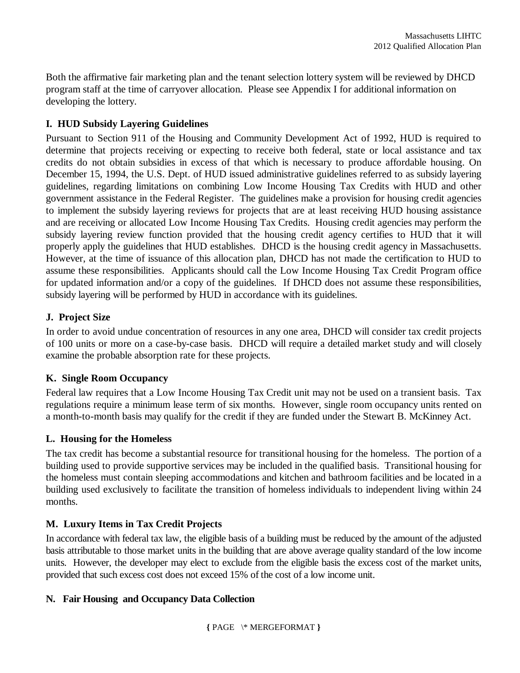Both the affirmative fair marketing plan and the tenant selection lottery system will be reviewed by DHCD program staff at the time of carryover allocation. Please see Appendix I for additional information on developing the lottery.

## **I. HUD Subsidy Layering Guidelines**

Pursuant to Section 911 of the Housing and Community Development Act of 1992, HUD is required to determine that projects receiving or expecting to receive both federal, state or local assistance and tax credits do not obtain subsidies in excess of that which is necessary to produce affordable housing. On December 15, 1994, the U.S. Dept. of HUD issued administrative guidelines referred to as subsidy layering guidelines, regarding limitations on combining Low Income Housing Tax Credits with HUD and other government assistance in the Federal Register. The guidelines make a provision for housing credit agencies to implement the subsidy layering reviews for projects that are at least receiving HUD housing assistance and are receiving or allocated Low Income Housing Tax Credits. Housing credit agencies may perform the subsidy layering review function provided that the housing credit agency certifies to HUD that it will properly apply the guidelines that HUD establishes. DHCD is the housing credit agency in Massachusetts. However, at the time of issuance of this allocation plan, DHCD has not made the certification to HUD to assume these responsibilities. Applicants should call the Low Income Housing Tax Credit Program office for updated information and/or a copy of the guidelines. If DHCD does not assume these responsibilities, subsidy layering will be performed by HUD in accordance with its guidelines.

## **J. Project Size**

In order to avoid undue concentration of resources in any one area, DHCD will consider tax credit projects of 100 units or more on a case-by-case basis. DHCD will require a detailed market study and will closely examine the probable absorption rate for these projects.

## **K. Single Room Occupancy**

Federal law requires that a Low Income Housing Tax Credit unit may not be used on a transient basis. Tax regulations require a minimum lease term of six months. However, single room occupancy units rented on a month-to-month basis may qualify for the credit if they are funded under the Stewart B. McKinney Act.

## **L. Housing for the Homeless**

The tax credit has become a substantial resource for transitional housing for the homeless. The portion of a building used to provide supportive services may be included in the qualified basis. Transitional housing for the homeless must contain sleeping accommodations and kitchen and bathroom facilities and be located in a building used exclusively to facilitate the transition of homeless individuals to independent living within 24 months.

## **M. Luxury Items in Tax Credit Projects**

In accordance with federal tax law, the eligible basis of a building must be reduced by the amount of the adjusted basis attributable to those market units in the building that are above average quality standard of the low income units. However, the developer may elect to exclude from the eligible basis the excess cost of the market units, provided that such excess cost does not exceed 15% of the cost of a low income unit.

## **N. Fair Housing and Occupancy Data Collection**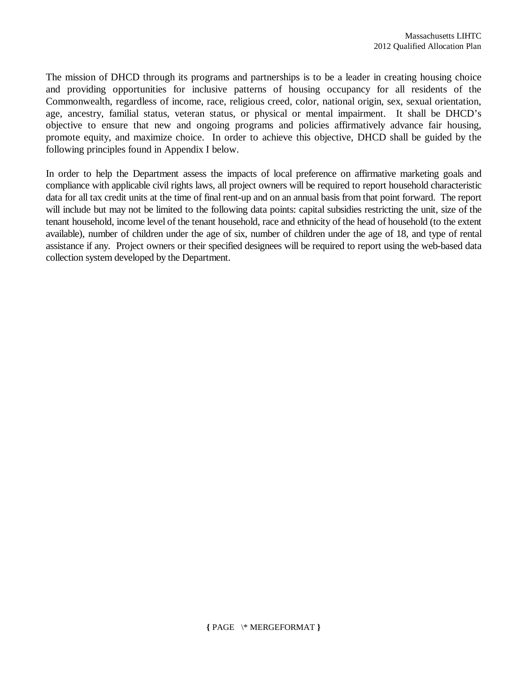The mission of DHCD through its programs and partnerships is to be a leader in creating housing choice and providing opportunities for inclusive patterns of housing occupancy for all residents of the Commonwealth, regardless of income, race, religious creed, color, national origin, sex, sexual orientation, age, ancestry, familial status, veteran status, or physical or mental impairment. It shall be DHCD's objective to ensure that new and ongoing programs and policies affirmatively advance fair housing, promote equity, and maximize choice. In order to achieve this objective, DHCD shall be guided by the following principles found in Appendix I below.

In order to help the Department assess the impacts of local preference on affirmative marketing goals and compliance with applicable civil rights laws, all project owners will be required to report household characteristic data for all tax credit units at the time of final rent-up and on an annual basis from that point forward. The report will include but may not be limited to the following data points: capital subsidies restricting the unit, size of the tenant household, income level of the tenant household, race and ethnicity of the head of household (to the extent available), number of children under the age of six, number of children under the age of 18, and type of rental assistance if any. Project owners or their specified designees will be required to report using the web-based data collection system developed by the Department.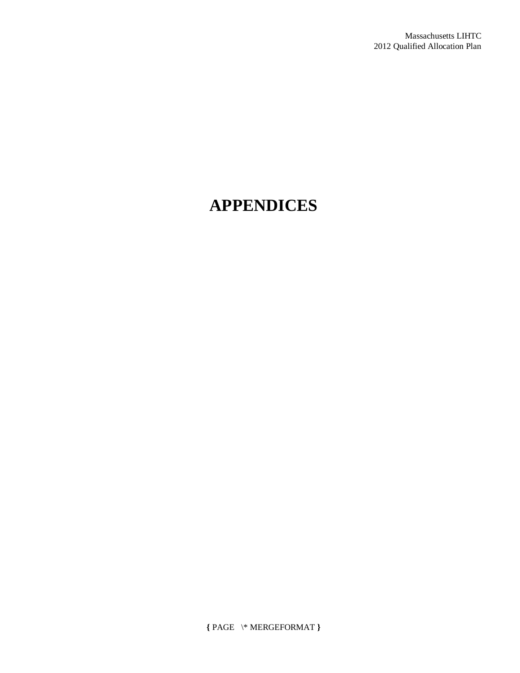# **APPENDICES**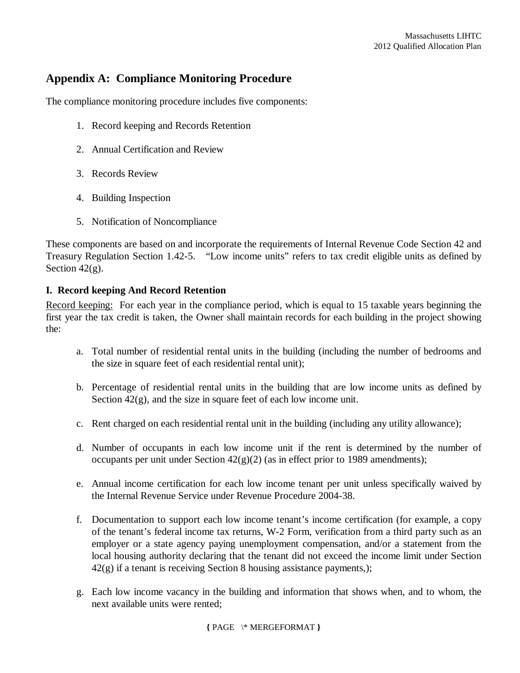# **Appendix A: Compliance Monitoring Procedure**

The compliance monitoring procedure includes five components:

- 1. Record keeping and Records Retention
- 2. Annual Certification and Review
- 3. Records Review
- 4. Building Inspection
- 5. Notification of Noncompliance

These components are based on and incorporate the requirements of Internal Revenue Code Section 42 and Treasury Regulation Section 1.42-5. "Low income units" refers to tax credit eligible units as defined by Section  $42(g)$ .

#### **I. Record keeping And Record Retention**

Record keeping: For each year in the compliance period, which is equal to 15 taxable years beginning the first year the tax credit is taken, the Owner shall maintain records for each building in the project showing the:

- a. Total number of residential rental units in the building (including the number of bedrooms and the size in square feet of each residential rental unit);
- b. Percentage of residential rental units in the building that are low income units as defined by Section  $42(g)$ , and the size in square feet of each low income unit.
- c. Rent charged on each residential rental unit in the building (including any utility allowance);
- d. Number of occupants in each low income unit if the rent is determined by the number of occupants per unit under Section  $42(g)(2)$  (as in effect prior to 1989 amendments);
- e. Annual income certification for each low income tenant per unit unless specifically waived by the Internal Revenue Service under Revenue Procedure 2004-38.
- f. Documentation to support each low income tenant's income certification (for example, a copy of the tenant's federal income tax returns, W-2 Form, verification from a third party such as an employer or a state agency paying unemployment compensation, and/or a statement from the local housing authority declaring that the tenant did not exceed the income limit under Section  $42(g)$  if a tenant is receiving Section 8 housing assistance payments,);
- g. Each low income vacancy in the building and information that shows when, and to whom, the next available units were rented;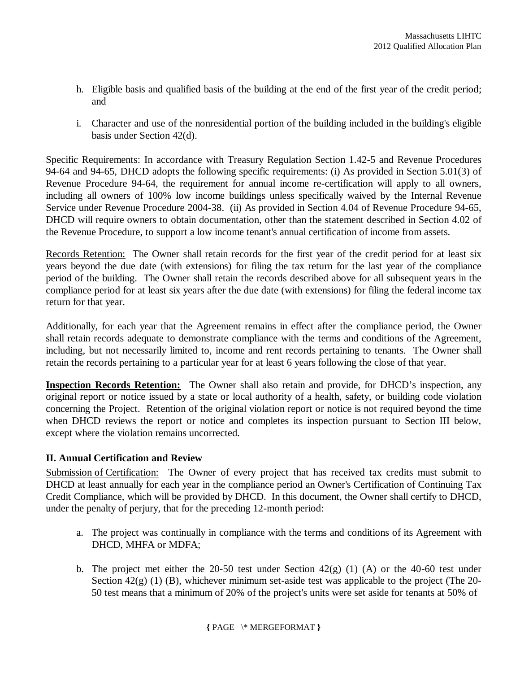- h. Eligible basis and qualified basis of the building at the end of the first year of the credit period; and
- i. Character and use of the nonresidential portion of the building included in the building's eligible basis under Section 42(d).

Specific Requirements: In accordance with Treasury Regulation Section 1.42-5 and Revenue Procedures 94-64 and 94-65, DHCD adopts the following specific requirements: (i) As provided in Section 5.01(3) of Revenue Procedure 94-64, the requirement for annual income re-certification will apply to all owners, including all owners of 100% low income buildings unless specifically waived by the Internal Revenue Service under Revenue Procedure 2004-38. (ii) As provided in Section 4.04 of Revenue Procedure 94-65, DHCD will require owners to obtain documentation, other than the statement described in Section 4.02 of the Revenue Procedure, to support a low income tenant's annual certification of income from assets.

Records Retention: The Owner shall retain records for the first year of the credit period for at least six years beyond the due date (with extensions) for filing the tax return for the last year of the compliance period of the building. The Owner shall retain the records described above for all subsequent years in the compliance period for at least six years after the due date (with extensions) for filing the federal income tax return for that year.

Additionally, for each year that the Agreement remains in effect after the compliance period, the Owner shall retain records adequate to demonstrate compliance with the terms and conditions of the Agreement, including, but not necessarily limited to, income and rent records pertaining to tenants. The Owner shall retain the records pertaining to a particular year for at least 6 years following the close of that year.

**Inspection Records Retention:** The Owner shall also retain and provide, for DHCD's inspection, any original report or notice issued by a state or local authority of a health, safety, or building code violation concerning the Project. Retention of the original violation report or notice is not required beyond the time when DHCD reviews the report or notice and completes its inspection pursuant to Section III below, except where the violation remains uncorrected*.*

## **II. Annual Certification and Review**

Submission of Certification: The Owner of every project that has received tax credits must submit to DHCD at least annually for each year in the compliance period an Owner's Certification of Continuing Tax Credit Compliance, which will be provided by DHCD. In this document, the Owner shall certify to DHCD, under the penalty of perjury, that for the preceding 12-month period:

- a. The project was continually in compliance with the terms and conditions of its Agreement with DHCD, MHFA or MDFA;
- b. The project met either the 20-50 test under Section  $42(g)$  (1) (A) or the 40-60 test under Section  $42(g)$  (1) (B), whichever minimum set-aside test was applicable to the project (The 20-50 test means that a minimum of 20% of the project's units were set aside for tenants at 50% of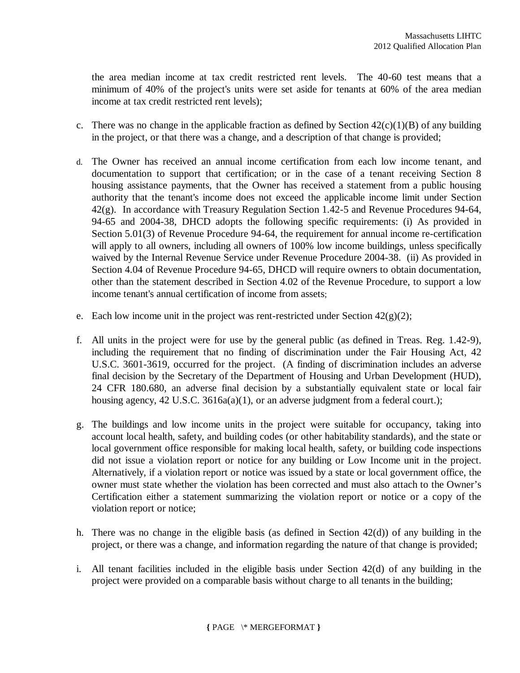the area median income at tax credit restricted rent levels. The 40-60 test means that a minimum of 40% of the project's units were set aside for tenants at 60% of the area median income at tax credit restricted rent levels);

- c. There was no change in the applicable fraction as defined by Section  $42(c)(1)(B)$  of any building in the project, or that there was a change, and a description of that change is provided;
- d. The Owner has received an annual income certification from each low income tenant, and documentation to support that certification; or in the case of a tenant receiving Section 8 housing assistance payments, that the Owner has received a statement from a public housing authority that the tenant's income does not exceed the applicable income limit under Section 42(g). In accordance with Treasury Regulation Section 1.42-5 and Revenue Procedures 94-64, 94-65 and 2004-38, DHCD adopts the following specific requirements: (i) As provided in Section 5.01(3) of Revenue Procedure 94-64, the requirement for annual income re-certification will apply to all owners, including all owners of 100% low income buildings, unless specifically waived by the Internal Revenue Service under Revenue Procedure 2004-38. (ii) As provided in Section 4.04 of Revenue Procedure 94-65, DHCD will require owners to obtain documentation, other than the statement described in Section 4.02 of the Revenue Procedure, to support a low income tenant's annual certification of income from assets;
- e. Each low income unit in the project was rent-restricted under Section  $42(g)(2)$ ;
- f. All units in the project were for use by the general public (as defined in Treas. Reg. 1.42-9), including the requirement that no finding of discrimination under the Fair Housing Act, 42 U.S.C. 3601-3619, occurred for the project. (A finding of discrimination includes an adverse final decision by the Secretary of the Department of Housing and Urban Development (HUD), 24 CFR 180.680, an adverse final decision by a substantially equivalent state or local fair housing agency, 42 U.S.C. 3616a(a)(1), or an adverse judgment from a federal court.);
- g. The buildings and low income units in the project were suitable for occupancy, taking into account local health, safety, and building codes (or other habitability standards), and the state or local government office responsible for making local health, safety, or building code inspections did not issue a violation report or notice for any building or Low Income unit in the project. Alternatively, if a violation report or notice was issued by a state or local government office, the owner must state whether the violation has been corrected and must also attach to the Owner's Certification either a statement summarizing the violation report or notice or a copy of the violation report or notice;
- h. There was no change in the eligible basis (as defined in Section 42(d)) of any building in the project, or there was a change, and information regarding the nature of that change is provided;
- i. All tenant facilities included in the eligible basis under Section 42(d) of any building in the project were provided on a comparable basis without charge to all tenants in the building;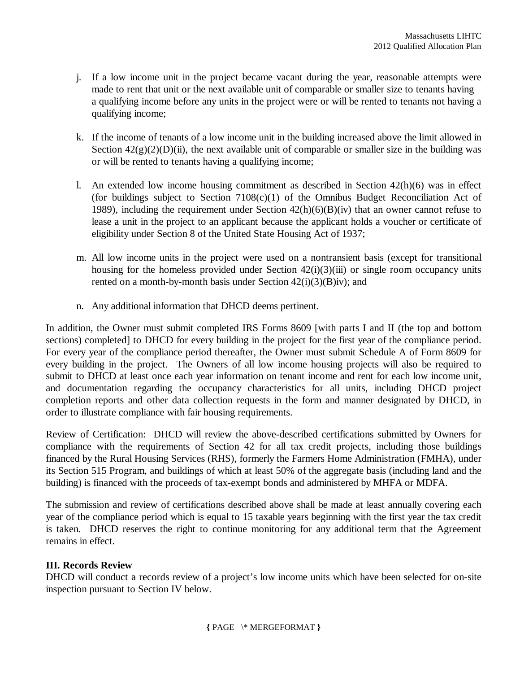- j. If a low income unit in the project became vacant during the year, reasonable attempts were made to rent that unit or the next available unit of comparable or smaller size to tenants having a qualifying income before any units in the project were or will be rented to tenants not having a qualifying income;
- k. If the income of tenants of a low income unit in the building increased above the limit allowed in Section  $42(g)(2)(D)(ii)$ , the next available unit of comparable or smaller size in the building was or will be rented to tenants having a qualifying income;
- l. An extended low income housing commitment as described in Section  $42(h)(6)$  was in effect (for buildings subject to Section  $7108(c)(1)$  of the Omnibus Budget Reconciliation Act of 1989), including the requirement under Section  $42(h)(6)(B)(iv)$  that an owner cannot refuse to lease a unit in the project to an applicant because the applicant holds a voucher or certificate of eligibility under Section 8 of the United State Housing Act of 1937;
- m. All low income units in the project were used on a nontransient basis (except for transitional housing for the homeless provided under Section  $42(i)(3)(iii)$  or single room occupancy units rented on a month-by-month basis under Section  $42(i)(3)(B)iv$ ; and
- n. Any additional information that DHCD deems pertinent.

In addition, the Owner must submit completed IRS Forms 8609 [with parts I and II (the top and bottom sections) completed] to DHCD for every building in the project for the first year of the compliance period. For every year of the compliance period thereafter, the Owner must submit Schedule A of Form 8609 for every building in the project. The Owners of all low income housing projects will also be required to submit to DHCD at least once each year information on tenant income and rent for each low income unit, and documentation regarding the occupancy characteristics for all units, including DHCD project completion reports and other data collection requests in the form and manner designated by DHCD, in order to illustrate compliance with fair housing requirements.

Review of Certification: DHCD will review the above-described certifications submitted by Owners for compliance with the requirements of Section 42 for all tax credit projects, including those buildings financed by the Rural Housing Services (RHS), formerly the Farmers Home Administration (FMHA), under its Section 515 Program, and buildings of which at least 50% of the aggregate basis (including land and the building) is financed with the proceeds of tax-exempt bonds and administered by MHFA or MDFA.

The submission and review of certifications described above shall be made at least annually covering each year of the compliance period which is equal to 15 taxable years beginning with the first year the tax credit is taken. DHCD reserves the right to continue monitoring for any additional term that the Agreement remains in effect.

## **III. Records Review**

DHCD will conduct a records review of a project's low income units which have been selected for on-site inspection pursuant to Section IV below.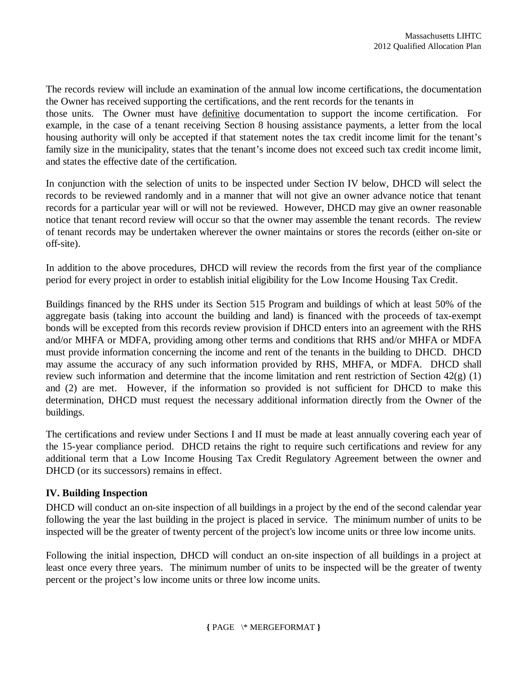The records review will include an examination of the annual low income certifications, the documentation the Owner has received supporting the certifications, and the rent records for the tenants in those units. The Owner must have definitive documentation to support the income certification. For example, in the case of a tenant receiving Section 8 housing assistance payments, a letter from the local housing authority will only be accepted if that statement notes the tax credit income limit for the tenant's family size in the municipality, states that the tenant's income does not exceed such tax credit income limit, and states the effective date of the certification.

In conjunction with the selection of units to be inspected under Section IV below, DHCD will select the records to be reviewed randomly and in a manner that will not give an owner advance notice that tenant records for a particular year will or will not be reviewed. However, DHCD may give an owner reasonable notice that tenant record review will occur so that the owner may assemble the tenant records. The review of tenant records may be undertaken wherever the owner maintains or stores the records (either on-site or off-site).

In addition to the above procedures, DHCD will review the records from the first year of the compliance period for every project in order to establish initial eligibility for the Low Income Housing Tax Credit.

Buildings financed by the RHS under its Section 515 Program and buildings of which at least 50% of the aggregate basis (taking into account the building and land) is financed with the proceeds of tax-exempt bonds will be excepted from this records review provision if DHCD enters into an agreement with the RHS and/or MHFA or MDFA, providing among other terms and conditions that RHS and/or MHFA or MDFA must provide information concerning the income and rent of the tenants in the building to DHCD. DHCD may assume the accuracy of any such information provided by RHS, MHFA, or MDFA. DHCD shall review such information and determine that the income limitation and rent restriction of Section  $42(g)$  (1) and (2) are met. However, if the information so provided is not sufficient for DHCD to make this determination, DHCD must request the necessary additional information directly from the Owner of the buildings.

The certifications and review under Sections I and II must be made at least annually covering each year of the 15-year compliance period. DHCD retains the right to require such certifications and review for any additional term that a Low Income Housing Tax Credit Regulatory Agreement between the owner and DHCD (or its successors) remains in effect.

## **IV. Building Inspection**

DHCD will conduct an on-site inspection of all buildings in a project by the end of the second calendar year following the year the last building in the project is placed in service. The minimum number of units to be inspected will be the greater of twenty percent of the project's low income units or three low income units.

Following the initial inspection, DHCD will conduct an on-site inspection of all buildings in a project at least once every three years. The minimum number of units to be inspected will be the greater of twenty percent or the project's low income units or three low income units.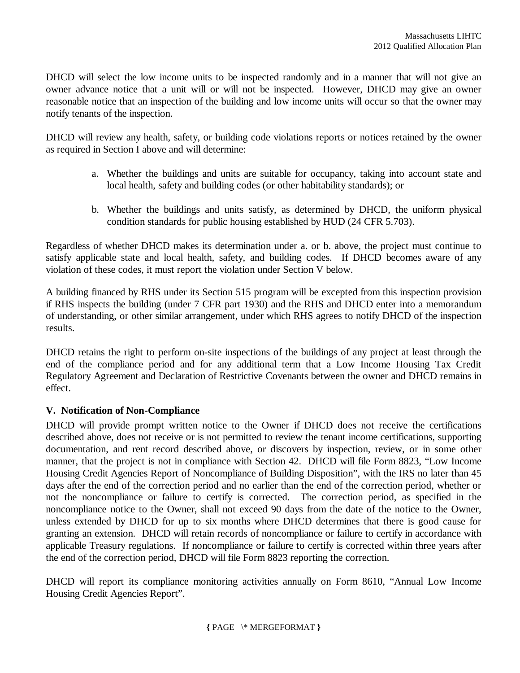DHCD will select the low income units to be inspected randomly and in a manner that will not give an owner advance notice that a unit will or will not be inspected. However, DHCD may give an owner reasonable notice that an inspection of the building and low income units will occur so that the owner may notify tenants of the inspection.

DHCD will review any health, safety, or building code violations reports or notices retained by the owner as required in Section I above and will determine:

- a. Whether the buildings and units are suitable for occupancy, taking into account state and local health, safety and building codes (or other habitability standards); or
- b. Whether the buildings and units satisfy, as determined by DHCD, the uniform physical condition standards for public housing established by HUD (24 CFR 5.703).

Regardless of whether DHCD makes its determination under a. or b. above, the project must continue to satisfy applicable state and local health, safety, and building codes. If DHCD becomes aware of any violation of these codes, it must report the violation under Section V below.

A building financed by RHS under its Section 515 program will be excepted from this inspection provision if RHS inspects the building (under 7 CFR part 1930) and the RHS and DHCD enter into a memorandum of understanding, or other similar arrangement, under which RHS agrees to notify DHCD of the inspection results.

DHCD retains the right to perform on-site inspections of the buildings of any project at least through the end of the compliance period and for any additional term that a Low Income Housing Tax Credit Regulatory Agreement and Declaration of Restrictive Covenants between the owner and DHCD remains in effect.

## **V. Notification of Non-Compliance**

DHCD will provide prompt written notice to the Owner if DHCD does not receive the certifications described above, does not receive or is not permitted to review the tenant income certifications, supporting documentation, and rent record described above, or discovers by inspection, review, or in some other manner, that the project is not in compliance with Section 42. DHCD will file Form 8823, "Low Income Housing Credit Agencies Report of Noncompliance of Building Disposition", with the IRS no later than 45 days after the end of the correction period and no earlier than the end of the correction period, whether or not the noncompliance or failure to certify is corrected. The correction period, as specified in the noncompliance notice to the Owner, shall not exceed 90 days from the date of the notice to the Owner, unless extended by DHCD for up to six months where DHCD determines that there is good cause for granting an extension. DHCD will retain records of noncompliance or failure to certify in accordance with applicable Treasury regulations. If noncompliance or failure to certify is corrected within three years after the end of the correction period, DHCD will file Form 8823 reporting the correction.

DHCD will report its compliance monitoring activities annually on Form 8610, "Annual Low Income Housing Credit Agencies Report".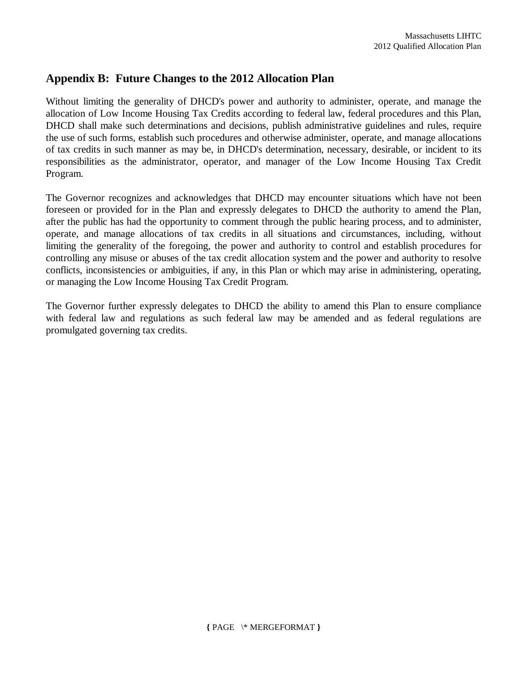# **Appendix B: Future Changes to the 2012 Allocation Plan**

Without limiting the generality of DHCD's power and authority to administer, operate, and manage the allocation of Low Income Housing Tax Credits according to federal law, federal procedures and this Plan, DHCD shall make such determinations and decisions, publish administrative guidelines and rules, require the use of such forms, establish such procedures and otherwise administer, operate, and manage allocations of tax credits in such manner as may be, in DHCD's determination, necessary, desirable, or incident to its responsibilities as the administrator, operator, and manager of the Low Income Housing Tax Credit Program.

The Governor recognizes and acknowledges that DHCD may encounter situations which have not been foreseen or provided for in the Plan and expressly delegates to DHCD the authority to amend the Plan, after the public has had the opportunity to comment through the public hearing process, and to administer, operate, and manage allocations of tax credits in all situations and circumstances, including, without limiting the generality of the foregoing, the power and authority to control and establish procedures for controlling any misuse or abuses of the tax credit allocation system and the power and authority to resolve conflicts, inconsistencies or ambiguities, if any, in this Plan or which may arise in administering, operating, or managing the Low Income Housing Tax Credit Program.

The Governor further expressly delegates to DHCD the ability to amend this Plan to ensure compliance with federal law and regulations as such federal law may be amended and as federal regulations are promulgated governing tax credits.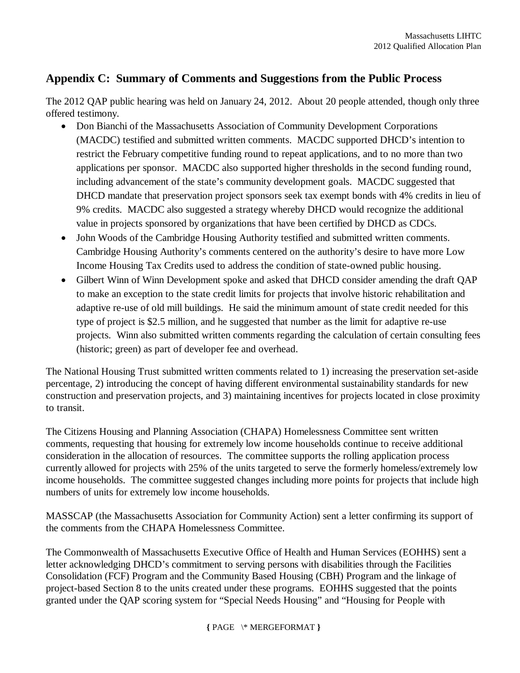# **Appendix C: Summary of Comments and Suggestions from the Public Process**

The 2012 QAP public hearing was held on January 24, 2012. About 20 people attended, though only three offered testimony.

- Don Bianchi of the Massachusetts Association of Community Development Corporations (MACDC) testified and submitted written comments. MACDC supported DHCD's intention to restrict the February competitive funding round to repeat applications, and to no more than two applications per sponsor. MACDC also supported higher thresholds in the second funding round, including advancement of the state's community development goals. MACDC suggested that DHCD mandate that preservation project sponsors seek tax exempt bonds with 4% credits in lieu of 9% credits. MACDC also suggested a strategy whereby DHCD would recognize the additional value in projects sponsored by organizations that have been certified by DHCD as CDCs.
- John Woods of the Cambridge Housing Authority testified and submitted written comments. Cambridge Housing Authority's comments centered on the authority's desire to have more Low Income Housing Tax Credits used to address the condition of state-owned public housing.
- Gilbert Winn of Winn Development spoke and asked that DHCD consider amending the draft QAP to make an exception to the state credit limits for projects that involve historic rehabilitation and adaptive re-use of old mill buildings. He said the minimum amount of state credit needed for this type of project is \$2.5 million, and he suggested that number as the limit for adaptive re-use projects. Winn also submitted written comments regarding the calculation of certain consulting fees (historic; green) as part of developer fee and overhead.

The National Housing Trust submitted written comments related to 1) increasing the preservation set-aside percentage, 2) introducing the concept of having different environmental sustainability standards for new construction and preservation projects, and 3) maintaining incentives for projects located in close proximity to transit.

The Citizens Housing and Planning Association (CHAPA) Homelessness Committee sent written comments, requesting that housing for extremely low income households continue to receive additional consideration in the allocation of resources. The committee supports the rolling application process currently allowed for projects with 25% of the units targeted to serve the formerly homeless/extremely low income households. The committee suggested changes including more points for projects that include high numbers of units for extremely low income households.

MASSCAP (the Massachusetts Association for Community Action) sent a letter confirming its support of the comments from the CHAPA Homelessness Committee.

The Commonwealth of Massachusetts Executive Office of Health and Human Services (EOHHS) sent a letter acknowledging DHCD's commitment to serving persons with disabilities through the Facilities Consolidation (FCF) Program and the Community Based Housing (CBH) Program and the linkage of project-based Section 8 to the units created under these programs. EOHHS suggested that the points granted under the QAP scoring system for "Special Needs Housing" and "Housing for People with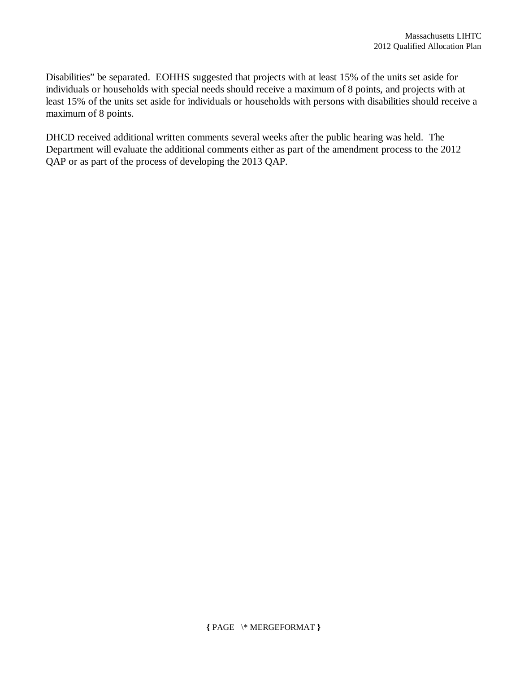Disabilities" be separated. EOHHS suggested that projects with at least 15% of the units set aside for individuals or households with special needs should receive a maximum of 8 points, and projects with at least 15% of the units set aside for individuals or households with persons with disabilities should receive a maximum of 8 points.

DHCD received additional written comments several weeks after the public hearing was held. The Department will evaluate the additional comments either as part of the amendment process to the 2012 QAP or as part of the process of developing the 2013 QAP.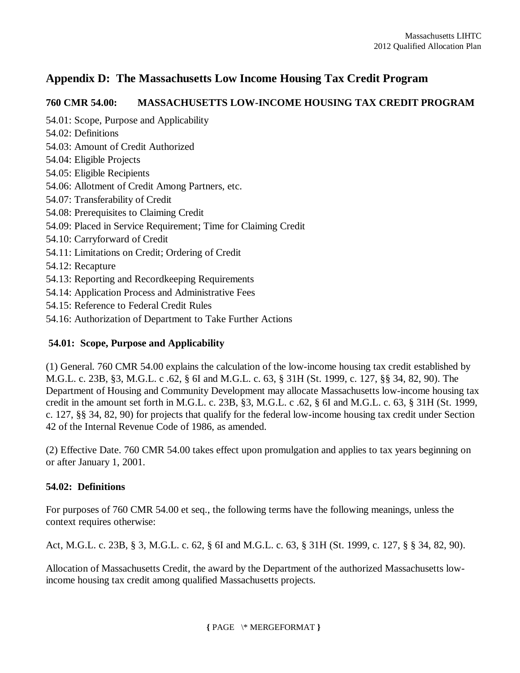# **Appendix D: The Massachusetts Low Income Housing Tax Credit Program**

## **760 CMR 54.00: MASSACHUSETTS LOW-INCOME HOUSING TAX CREDIT PROGRAM**

54.01: Scope, Purpose and Applicability 54.02: Definitions 54.03: Amount of Credit Authorized 54.04: Eligible Projects 54.05: Eligible Recipients 54.06: Allotment of Credit Among Partners, etc. 54.07: Transferability of Credit 54.08: Prerequisites to Claiming Credit 54.09: Placed in Service Requirement; Time for Claiming Credit 54.10: Carryforward of Credit 54.11: Limitations on Credit; Ordering of Credit 54.12: Recapture 54.13: Reporting and Recordkeeping Requirements 54.14: Application Process and Administrative Fees 54.15: Reference to Federal Credit Rules 54.16: Authorization of Department to Take Further Actions

## **54.01: Scope, Purpose and Applicability**

(1) General. 760 CMR 54.00 explains the calculation of the low-income housing tax credit established by M.G.L. c. 23B, §3, M.G.L. c .62, § 6I and M.G.L. c. 63, § 31H (St. 1999, c. 127, §§ 34, 82, 90). The Department of Housing and Community Development may allocate Massachusetts low-income housing tax credit in the amount set forth in M.G.L. c. 23B, §3, M.G.L. c .62, § 6I and M.G.L. c. 63, § 31H (St. 1999, c. 127, §§ 34, 82, 90) for projects that qualify for the federal low-income housing tax credit under Section 42 of the Internal Revenue Code of 1986, as amended.

(2) Effective Date. 760 CMR 54.00 takes effect upon promulgation and applies to tax years beginning on or after January 1, 2001.

## **54.02: Definitions**

For purposes of 760 CMR 54.00 et seq., the following terms have the following meanings, unless the context requires otherwise:

Act, M.G.L. c. 23B, § 3, M.G.L. c. 62, § 6I and M.G.L. c. 63, § 31H (St. 1999, c. 127, § § 34, 82, 90).

Allocation of Massachusetts Credit, the award by the Department of the authorized Massachusetts lowincome housing tax credit among qualified Massachusetts projects.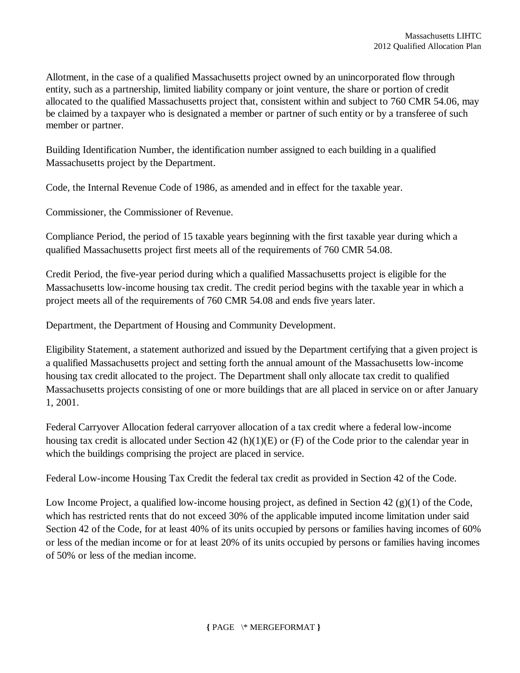Allotment, in the case of a qualified Massachusetts project owned by an unincorporated flow through entity, such as a partnership, limited liability company or joint venture, the share or portion of credit allocated to the qualified Massachusetts project that, consistent within and subject to 760 CMR 54.06, may be claimed by a taxpayer who is designated a member or partner of such entity or by a transferee of such member or partner.

Building Identification Number, the identification number assigned to each building in a qualified Massachusetts project by the Department.

Code, the Internal Revenue Code of 1986, as amended and in effect for the taxable year.

Commissioner, the Commissioner of Revenue.

Compliance Period, the period of 15 taxable years beginning with the first taxable year during which a qualified Massachusetts project first meets all of the requirements of 760 CMR 54.08.

Credit Period, the five-year period during which a qualified Massachusetts project is eligible for the Massachusetts low-income housing tax credit. The credit period begins with the taxable year in which a project meets all of the requirements of 760 CMR 54.08 and ends five years later.

Department, the Department of Housing and Community Development.

Eligibility Statement, a statement authorized and issued by the Department certifying that a given project is a qualified Massachusetts project and setting forth the annual amount of the Massachusetts low-income housing tax credit allocated to the project. The Department shall only allocate tax credit to qualified Massachusetts projects consisting of one or more buildings that are all placed in service on or after January 1, 2001.

Federal Carryover Allocation federal carryover allocation of a tax credit where a federal low-income housing tax credit is allocated under Section 42 (h)(1)(E) or (F) of the Code prior to the calendar year in which the buildings comprising the project are placed in service.

Federal Low-income Housing Tax Credit the federal tax credit as provided in Section 42 of the Code.

Low Income Project, a qualified low-income housing project, as defined in Section 42 (g)(1) of the Code, which has restricted rents that do not exceed 30% of the applicable imputed income limitation under said Section 42 of the Code, for at least 40% of its units occupied by persons or families having incomes of 60% or less of the median income or for at least 20% of its units occupied by persons or families having incomes of 50% or less of the median income.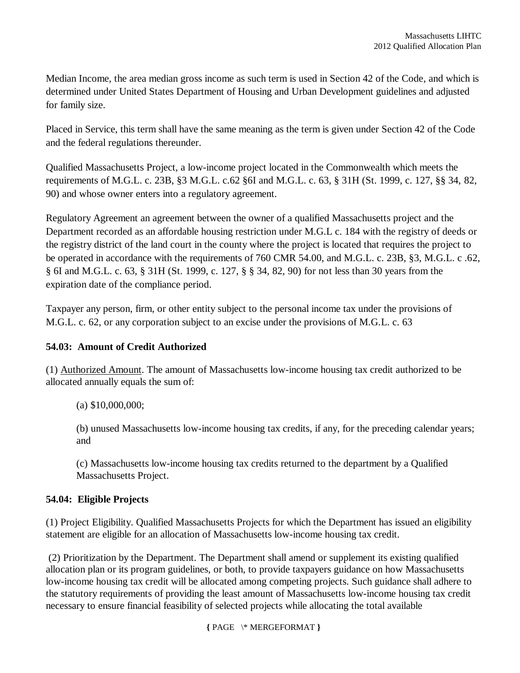Median Income, the area median gross income as such term is used in Section 42 of the Code, and which is determined under United States Department of Housing and Urban Development guidelines and adjusted for family size.

Placed in Service, this term shall have the same meaning as the term is given under Section 42 of the Code and the federal regulations thereunder.

Qualified Massachusetts Project, a low-income project located in the Commonwealth which meets the requirements of M.G.L. c. 23B, §3 M.G.L. c.62 §6I and M.G.L. c. 63, § 31H (St. 1999, c. 127, §§ 34, 82, 90) and whose owner enters into a regulatory agreement.

Regulatory Agreement an agreement between the owner of a qualified Massachusetts project and the Department recorded as an affordable housing restriction under M.G.L c. 184 with the registry of deeds or the registry district of the land court in the county where the project is located that requires the project to be operated in accordance with the requirements of 760 CMR 54.00, and M.G.L. c. 23B, §3, M.G.L. c .62, § 6I and M.G.L. c. 63, § 31H (St. 1999, c. 127, § § 34, 82, 90) for not less than 30 years from the expiration date of the compliance period.

Taxpayer any person, firm, or other entity subject to the personal income tax under the provisions of M.G.L. c. 62, or any corporation subject to an excise under the provisions of M.G.L. c. 63

## **54.03: Amount of Credit Authorized**

(1) Authorized Amount. The amount of Massachusetts low-income housing tax credit authorized to be allocated annually equals the sum of:

(a) \$10,000,000;

(b) unused Massachusetts low-income housing tax credits, if any, for the preceding calendar years; and

(c) Massachusetts low-income housing tax credits returned to the department by a Qualified Massachusetts Project.

## **54.04: Eligible Projects**

(1) Project Eligibility. Qualified Massachusetts Projects for which the Department has issued an eligibility statement are eligible for an allocation of Massachusetts low-income housing tax credit.

(2) Prioritization by the Department. The Department shall amend or supplement its existing qualified allocation plan or its program guidelines, or both, to provide taxpayers guidance on how Massachusetts low-income housing tax credit will be allocated among competing projects. Such guidance shall adhere to the statutory requirements of providing the least amount of Massachusetts low-income housing tax credit necessary to ensure financial feasibility of selected projects while allocating the total available

**{** PAGE \\* MERGEFORMAT **}**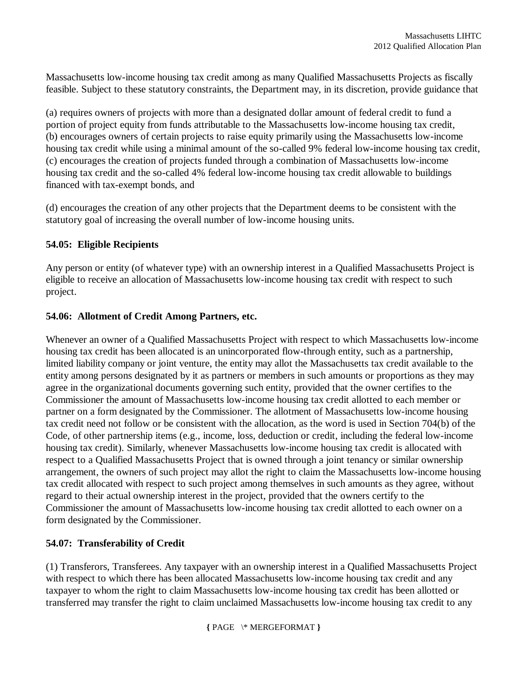Massachusetts low-income housing tax credit among as many Qualified Massachusetts Projects as fiscally feasible. Subject to these statutory constraints, the Department may, in its discretion, provide guidance that

(a) requires owners of projects with more than a designated dollar amount of federal credit to fund a portion of project equity from funds attributable to the Massachusetts low-income housing tax credit, (b) encourages owners of certain projects to raise equity primarily using the Massachusetts low-income housing tax credit while using a minimal amount of the so-called 9% federal low-income housing tax credit, (c) encourages the creation of projects funded through a combination of Massachusetts low-income housing tax credit and the so-called 4% federal low-income housing tax credit allowable to buildings financed with tax-exempt bonds, and

(d) encourages the creation of any other projects that the Department deems to be consistent with the statutory goal of increasing the overall number of low-income housing units.

#### **54.05: Eligible Recipients**

Any person or entity (of whatever type) with an ownership interest in a Qualified Massachusetts Project is eligible to receive an allocation of Massachusetts low-income housing tax credit with respect to such project.

#### **54.06: Allotment of Credit Among Partners, etc.**

Whenever an owner of a Qualified Massachusetts Project with respect to which Massachusetts low-income housing tax credit has been allocated is an unincorporated flow-through entity, such as a partnership, limited liability company or joint venture, the entity may allot the Massachusetts tax credit available to the entity among persons designated by it as partners or members in such amounts or proportions as they may agree in the organizational documents governing such entity, provided that the owner certifies to the Commissioner the amount of Massachusetts low-income housing tax credit allotted to each member or partner on a form designated by the Commissioner. The allotment of Massachusetts low-income housing tax credit need not follow or be consistent with the allocation, as the word is used in Section 704(b) of the Code, of other partnership items (e.g., income, loss, deduction or credit, including the federal low-income housing tax credit). Similarly, whenever Massachusetts low-income housing tax credit is allocated with respect to a Qualified Massachusetts Project that is owned through a joint tenancy or similar ownership arrangement, the owners of such project may allot the right to claim the Massachusetts low-income housing tax credit allocated with respect to such project among themselves in such amounts as they agree, without regard to their actual ownership interest in the project, provided that the owners certify to the Commissioner the amount of Massachusetts low-income housing tax credit allotted to each owner on a form designated by the Commissioner.

## **54.07: Transferability of Credit**

(1) Transferors, Transferees. Any taxpayer with an ownership interest in a Qualified Massachusetts Project with respect to which there has been allocated Massachusetts low-income housing tax credit and any taxpayer to whom the right to claim Massachusetts low-income housing tax credit has been allotted or transferred may transfer the right to claim unclaimed Massachusetts low-income housing tax credit to any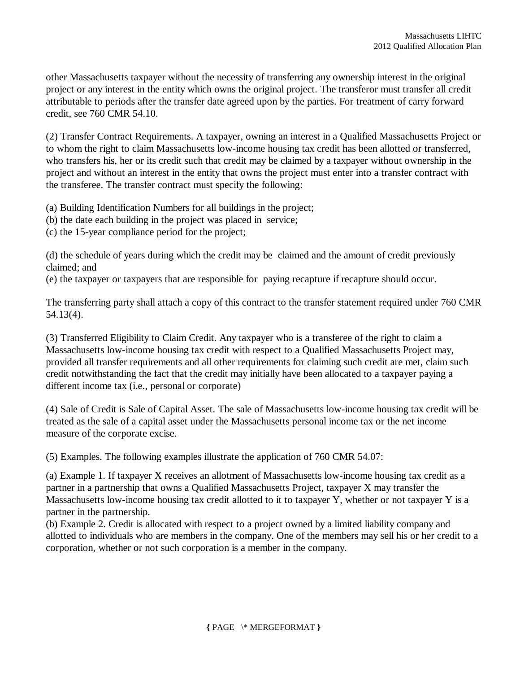other Massachusetts taxpayer without the necessity of transferring any ownership interest in the original project or any interest in the entity which owns the original project. The transferor must transfer all credit attributable to periods after the transfer date agreed upon by the parties. For treatment of carry forward credit, see 760 CMR 54.10.

(2) Transfer Contract Requirements. A taxpayer, owning an interest in a Qualified Massachusetts Project or to whom the right to claim Massachusetts low-income housing tax credit has been allotted or transferred, who transfers his, her or its credit such that credit may be claimed by a taxpayer without ownership in the project and without an interest in the entity that owns the project must enter into a transfer contract with the transferee. The transfer contract must specify the following:

(a) Building Identification Numbers for all buildings in the project;

- (b) the date each building in the project was placed in service;
- (c) the 15-year compliance period for the project;

(d) the schedule of years during which the credit may be claimed and the amount of credit previously claimed; and

(e) the taxpayer or taxpayers that are responsible for paying recapture if recapture should occur.

The transferring party shall attach a copy of this contract to the transfer statement required under 760 CMR 54.13(4).

(3) Transferred Eligibility to Claim Credit. Any taxpayer who is a transferee of the right to claim a Massachusetts low-income housing tax credit with respect to a Qualified Massachusetts Project may, provided all transfer requirements and all other requirements for claiming such credit are met, claim such credit notwithstanding the fact that the credit may initially have been allocated to a taxpayer paying a different income tax (i.e., personal or corporate)

(4) Sale of Credit is Sale of Capital Asset. The sale of Massachusetts low-income housing tax credit will be treated as the sale of a capital asset under the Massachusetts personal income tax or the net income measure of the corporate excise.

(5) Examples. The following examples illustrate the application of 760 CMR 54.07:

(a) Example 1. If taxpayer X receives an allotment of Massachusetts low-income housing tax credit as a partner in a partnership that owns a Qualified Massachusetts Project, taxpayer X may transfer the Massachusetts low-income housing tax credit allotted to it to taxpayer Y, whether or not taxpayer Y is a partner in the partnership.

(b) Example 2. Credit is allocated with respect to a project owned by a limited liability company and allotted to individuals who are members in the company. One of the members may sell his or her credit to a corporation, whether or not such corporation is a member in the company.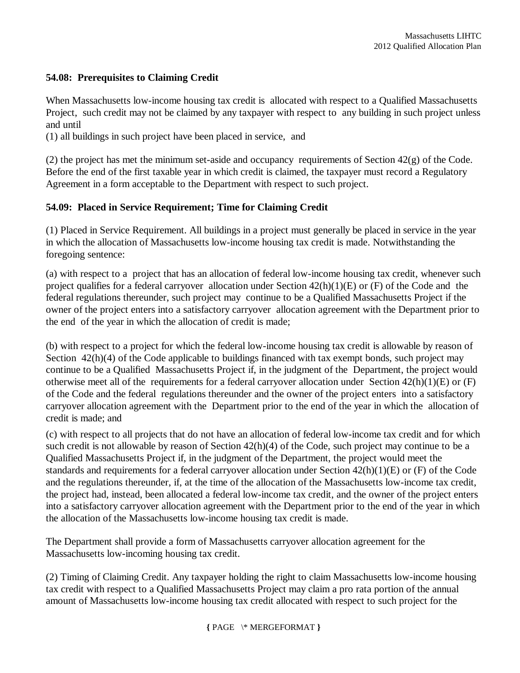## **54.08: Prerequisites to Claiming Credit**

When Massachusetts low-income housing tax credit is allocated with respect to a Qualified Massachusetts Project, such credit may not be claimed by any taxpayer with respect to any building in such project unless and until

(1) all buildings in such project have been placed in service, and

(2) the project has met the minimum set-aside and occupancy requirements of Section 42(g) of the Code. Before the end of the first taxable year in which credit is claimed, the taxpayer must record a Regulatory Agreement in a form acceptable to the Department with respect to such project.

## **54.09: Placed in Service Requirement; Time for Claiming Credit**

(1) Placed in Service Requirement. All buildings in a project must generally be placed in service in the year in which the allocation of Massachusetts low-income housing tax credit is made. Notwithstanding the foregoing sentence:

(a) with respect to a project that has an allocation of federal low-income housing tax credit, whenever such project qualifies for a federal carryover allocation under Section  $42(h)(1)(E)$  or (F) of the Code and the federal regulations thereunder, such project may continue to be a Qualified Massachusetts Project if the owner of the project enters into a satisfactory carryover allocation agreement with the Department prior to the end of the year in which the allocation of credit is made;

(b) with respect to a project for which the federal low-income housing tax credit is allowable by reason of Section 42(h)(4) of the Code applicable to buildings financed with tax exempt bonds, such project may continue to be a Qualified Massachusetts Project if, in the judgment of the Department, the project would otherwise meet all of the requirements for a federal carryover allocation under Section 42(h)(1)(E) or (F) of the Code and the federal regulations thereunder and the owner of the project enters into a satisfactory carryover allocation agreement with the Department prior to the end of the year in which the allocation of credit is made; and

(c) with respect to all projects that do not have an allocation of federal low-income tax credit and for which such credit is not allowable by reason of Section 42(h)(4) of the Code, such project may continue to be a Qualified Massachusetts Project if, in the judgment of the Department, the project would meet the standards and requirements for a federal carryover allocation under Section 42(h)(1)(E) or (F) of the Code and the regulations thereunder, if, at the time of the allocation of the Massachusetts low-income tax credit, the project had, instead, been allocated a federal low-income tax credit, and the owner of the project enters into a satisfactory carryover allocation agreement with the Department prior to the end of the year in which the allocation of the Massachusetts low-income housing tax credit is made.

The Department shall provide a form of Massachusetts carryover allocation agreement for the Massachusetts low-incoming housing tax credit.

(2) Timing of Claiming Credit. Any taxpayer holding the right to claim Massachusetts low-income housing tax credit with respect to a Qualified Massachusetts Project may claim a pro rata portion of the annual amount of Massachusetts low-income housing tax credit allocated with respect to such project for the

**{** PAGE \\* MERGEFORMAT **}**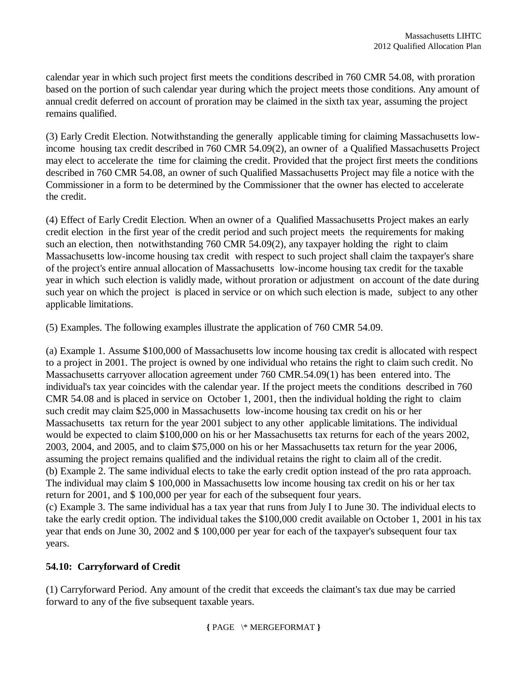calendar year in which such project first meets the conditions described in 760 CMR 54.08, with proration based on the portion of such calendar year during which the project meets those conditions. Any amount of annual credit deferred on account of proration may be claimed in the sixth tax year, assuming the project remains qualified.

(3) Early Credit Election. Notwithstanding the generally applicable timing for claiming Massachusetts lowincome housing tax credit described in 760 CMR 54.09(2), an owner of a Qualified Massachusetts Project may elect to accelerate the time for claiming the credit. Provided that the project first meets the conditions described in 760 CMR 54.08, an owner of such Qualified Massachusetts Project may file a notice with the Commissioner in a form to be determined by the Commissioner that the owner has elected to accelerate the credit.

(4) Effect of Early Credit Election. When an owner of a Qualified Massachusetts Project makes an early credit election in the first year of the credit period and such project meets the requirements for making such an election, then notwithstanding 760 CMR 54.09(2), any taxpayer holding the right to claim Massachusetts low-income housing tax credit with respect to such project shall claim the taxpayer's share of the project's entire annual allocation of Massachusetts low-income housing tax credit for the taxable year in which such election is validly made, without proration or adjustment on account of the date during such year on which the project is placed in service or on which such election is made, subject to any other applicable limitations.

(5) Examples. The following examples illustrate the application of 760 CMR 54.09.

(a) Example 1. Assume \$100,000 of Massachusetts low income housing tax credit is allocated with respect to a project in 2001. The project is owned by one individual who retains the right to claim such credit. No Massachusetts carryover allocation agreement under 760 CMR.54.09(1) has been entered into. The individual's tax year coincides with the calendar year. If the project meets the conditions described in 760 CMR 54.08 and is placed in service on October 1, 2001, then the individual holding the right to claim such credit may claim \$25,000 in Massachusetts low-income housing tax credit on his or her Massachusetts tax return for the year 2001 subject to any other applicable limitations. The individual would be expected to claim \$100,000 on his or her Massachusetts tax returns for each of the years 2002, 2003, 2004, and 2005, and to claim \$75,000 on his or her Massachusetts tax return for the year 2006, assuming the project remains qualified and the individual retains the right to claim all of the credit. (b) Example 2. The same individual elects to take the early credit option instead of the pro rata approach. The individual may claim \$ 100,000 in Massachusetts low income housing tax credit on his or her tax return for 2001, and \$ 100,000 per year for each of the subsequent four years. (c) Example 3. The same individual has a tax year that runs from July I to June 30. The individual elects to take the early credit option. The individual takes the \$100,000 credit available on October 1, 2001 in his tax year that ends on June 30, 2002 and \$ 100,000 per year for each of the taxpayer's subsequent four tax years.

## **54.10: Carryforward of Credit**

(1) Carryforward Period. Any amount of the credit that exceeds the claimant's tax due may be carried forward to any of the five subsequent taxable years.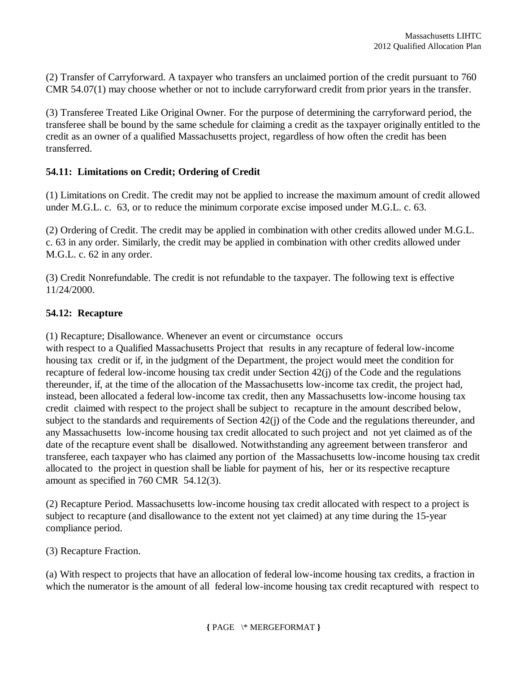(2) Transfer of Carryforward. A taxpayer who transfers an unclaimed portion of the credit pursuant to 760 CMR 54.07(1) may choose whether or not to include carryforward credit from prior years in the transfer.

(3) Transferee Treated Like Original Owner. For the purpose of determining the carryforward period, the transferee shall be bound by the same schedule for claiming a credit as the taxpayer originally entitled to the credit as an owner of a qualified Massachusetts project, regardless of how often the credit has been transferred.

#### **54.11: Limitations on Credit; Ordering of Credit**

(1) Limitations on Credit. The credit may not be applied to increase the maximum amount of credit allowed under M.G.L. c. 63, or to reduce the minimum corporate excise imposed under M.G.L. c. 63.

(2) Ordering of Credit. The credit may be applied in combination with other credits allowed under M.G.L. c. 63 in any order. Similarly, the credit may be applied in combination with other credits allowed under M.G.L. c. 62 in any order.

(3) Credit Nonrefundable. The credit is not refundable to the taxpayer. The following text is effective 11/24/2000.

#### **54.12: Recapture**

(1) Recapture; Disallowance. Whenever an event or circumstance occurs

with respect to a Qualified Massachusetts Project that results in any recapture of federal low-income housing tax credit or if, in the judgment of the Department, the project would meet the condition for recapture of federal low-income housing tax credit under Section 42(j) of the Code and the regulations thereunder, if, at the time of the allocation of the Massachusetts low-income tax credit, the project had, instead, been allocated a federal low-income tax credit, then any Massachusetts low-income housing tax credit claimed with respect to the project shall be subject to recapture in the amount described below, subject to the standards and requirements of Section 42(j) of the Code and the regulations thereunder, and any Massachusetts low-income housing tax credit allocated to such project and not yet claimed as of the date of the recapture event shall be disallowed. Notwithstanding any agreement between transferor and transferee, each taxpayer who has claimed any portion of the Massachusetts low-income housing tax credit allocated to the project in question shall be liable for payment of his, her or its respective recapture amount as specified in 760 CMR 54.12(3).

(2) Recapture Period. Massachusetts low-income housing tax credit allocated with respect to a project is subject to recapture (and disallowance to the extent not yet claimed) at any time during the 15-year compliance period.

(3) Recapture Fraction.

(a) With respect to projects that have an allocation of federal low-income housing tax credits, a fraction in which the numerator is the amount of all federal low-income housing tax credit recaptured with respect to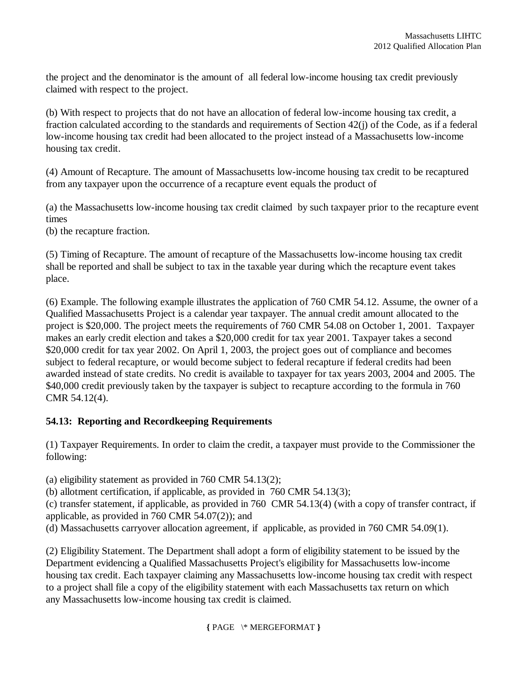the project and the denominator is the amount of all federal low-income housing tax credit previously claimed with respect to the project.

(b) With respect to projects that do not have an allocation of federal low-income housing tax credit, a fraction calculated according to the standards and requirements of Section 42(j) of the Code, as if a federal low-income housing tax credit had been allocated to the project instead of a Massachusetts low-income housing tax credit.

(4) Amount of Recapture. The amount of Massachusetts low-income housing tax credit to be recaptured from any taxpayer upon the occurrence of a recapture event equals the product of

(a) the Massachusetts low-income housing tax credit claimed by such taxpayer prior to the recapture event times

(b) the recapture fraction.

(5) Timing of Recapture. The amount of recapture of the Massachusetts low-income housing tax credit shall be reported and shall be subject to tax in the taxable year during which the recapture event takes place.

(6) Example. The following example illustrates the application of 760 CMR 54.12. Assume, the owner of a Qualified Massachusetts Project is a calendar year taxpayer. The annual credit amount allocated to the project is \$20,000. The project meets the requirements of 760 CMR 54.08 on October 1, 2001. Taxpayer makes an early credit election and takes a \$20,000 credit for tax year 2001. Taxpayer takes a second \$20,000 credit for tax year 2002. On April 1, 2003, the project goes out of compliance and becomes subject to federal recapture, or would become subject to federal recapture if federal credits had been awarded instead of state credits. No credit is available to taxpayer for tax years 2003, 2004 and 2005. The \$40,000 credit previously taken by the taxpayer is subject to recapture according to the formula in 760 CMR 54.12(4).

## **54.13: Reporting and Recordkeeping Requirements**

(1) Taxpayer Requirements. In order to claim the credit, a taxpayer must provide to the Commissioner the following:

(a) eligibility statement as provided in 760 CMR 54.13(2);

(b) allotment certification, if applicable, as provided in 760 CMR 54.13(3);

(c) transfer statement, if applicable, as provided in 760 CMR 54.13(4) (with a copy of transfer contract, if applicable, as provided in 760 CMR 54.07(2)); and

(d) Massachusetts carryover allocation agreement, if applicable, as provided in 760 CMR 54.09(1).

(2) Eligibility Statement. The Department shall adopt a form of eligibility statement to be issued by the Department evidencing a Qualified Massachusetts Project's eligibility for Massachusetts low-income housing tax credit. Each taxpayer claiming any Massachusetts low-income housing tax credit with respect to a project shall file a copy of the eligibility statement with each Massachusetts tax return on which any Massachusetts low-income housing tax credit is claimed.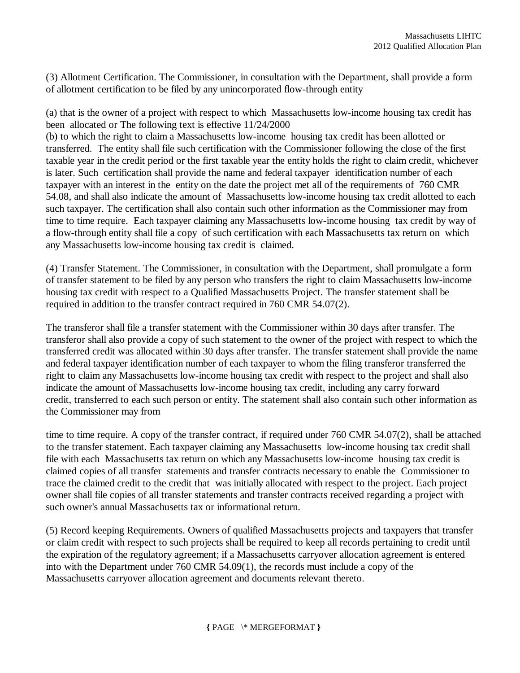(3) Allotment Certification. The Commissioner, in consultation with the Department, shall provide a form of allotment certification to be filed by any unincorporated flow-through entity

(a) that is the owner of a project with respect to which Massachusetts low-income housing tax credit has been allocated or The following text is effective 11/24/2000

(b) to which the right to claim a Massachusetts low-income housing tax credit has been allotted or transferred. The entity shall file such certification with the Commissioner following the close of the first taxable year in the credit period or the first taxable year the entity holds the right to claim credit, whichever is later. Such certification shall provide the name and federal taxpayer identification number of each taxpayer with an interest in the entity on the date the project met all of the requirements of 760 CMR 54.08, and shall also indicate the amount of Massachusetts low-income housing tax credit allotted to each such taxpayer. The certification shall also contain such other information as the Commissioner may from time to time require. Each taxpayer claiming any Massachusetts low-income housing tax credit by way of a flow-through entity shall file a copy of such certification with each Massachusetts tax return on which any Massachusetts low-income housing tax credit is claimed.

(4) Transfer Statement. The Commissioner, in consultation with the Department, shall promulgate a form of transfer statement to be filed by any person who transfers the right to claim Massachusetts low-income housing tax credit with respect to a Qualified Massachusetts Project. The transfer statement shall be required in addition to the transfer contract required in 760 CMR 54.07(2).

The transferor shall file a transfer statement with the Commissioner within 30 days after transfer. The transferor shall also provide a copy of such statement to the owner of the project with respect to which the transferred credit was allocated within 30 days after transfer. The transfer statement shall provide the name and federal taxpayer identification number of each taxpayer to whom the filing transferor transferred the right to claim any Massachusetts low-income housing tax credit with respect to the project and shall also indicate the amount of Massachusetts low-income housing tax credit, including any carry forward credit, transferred to each such person or entity. The statement shall also contain such other information as the Commissioner may from

time to time require. A copy of the transfer contract, if required under 760 CMR 54.07(2), shall be attached to the transfer statement. Each taxpayer claiming any Massachusetts low-income housing tax credit shall file with each Massachusetts tax return on which any Massachusetts low-income housing tax credit is claimed copies of all transfer statements and transfer contracts necessary to enable the Commissioner to trace the claimed credit to the credit that was initially allocated with respect to the project. Each project owner shall file copies of all transfer statements and transfer contracts received regarding a project with such owner's annual Massachusetts tax or informational return.

(5) Record keeping Requirements. Owners of qualified Massachusetts projects and taxpayers that transfer or claim credit with respect to such projects shall be required to keep all records pertaining to credit until the expiration of the regulatory agreement; if a Massachusetts carryover allocation agreement is entered into with the Department under 760 CMR 54.09(1), the records must include a copy of the Massachusetts carryover allocation agreement and documents relevant thereto.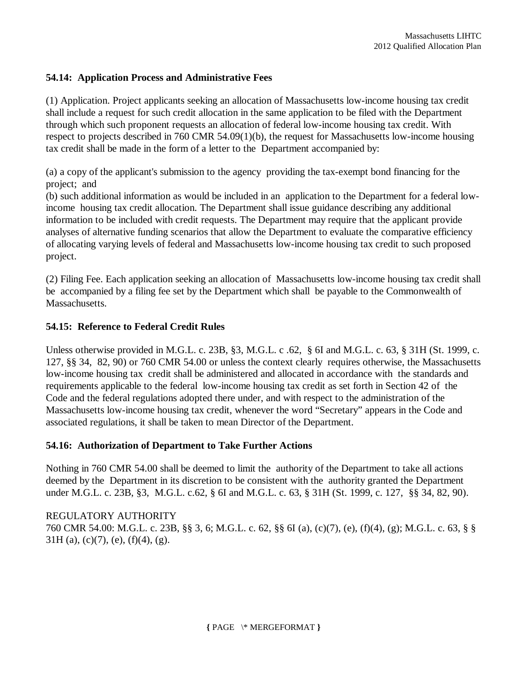### **54.14: Application Process and Administrative Fees**

(1) Application. Project applicants seeking an allocation of Massachusetts low-income housing tax credit shall include a request for such credit allocation in the same application to be filed with the Department through which such proponent requests an allocation of federal low-income housing tax credit. With respect to projects described in 760 CMR 54.09(1)(b), the request for Massachusetts low-income housing tax credit shall be made in the form of a letter to the Department accompanied by:

(a) a copy of the applicant's submission to the agency providing the tax-exempt bond financing for the project; and

(b) such additional information as would be included in an application to the Department for a federal lowincome housing tax credit allocation. The Department shall issue guidance describing any additional information to be included with credit requests. The Department may require that the applicant provide analyses of alternative funding scenarios that allow the Department to evaluate the comparative efficiency of allocating varying levels of federal and Massachusetts low-income housing tax credit to such proposed project.

(2) Filing Fee. Each application seeking an allocation of Massachusetts low-income housing tax credit shall be accompanied by a filing fee set by the Department which shall be payable to the Commonwealth of Massachusetts.

### **54.15: Reference to Federal Credit Rules**

Unless otherwise provided in M.G.L. c. 23B, §3, M.G.L. c .62, § 6I and M.G.L. c. 63, § 31H (St. 1999, c. 127, §§ 34, 82, 90) or 760 CMR 54.00 or unless the context clearly requires otherwise, the Massachusetts low-income housing tax credit shall be administered and allocated in accordance with the standards and requirements applicable to the federal low-income housing tax credit as set forth in Section 42 of the Code and the federal regulations adopted there under, and with respect to the administration of the Massachusetts low-income housing tax credit, whenever the word "Secretary" appears in the Code and associated regulations, it shall be taken to mean Director of the Department.

### **54.16: Authorization of Department to Take Further Actions**

Nothing in 760 CMR 54.00 shall be deemed to limit the authority of the Department to take all actions deemed by the Department in its discretion to be consistent with the authority granted the Department under M.G.L. c. 23B, §3, M.G.L. c.62, § 6I and M.G.L. c. 63, § 31H (St. 1999, c. 127, §§ 34, 82, 90).

REGULATORY AUTHORITY 760 CMR 54.00: M.G.L. c. 23B, §§ 3, 6; M.G.L. c. 62, §§ 6I (a), (c)(7), (e), (f)(4), (g); M.G.L. c. 63, § §  $31H$  (a), (c)(7), (e), (f)(4), (g).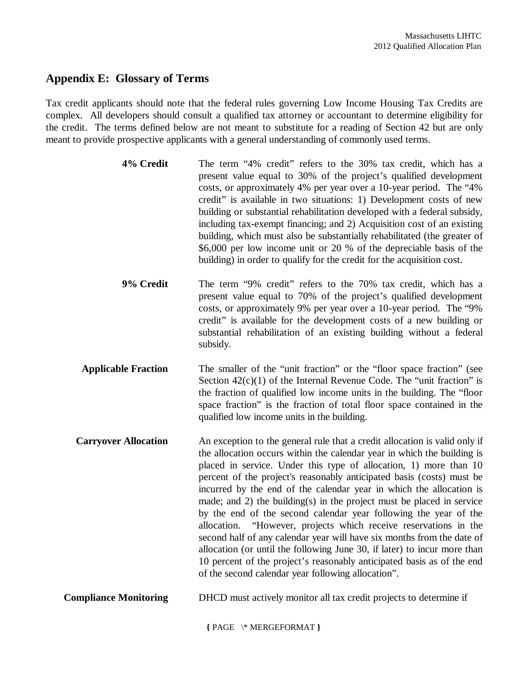## **Appendix E: Glossary of Terms**

Tax credit applicants should note that the federal rules governing Low Income Housing Tax Credits are complex. All developers should consult a qualified tax attorney or accountant to determine eligibility for the credit. The terms defined below are not meant to substitute for a reading of Section 42 but are only meant to provide prospective applicants with a general understanding of commonly used terms.

| 4% Credit | The term "4% credit" refers to the 30% tax credit, which has a           |  |  |  |  |
|-----------|--------------------------------------------------------------------------|--|--|--|--|
|           | present value equal to 30% of the project's qualified development        |  |  |  |  |
|           | costs, or approximately 4% per year over a 10-year period. The "4%       |  |  |  |  |
|           | credit" is available in two situations: 1) Development costs of new      |  |  |  |  |
|           | building or substantial rehabilitation developed with a federal subsidy, |  |  |  |  |
|           | including tax-exempt financing; and 2) Acquisition cost of an existing   |  |  |  |  |
|           | building, which must also be substantially rehabilitated (the greater of |  |  |  |  |
|           | \$6,000 per low income unit or 20 % of the depreciable basis of the      |  |  |  |  |
|           | building) in order to qualify for the credit for the acquisition cost.   |  |  |  |  |

**9% Credit** The term "9% credit" refers to the 70% tax credit, which has a present value equal to 70% of the project's qualified development costs, or approximately 9% per year over a 10-year period. The "9% credit" is available for the development costs of a new building or substantial rehabilitation of an existing building without a federal subsidy.

**Applicable Fraction** The smaller of the "unit fraction" or the "floor space fraction" (see Section  $42(c)(1)$  of the Internal Revenue Code. The "unit fraction" is the fraction of qualified low income units in the building. The "floor space fraction" is the fraction of total floor space contained in the qualified low income units in the building.

**Carryover Allocation** An exception to the general rule that a credit allocation is valid only if the allocation occurs within the calendar year in which the building is placed in service. Under this type of allocation, 1) more than 10 percent of the project's reasonably anticipated basis (costs) must be incurred by the end of the calendar year in which the allocation is made; and 2) the building(s) in the project must be placed in service by the end of the second calendar year following the year of the allocation. "However, projects which receive reservations in the second half of any calendar year will have six months from the date of allocation (or until the following June 30, if later) to incur more than 10 percent of the project's reasonably anticipated basis as of the end of the second calendar year following allocation".

**Compliance Monitoring** DHCD must actively monitor all tax credit projects to determine if

**{** PAGE \\* MERGEFORMAT **}**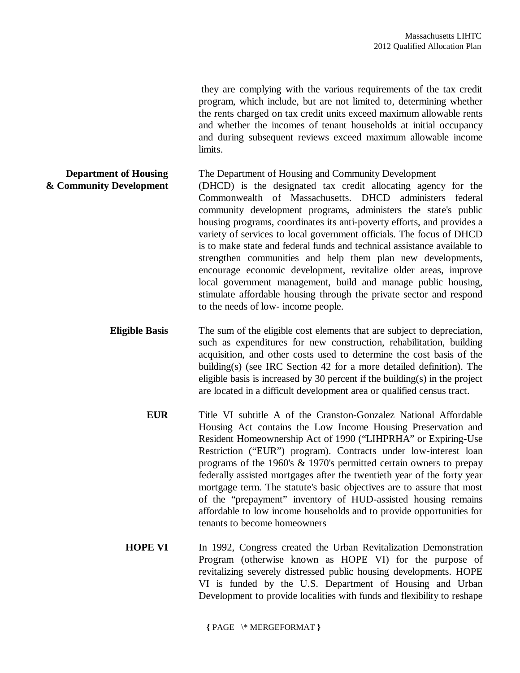they are complying with the various requirements of the tax credit program, which include, but are not limited to, determining whether the rents charged on tax credit units exceed maximum allowable rents and whether the incomes of tenant households at initial occupancy and during subsequent reviews exceed maximum allowable income limits.

**Department of Housing** The Department of Housing and Community Development **& Community Development** (DHCD) is the designated tax credit allocating agency for the Commonwealth of Massachusetts. DHCD administers federal community development programs, administers the state's public housing programs, coordinates its anti-poverty efforts, and provides a variety of services to local government officials. The focus of DHCD is to make state and federal funds and technical assistance available to strengthen communities and help them plan new developments, encourage economic development, revitalize older areas, improve local government management, build and manage public housing, stimulate affordable housing through the private sector and respond to the needs of low- income people.

> **Eligible Basis** The sum of the eligible cost elements that are subject to depreciation, such as expenditures for new construction, rehabilitation, building acquisition, and other costs used to determine the cost basis of the building(s) (see IRC Section 42 for a more detailed definition). The eligible basis is increased by 30 percent if the building(s) in the project are located in a difficult development area or qualified census tract.

- **EUR** Title VI subtitle A of the Cranston-Gonzalez National Affordable Housing Act contains the Low Income Housing Preservation and Resident Homeownership Act of 1990 ("LIHPRHA" or Expiring-Use Restriction ("EUR") program). Contracts under low-interest loan programs of the 1960's & 1970's permitted certain owners to prepay federally assisted mortgages after the twentieth year of the forty year mortgage term. The statute's basic objectives are to assure that most of the "prepayment" inventory of HUD-assisted housing remains affordable to low income households and to provide opportunities for tenants to become homeowners
- **HOPE VI** In 1992, Congress created the Urban Revitalization Demonstration Program (otherwise known as HOPE VI) for the purpose of revitalizing severely distressed public housing developments. HOPE VI is funded by the U.S. Department of Housing and Urban Development to provide localities with funds and flexibility to reshape

**{** PAGE \\* MERGEFORMAT **}**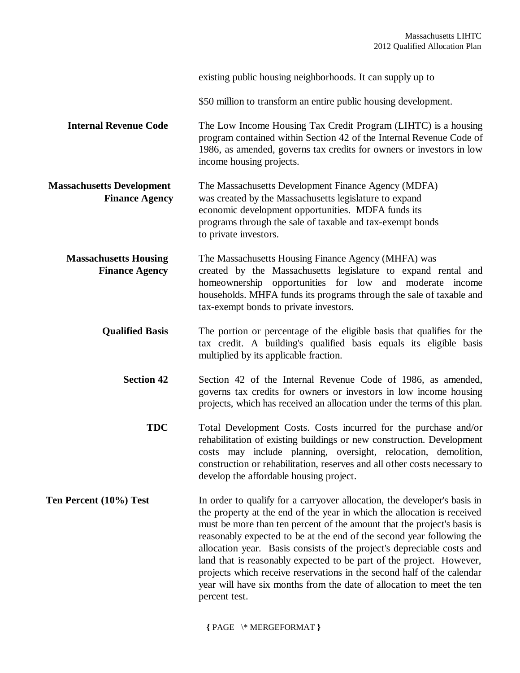|                                                           | existing public housing neighborhoods. It can supply up to                                                                                                                                                                                                                                                                                                                                                                                                                                                                                                                                                                    |
|-----------------------------------------------------------|-------------------------------------------------------------------------------------------------------------------------------------------------------------------------------------------------------------------------------------------------------------------------------------------------------------------------------------------------------------------------------------------------------------------------------------------------------------------------------------------------------------------------------------------------------------------------------------------------------------------------------|
|                                                           | \$50 million to transform an entire public housing development.                                                                                                                                                                                                                                                                                                                                                                                                                                                                                                                                                               |
| <b>Internal Revenue Code</b>                              | The Low Income Housing Tax Credit Program (LIHTC) is a housing<br>program contained within Section 42 of the Internal Revenue Code of<br>1986, as amended, governs tax credits for owners or investors in low<br>income housing projects.                                                                                                                                                                                                                                                                                                                                                                                     |
| <b>Massachusetts Development</b><br><b>Finance Agency</b> | The Massachusetts Development Finance Agency (MDFA)<br>was created by the Massachusetts legislature to expand<br>economic development opportunities. MDFA funds its<br>programs through the sale of taxable and tax-exempt bonds<br>to private investors.                                                                                                                                                                                                                                                                                                                                                                     |
| <b>Massachusetts Housing</b><br><b>Finance Agency</b>     | The Massachusetts Housing Finance Agency (MHFA) was<br>created by the Massachusetts legislature to expand rental and<br>homeownership opportunities for low and moderate income<br>households. MHFA funds its programs through the sale of taxable and<br>tax-exempt bonds to private investors.                                                                                                                                                                                                                                                                                                                              |
| <b>Qualified Basis</b>                                    | The portion or percentage of the eligible basis that qualifies for the<br>tax credit. A building's qualified basis equals its eligible basis<br>multiplied by its applicable fraction.                                                                                                                                                                                                                                                                                                                                                                                                                                        |
| <b>Section 42</b>                                         | Section 42 of the Internal Revenue Code of 1986, as amended,<br>governs tax credits for owners or investors in low income housing<br>projects, which has received an allocation under the terms of this plan.                                                                                                                                                                                                                                                                                                                                                                                                                 |
| <b>TDC</b>                                                | Total Development Costs. Costs incurred for the purchase and/or<br>rehabilitation of existing buildings or new construction. Development<br>costs may include planning, oversight, relocation, demolition,<br>construction or rehabilitation, reserves and all other costs necessary to<br>develop the affordable housing project.                                                                                                                                                                                                                                                                                            |
| Ten Percent (10%) Test                                    | In order to qualify for a carryover allocation, the developer's basis in<br>the property at the end of the year in which the allocation is received<br>must be more than ten percent of the amount that the project's basis is<br>reasonably expected to be at the end of the second year following the<br>allocation year. Basis consists of the project's depreciable costs and<br>land that is reasonably expected to be part of the project. However,<br>projects which receive reservations in the second half of the calendar<br>year will have six months from the date of allocation to meet the ten<br>percent test. |

**{** PAGE \\* MERGEFORMAT **}**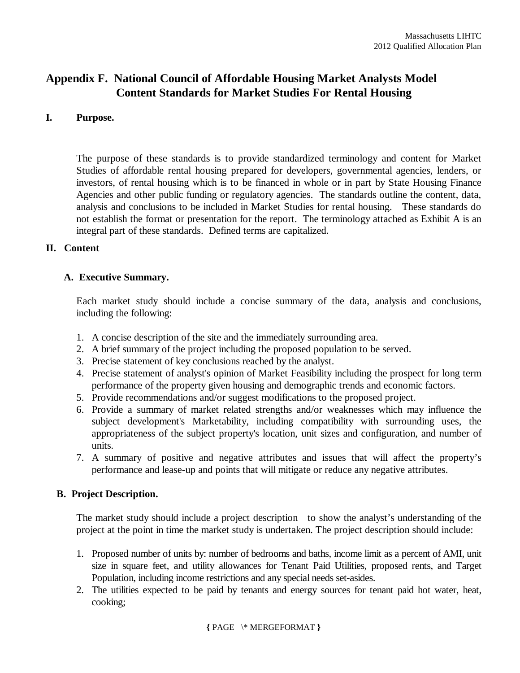# **Appendix F. National Council of Affordable Housing Market Analysts Model Content Standards for Market Studies For Rental Housing**

### **I. Purpose.**

The purpose of these standards is to provide standardized terminology and content for Market Studies of affordable rental housing prepared for developers, governmental agencies, lenders, or investors, of rental housing which is to be financed in whole or in part by State Housing Finance Agencies and other public funding or regulatory agencies. The standards outline the content, data, analysis and conclusions to be included in Market Studies for rental housing. These standards do not establish the format or presentation for the report. The terminology attached as Exhibit A is an integral part of these standards. Defined terms are capitalized.

### **II. Content**

### **A. Executive Summary.**

Each market study should include a concise summary of the data, analysis and conclusions, including the following:

- 1. A concise description of the site and the immediately surrounding area.
- 2. A brief summary of the project including the proposed population to be served.
- 3. Precise statement of key conclusions reached by the analyst.
- 4. Precise statement of analyst's opinion of Market Feasibility including the prospect for long term performance of the property given housing and demographic trends and economic factors.
- 5. Provide recommendations and/or suggest modifications to the proposed project.
- 6. Provide a summary of market related strengths and/or weaknesses which may influence the subject development's Marketability, including compatibility with surrounding uses, the appropriateness of the subject property's location, unit sizes and configuration, and number of units.
- 7. A summary of positive and negative attributes and issues that will affect the property's performance and lease-up and points that will mitigate or reduce any negative attributes.

## **B. Project Description.**

The market study should include a project description to show the analyst's understanding of the project at the point in time the market study is undertaken. The project description should include:

- 1. Proposed number of units by: number of bedrooms and baths, income limit as a percent of AMI, unit size in square feet, and utility allowances for Tenant Paid Utilities, proposed rents, and Target Population, including income restrictions and any special needs set-asides.
- 2. The utilities expected to be paid by tenants and energy sources for tenant paid hot water, heat, cooking;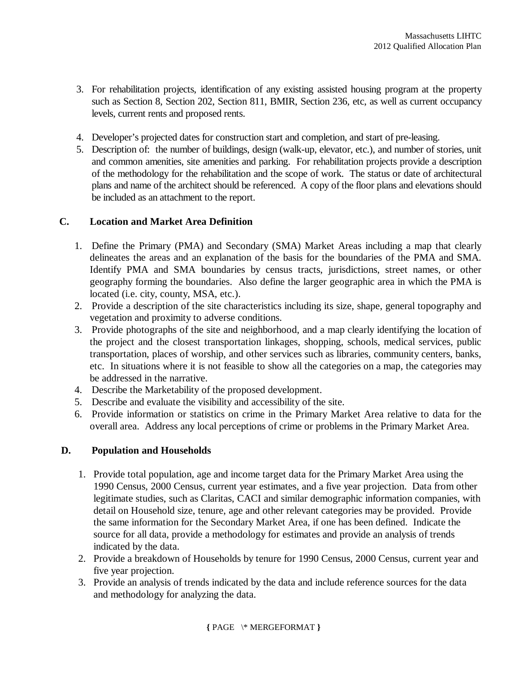- 3. For rehabilitation projects, identification of any existing assisted housing program at the property such as Section 8, Section 202, Section 811, BMIR, Section 236, etc, as well as current occupancy levels, current rents and proposed rents.
- 4. Developer's projected dates for construction start and completion, and start of pre-leasing.
- 5. Description of: the number of buildings, design (walk-up, elevator, etc.), and number of stories, unit and common amenities, site amenities and parking. For rehabilitation projects provide a description of the methodology for the rehabilitation and the scope of work. The status or date of architectural plans and name of the architect should be referenced. A copy of the floor plans and elevations should be included as an attachment to the report.

### **C. Location and Market Area Definition**

- 1. Define the Primary (PMA) and Secondary (SMA) Market Areas including a map that clearly delineates the areas and an explanation of the basis for the boundaries of the PMA and SMA. Identify PMA and SMA boundaries by census tracts, jurisdictions, street names, or other geography forming the boundaries. Also define the larger geographic area in which the PMA is located (i.e. city, county, MSA, etc.).
- 2. Provide a description of the site characteristics including its size, shape, general topography and vegetation and proximity to adverse conditions.
- 3. Provide photographs of the site and neighborhood, and a map clearly identifying the location of the project and the closest transportation linkages, shopping, schools, medical services, public transportation, places of worship, and other services such as libraries, community centers, banks, etc. In situations where it is not feasible to show all the categories on a map, the categories may be addressed in the narrative.
- 4. Describe the Marketability of the proposed development.
- 5. Describe and evaluate the visibility and accessibility of the site.
- 6. Provide information or statistics on crime in the Primary Market Area relative to data for the overall area. Address any local perceptions of crime or problems in the Primary Market Area.

### **D. Population and Households**

- 1. Provide total population, age and income target data for the Primary Market Area using the 1990 Census, 2000 Census, current year estimates, and a five year projection. Data from other legitimate studies, such as Claritas, CACI and similar demographic information companies, with detail on Household size, tenure, age and other relevant categories may be provided. Provide the same information for the Secondary Market Area, if one has been defined. Indicate the source for all data, provide a methodology for estimates and provide an analysis of trends indicated by the data.
- 2. Provide a breakdown of Households by tenure for 1990 Census, 2000 Census, current year and five year projection.
- 3. Provide an analysis of trends indicated by the data and include reference sources for the data and methodology for analyzing the data.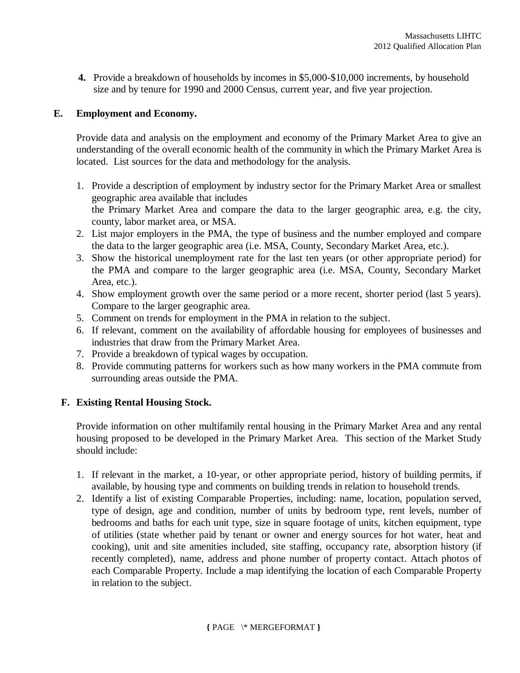**4.** Provide a breakdown of households by incomes in \$5,000-\$10,000 increments, by household size and by tenure for 1990 and 2000 Census, current year, and five year projection.

### **E. Employment and Economy.**

Provide data and analysis on the employment and economy of the Primary Market Area to give an understanding of the overall economic health of the community in which the Primary Market Area is located. List sources for the data and methodology for the analysis.

- 1. Provide a description of employment by industry sector for the Primary Market Area or smallest geographic area available that includes the Primary Market Area and compare the data to the larger geographic area, e.g. the city, county, labor market area, or MSA.
- 2. List major employers in the PMA, the type of business and the number employed and compare the data to the larger geographic area (i.e. MSA, County, Secondary Market Area, etc.).
- 3. Show the historical unemployment rate for the last ten years (or other appropriate period) for the PMA and compare to the larger geographic area (i.e. MSA, County, Secondary Market Area, etc.).
- 4. Show employment growth over the same period or a more recent, shorter period (last 5 years). Compare to the larger geographic area.
- 5. Comment on trends for employment in the PMA in relation to the subject.
- 6. If relevant, comment on the availability of affordable housing for employees of businesses and industries that draw from the Primary Market Area.
- 7. Provide a breakdown of typical wages by occupation.
- 8. Provide commuting patterns for workers such as how many workers in the PMA commute from surrounding areas outside the PMA.

## **F. Existing Rental Housing Stock.**

Provide information on other multifamily rental housing in the Primary Market Area and any rental housing proposed to be developed in the Primary Market Area. This section of the Market Study should include:

- 1. If relevant in the market, a 10-year, or other appropriate period, history of building permits, if available, by housing type and comments on building trends in relation to household trends.
- 2. Identify a list of existing Comparable Properties, including: name, location, population served, type of design, age and condition, number of units by bedroom type, rent levels, number of bedrooms and baths for each unit type, size in square footage of units, kitchen equipment, type of utilities (state whether paid by tenant or owner and energy sources for hot water, heat and cooking), unit and site amenities included, site staffing, occupancy rate, absorption history (if recently completed), name, address and phone number of property contact. Attach photos of each Comparable Property. Include a map identifying the location of each Comparable Property in relation to the subject.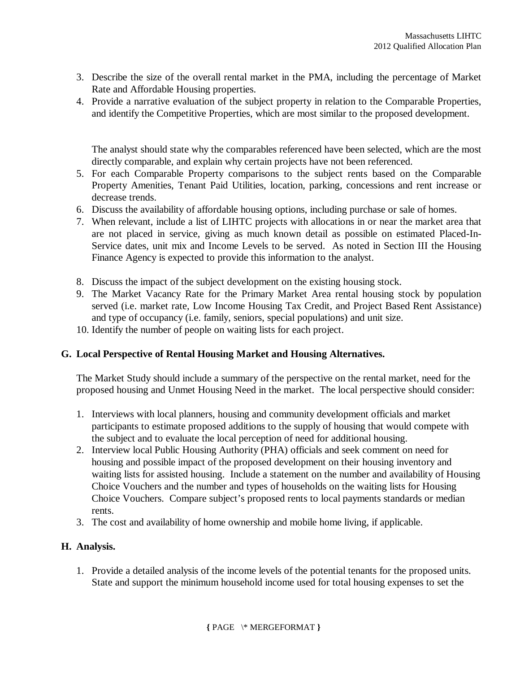- 3. Describe the size of the overall rental market in the PMA, including the percentage of Market Rate and Affordable Housing properties.
- 4. Provide a narrative evaluation of the subject property in relation to the Comparable Properties, and identify the Competitive Properties, which are most similar to the proposed development.

The analyst should state why the comparables referenced have been selected, which are the most directly comparable, and explain why certain projects have not been referenced.

- 5. For each Comparable Property comparisons to the subject rents based on the Comparable Property Amenities, Tenant Paid Utilities, location, parking, concessions and rent increase or decrease trends.
- 6. Discuss the availability of affordable housing options, including purchase or sale of homes.
- 7. When relevant, include a list of LIHTC projects with allocations in or near the market area that are not placed in service, giving as much known detail as possible on estimated Placed-In-Service dates, unit mix and Income Levels to be served. As noted in Section III the Housing Finance Agency is expected to provide this information to the analyst.
- 8. Discuss the impact of the subject development on the existing housing stock.
- 9. The Market Vacancy Rate for the Primary Market Area rental housing stock by population served (i.e. market rate, Low Income Housing Tax Credit, and Project Based Rent Assistance) and type of occupancy (i.e. family, seniors, special populations) and unit size.
- 10. Identify the number of people on waiting lists for each project.

## **G. Local Perspective of Rental Housing Market and Housing Alternatives.**

The Market Study should include a summary of the perspective on the rental market, need for the proposed housing and Unmet Housing Need in the market. The local perspective should consider:

- 1. Interviews with local planners, housing and community development officials and market participants to estimate proposed additions to the supply of housing that would compete with the subject and to evaluate the local perception of need for additional housing.
- 2. Interview local Public Housing Authority (PHA) officials and seek comment on need for housing and possible impact of the proposed development on their housing inventory and waiting lists for assisted housing. Include a statement on the number and availability of Housing Choice Vouchers and the number and types of households on the waiting lists for Housing Choice Vouchers. Compare subject's proposed rents to local payments standards or median rents.
- 3. The cost and availability of home ownership and mobile home living, if applicable.

## **H. Analysis.**

1. Provide a detailed analysis of the income levels of the potential tenants for the proposed units. State and support the minimum household income used for total housing expenses to set the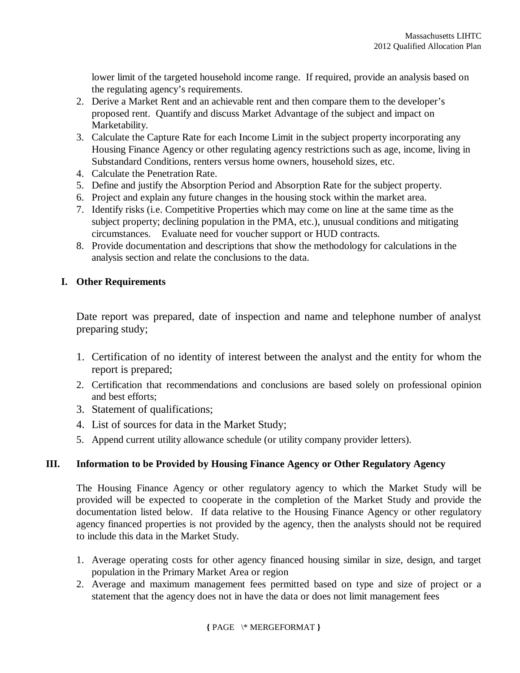lower limit of the targeted household income range. If required, provide an analysis based on the regulating agency's requirements.

- 2. Derive a Market Rent and an achievable rent and then compare them to the developer's proposed rent. Quantify and discuss Market Advantage of the subject and impact on Marketability.
- 3. Calculate the Capture Rate for each Income Limit in the subject property incorporating any Housing Finance Agency or other regulating agency restrictions such as age, income, living in Substandard Conditions, renters versus home owners, household sizes, etc.
- 4. Calculate the Penetration Rate.
- 5. Define and justify the Absorption Period and Absorption Rate for the subject property.
- 6. Project and explain any future changes in the housing stock within the market area.
- 7. Identify risks (i.e. Competitive Properties which may come on line at the same time as the subject property; declining population in the PMA, etc.), unusual conditions and mitigating circumstances. Evaluate need for voucher support or HUD contracts.
- 8. Provide documentation and descriptions that show the methodology for calculations in the analysis section and relate the conclusions to the data.

## **I. Other Requirements**

Date report was prepared, date of inspection and name and telephone number of analyst preparing study;

- 1. Certification of no identity of interest between the analyst and the entity for whom the report is prepared;
- 2. Certification that recommendations and conclusions are based solely on professional opinion and best efforts;
- 3. Statement of qualifications;
- 4. List of sources for data in the Market Study;
- 5. Append current utility allowance schedule (or utility company provider letters).

## **III. Information to be Provided by Housing Finance Agency or Other Regulatory Agency**

The Housing Finance Agency or other regulatory agency to which the Market Study will be provided will be expected to cooperate in the completion of the Market Study and provide the documentation listed below. If data relative to the Housing Finance Agency or other regulatory agency financed properties is not provided by the agency, then the analysts should not be required to include this data in the Market Study.

- 1. Average operating costs for other agency financed housing similar in size, design, and target population in the Primary Market Area or region
- 2. Average and maximum management fees permitted based on type and size of project or a statement that the agency does not in have the data or does not limit management fees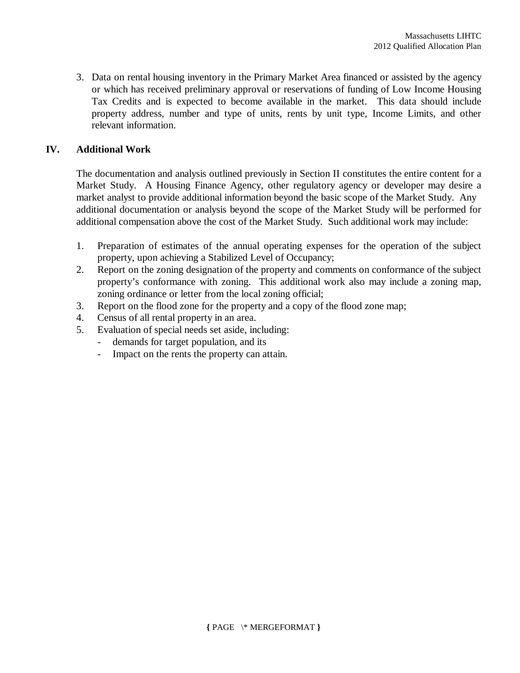3. Data on rental housing inventory in the Primary Market Area financed or assisted by the agency or which has received preliminary approval or reservations of funding of Low Income Housing Tax Credits and is expected to become available in the market. This data should include property address, number and type of units, rents by unit type, Income Limits, and other relevant information.

## **IV. Additional Work**

The documentation and analysis outlined previously in Section II constitutes the entire content for a Market Study. A Housing Finance Agency, other regulatory agency or developer may desire a market analyst to provide additional information beyond the basic scope of the Market Study. Any additional documentation or analysis beyond the scope of the Market Study will be performed for additional compensation above the cost of the Market Study. Such additional work may include:

- 1. Preparation of estimates of the annual operating expenses for the operation of the subject property, upon achieving a Stabilized Level of Occupancy;
- 2. Report on the zoning designation of the property and comments on conformance of the subject property's conformance with zoning. This additional work also may include a zoning map, zoning ordinance or letter from the local zoning official;
- 3. Report on the flood zone for the property and a copy of the flood zone map;
- 4. Census of all rental property in an area.
- 5. Evaluation of special needs set aside, including:
	- demands for target population, and its
	- Impact on the rents the property can attain.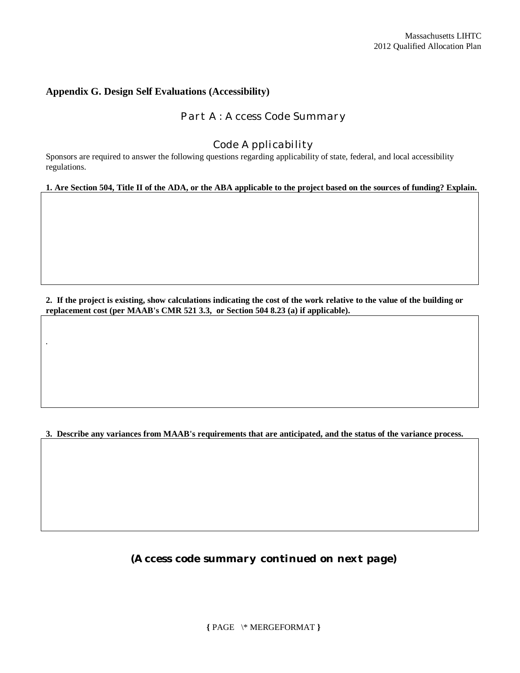#### **Appendix G. Design Self Evaluations (Accessibility)**

.

### *Part A: Access Code Summary*

#### *Code Applicability*

Sponsors are required to answer the following questions regarding applicability of state, federal, and local accessibility regulations.

#### **1. Are Section 504, Title II of the ADA, or the ABA applicable to the project based on the sources of funding? Explain.**

**2. If the project is existing, show calculations indicating the cost of the work relative to the value of the building or replacement cost (per MAAB's CMR 521 3.3, or Section 504 8.23 (a) if applicable).**

#### **3. Describe any variances from MAAB's requirements that are anticipated, and the status of the variance process.**

*(Access code summary continued on next page)*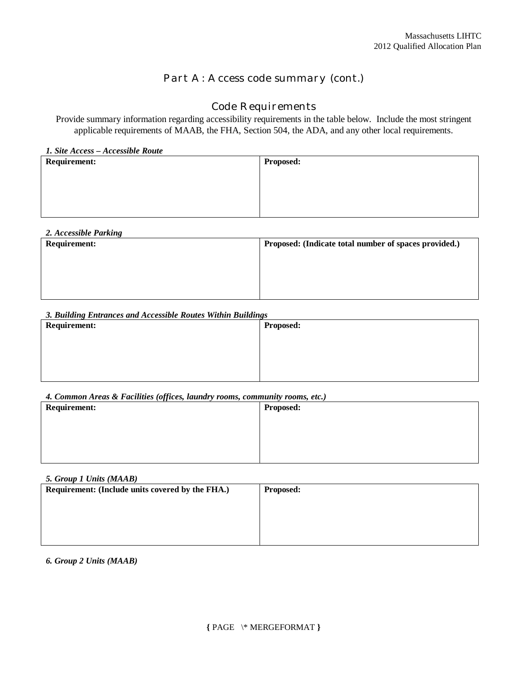## *Part A: Access code summary (cont.)*

## *Code Requirements*

Provide summary information regarding accessibility requirements in the table below. Include the most stringent applicable requirements of MAAB, the FHA, Section 504, the ADA, and any other local requirements.

|  |  |  |  |  | 1. Site Access – Accessible Route |  |
|--|--|--|--|--|-----------------------------------|--|
|--|--|--|--|--|-----------------------------------|--|

| <b>Requirement:</b> | <b>Proposed:</b> |
|---------------------|------------------|
|                     |                  |
|                     |                  |
|                     |                  |
|                     |                  |

| 2. Accessible Parking |                                                       |
|-----------------------|-------------------------------------------------------|
| <b>Requirement:</b>   | Proposed: (Indicate total number of spaces provided.) |
|                       |                                                       |
|                       |                                                       |
|                       |                                                       |
|                       |                                                       |

#### *3. Building Entrances and Accessible Routes Within Buildings*

| <b>Requirement:</b> | <b>Proposed:</b> |
|---------------------|------------------|
|                     |                  |
|                     |                  |
|                     |                  |
|                     |                  |

#### *4. Common Areas & Facilities (offices, laundry rooms, community rooms, etc.)*

| $\sqrt{v}$<br><b>Requirement:</b> | Proposed: |
|-----------------------------------|-----------|
|                                   |           |
|                                   |           |
|                                   |           |
|                                   |           |

#### *5. Group 1 Units (MAAB)*

| <b>Proposed:</b> |
|------------------|
|                  |
|                  |
|                  |
|                  |

#### *6. Group 2 Units (MAAB)*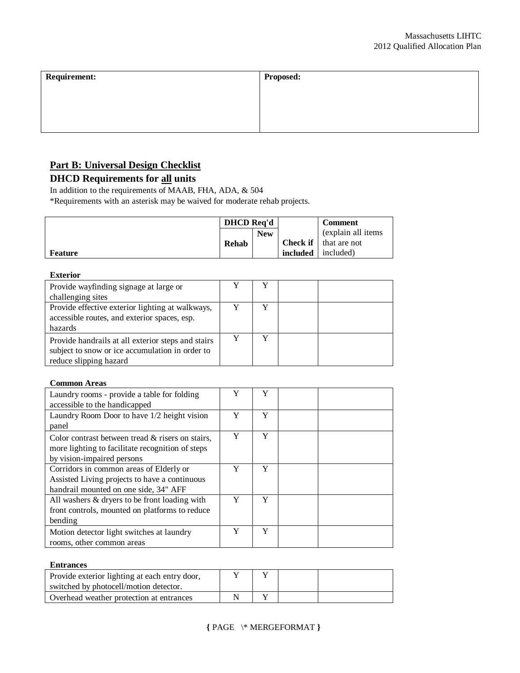| <b>Requirement:</b> | <b>Proposed:</b> |
|---------------------|------------------|
|                     |                  |
|                     |                  |
|                     |                  |

## **Part B: Universal Design Checklist**

## **DHCD Requirements for all units**

In addition to the requirements of MAAB, FHA, ADA, & 504

\*Requirements with an asterisk may be waived for moderate rehab projects.

|                | <b>DHCD</b> Req'd |            |          | <b>Comment</b>               |
|----------------|-------------------|------------|----------|------------------------------|
|                |                   | <b>New</b> |          | (explain all items)          |
|                | Rehab             |            |          | <b>Check if</b> that are not |
| <b>Feature</b> |                   |            | included | included)                    |

#### **Exterior**

| Provide wayfinding signage at large or<br>challenging sites                                                                     |  |  |
|---------------------------------------------------------------------------------------------------------------------------------|--|--|
| Provide effective exterior lighting at walkways,<br>accessible routes, and exterior spaces, esp.<br>hazards                     |  |  |
| Provide handrails at all exterior steps and stairs<br>subject to snow or ice accumulation in order to<br>reduce slipping hazard |  |  |

#### **Common Areas**

| Laundry rooms - provide a table for folding                                                          | Y | Y |  |
|------------------------------------------------------------------------------------------------------|---|---|--|
| accessible to the handicapped                                                                        |   |   |  |
| Laundry Room Door to have 1/2 height vision                                                          | Y | Y |  |
| panel                                                                                                |   |   |  |
| Color contrast between tread & risers on stairs,<br>more lighting to facilitate recognition of steps | Y | Y |  |
| by vision-impaired persons                                                                           |   |   |  |
| Corridors in common areas of Elderly or                                                              | Y | Y |  |
| Assisted Living projects to have a continuous                                                        |   |   |  |
| handrail mounted on one side, 34" AFF                                                                |   |   |  |
| All washers & dryers to be front loading with                                                        | Y | Y |  |
| front controls, mounted on platforms to reduce                                                       |   |   |  |
| bending                                                                                              |   |   |  |
| Motion detector light switches at laundry<br>rooms, other common areas                               | Y | Y |  |
|                                                                                                      |   |   |  |

#### **Entrances**

| Provide exterior lighting at each entry door, |  |  |
|-----------------------------------------------|--|--|
| switched by photocell/motion detector.        |  |  |
| Overhead weather protection at entrances      |  |  |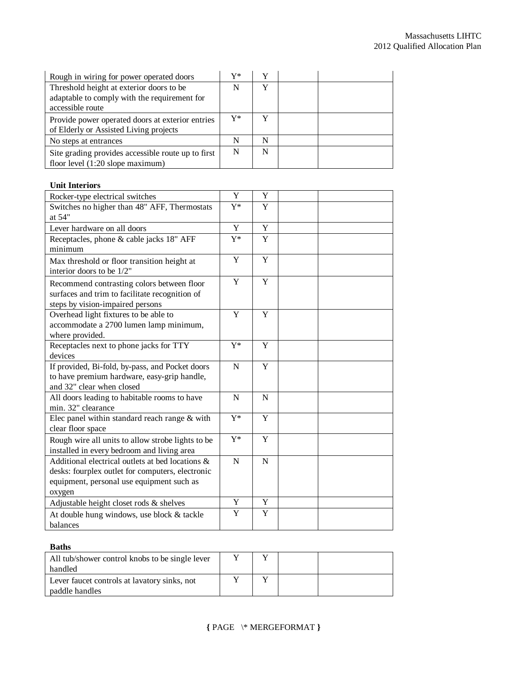| Rough in wiring for power operated doors                                                   | V* |   |  |
|--------------------------------------------------------------------------------------------|----|---|--|
| Threshold height at exterior doors to be<br>adaptable to comply with the requirement for   | N  |   |  |
| accessible route                                                                           |    |   |  |
| Provide power operated doors at exterior entries<br>of Elderly or Assisted Living projects | Y* | v |  |
| No steps at entrances                                                                      | N  | N |  |
| Site grading provides accessible route up to first<br>floor level (1:20 slope maximum)     | N  | N |  |

#### **Unit Interiors**

| Rocker-type electrical switches                   | Y           | $\mathbf Y$ |  |
|---------------------------------------------------|-------------|-------------|--|
| Switches no higher than 48" AFF, Thermostats      | $Y^*$       | Y           |  |
| at 54"                                            |             |             |  |
| Lever hardware on all doors                       | Y           | Y           |  |
| Receptacles, phone & cable jacks 18" AFF          | $Y^*$       | Y           |  |
| minimum                                           |             |             |  |
| Max threshold or floor transition height at       | Y           | Y           |  |
| interior doors to be 1/2"                         |             |             |  |
| Recommend contrasting colors between floor        | Y           | Y           |  |
| surfaces and trim to facilitate recognition of    |             |             |  |
| steps by vision-impaired persons                  |             |             |  |
| Overhead light fixtures to be able to             | Y           | Y           |  |
| accommodate a 2700 lumen lamp minimum,            |             |             |  |
| where provided.                                   |             |             |  |
| Receptacles next to phone jacks for TTY           | $Y^*$       | Y           |  |
| devices                                           |             |             |  |
| If provided, Bi-fold, by-pass, and Pocket doors   | N           | Y           |  |
| to have premium hardware, easy-grip handle,       |             |             |  |
| and 32" clear when closed                         |             |             |  |
| All doors leading to habitable rooms to have      | $\mathbf N$ | N           |  |
| min. 32" clearance                                |             |             |  |
| Elec panel within standard reach range & with     | $Y^*$       | Y           |  |
| clear floor space                                 |             |             |  |
| Rough wire all units to allow strobe lights to be | $Y^*$       | Y           |  |
| installed in every bedroom and living area        |             |             |  |
| Additional electrical outlets at bed locations &  | ${\bf N}$   | $\mathbf N$ |  |
| desks: fourplex outlet for computers, electronic  |             |             |  |
| equipment, personal use equipment such as         |             |             |  |
| oxygen                                            |             |             |  |
| Adjustable height closet rods & shelves           | Y           | Y           |  |
| At double hung windows, use block & tackle        | Y           | Y           |  |
| balances                                          |             |             |  |

### **Baths**

| All tub/shower control knobs to be single lever                |  |  |
|----------------------------------------------------------------|--|--|
| handled                                                        |  |  |
| Lever faucet controls at lavatory sinks, not<br>paddle handles |  |  |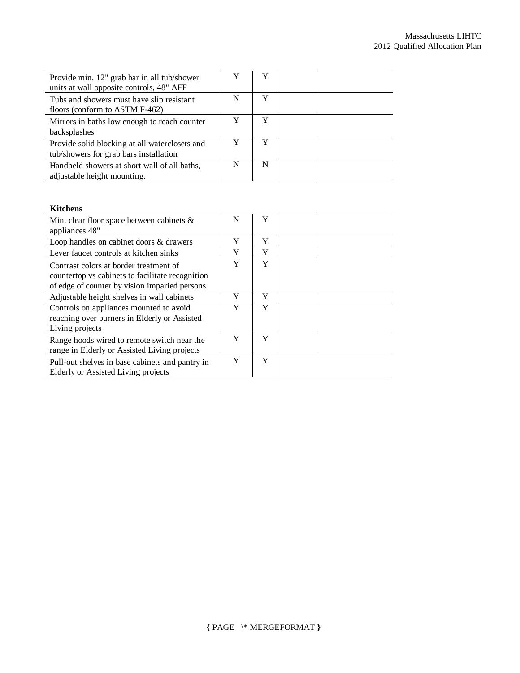| Provide min. 12" grab bar in all tub/shower<br>units at wall opposite controls, 48" AFF  |   |   |  |
|------------------------------------------------------------------------------------------|---|---|--|
| Tubs and showers must have slip resistant<br>floors (conform to ASTM F-462)              | N | Y |  |
| Mirrors in baths low enough to reach counter<br>backsplashes                             |   | Y |  |
| Provide solid blocking at all waterclosets and<br>tub/showers for grab bars installation |   | Y |  |
| Handheld showers at short wall of all baths,<br>adjustable height mounting.              | N | N |  |

#### **Kitchens**

| Min. clear floor space between cabinets $\&$<br>appliances 48"                                                                              | N | Y |  |
|---------------------------------------------------------------------------------------------------------------------------------------------|---|---|--|
| Loop handles on cabinet doors & drawers                                                                                                     | Y | Y |  |
| Lever faucet controls at kitchen sinks                                                                                                      | Y | Y |  |
| Contrast colors at border treatment of<br>countertop vs cabinets to facilitate recognition<br>of edge of counter by vision imparied persons | Y | Y |  |
| Adjustable height shelves in wall cabinets                                                                                                  | Y | Y |  |
| Controls on appliances mounted to avoid<br>reaching over burners in Elderly or Assisted<br>Living projects                                  | Y | Y |  |
| Range hoods wired to remote switch near the<br>range in Elderly or Assisted Living projects                                                 | Y | Y |  |
| Pull-out shelves in base cabinets and pantry in<br>Elderly or Assisted Living projects                                                      | Y | Y |  |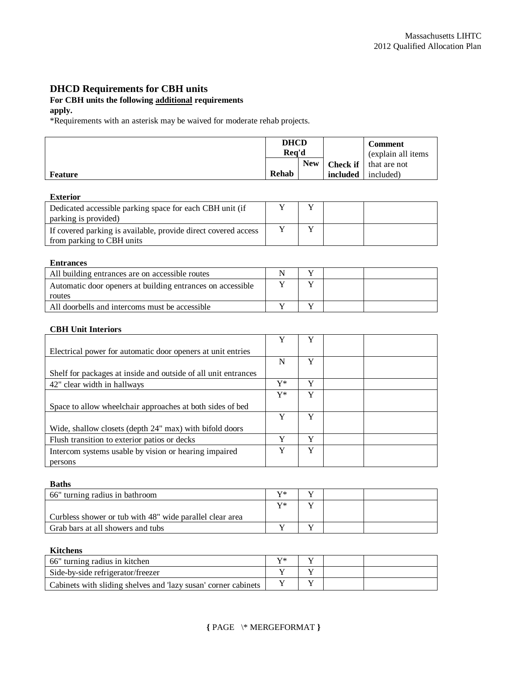### **DHCD Requirements for CBH units**

## **For CBH units the following additional requirements**

#### **apply.**

\*Requirements with an asterisk may be waived for moderate rehab projects.

|                | <b>DHCD</b><br>Rea'd |            |          | <b>Comment</b><br>(explain all items) |
|----------------|----------------------|------------|----------|---------------------------------------|
|                |                      | <b>New</b> |          | <b>Check if</b> that are not          |
| <b>Feature</b> | Rehab                |            | included | included)                             |

#### **Exterior**

| Dedicated accessible parking space for each CBH unit (if<br>parking is provided)            |  |  |
|---------------------------------------------------------------------------------------------|--|--|
| If covered parking is available, provide direct covered access<br>from parking to CBH units |  |  |

#### **Entrances**

| All building entrances are on accessible routes            |  |  |
|------------------------------------------------------------|--|--|
| Automatic door openers at building entrances on accessible |  |  |
| routes                                                     |  |  |
| All doorbells and intercoms must be accessible             |  |  |

#### **CBH Unit Interiors**

|                                                                | Y              | Y |  |
|----------------------------------------------------------------|----------------|---|--|
| Electrical power for automatic door openers at unit entries    |                |   |  |
|                                                                | N              | Y |  |
| Shelf for packages at inside and outside of all unit entrances |                |   |  |
| 42" clear width in hallways                                    | $\mathbf{V}^*$ | Y |  |
|                                                                | Y*             | Y |  |
| Space to allow wheelchair approaches at both sides of bed      |                |   |  |
|                                                                | Y              | Y |  |
| Wide, shallow closets (depth 24" max) with bifold doors        |                |   |  |
| Flush transition to exterior patios or decks                   | v              | Y |  |
| Intercom systems usable by vision or hearing impaired          | Y              | Y |  |
| persons                                                        |                |   |  |

#### **Baths**

| 66" turning radius in bathroom                           | $\mathbf{V}^*$ |  |  |
|----------------------------------------------------------|----------------|--|--|
|                                                          | $\mathbf{V}^*$ |  |  |
| Curbless shower or tub with 48" wide parallel clear area |                |  |  |
| Grab bars at all showers and tubs                        |                |  |  |

#### **Kitchens**

| 66" turning radius in kitchen                                  |  |  |
|----------------------------------------------------------------|--|--|
| Side-by-side refrigerator/freezer                              |  |  |
| Cabinets with sliding shelves and 'lazy susan' corner cabinets |  |  |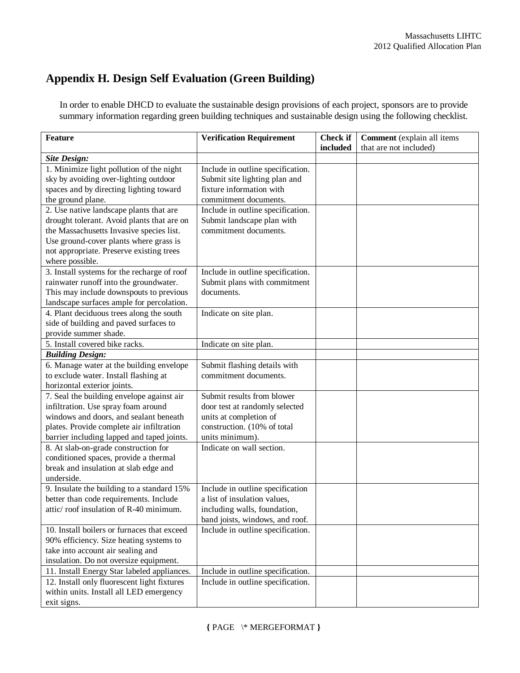# **Appendix H. Design Self Evaluation (Green Building)**

In order to enable DHCD to evaluate the sustainable design provisions of each project, sponsors are to provide summary information regarding green building techniques and sustainable design using the following checklist.

| <b>Feature</b>                                                                | <b>Verification Requirement</b>                | <b>Check if</b><br>included | Comment (explain all items<br>that are not included) |
|-------------------------------------------------------------------------------|------------------------------------------------|-----------------------------|------------------------------------------------------|
| <b>Site Design:</b>                                                           |                                                |                             |                                                      |
| 1. Minimize light pollution of the night                                      | Include in outline specification.              |                             |                                                      |
| sky by avoiding over-lighting outdoor                                         | Submit site lighting plan and                  |                             |                                                      |
| spaces and by directing lighting toward                                       | fixture information with                       |                             |                                                      |
| the ground plane.                                                             | commitment documents.                          |                             |                                                      |
| 2. Use native landscape plants that are                                       | Include in outline specification.              |                             |                                                      |
| drought tolerant. Avoid plants that are on                                    | Submit landscape plan with                     |                             |                                                      |
| the Massachusetts Invasive species list.                                      | commitment documents.                          |                             |                                                      |
| Use ground-cover plants where grass is                                        |                                                |                             |                                                      |
| not appropriate. Preserve existing trees                                      |                                                |                             |                                                      |
| where possible.                                                               |                                                |                             |                                                      |
| 3. Install systems for the recharge of roof                                   | Include in outline specification.              |                             |                                                      |
| rainwater runoff into the groundwater.                                        | Submit plans with commitment                   |                             |                                                      |
| This may include downspouts to previous                                       | documents.                                     |                             |                                                      |
| landscape surfaces ample for percolation.                                     |                                                |                             |                                                      |
| 4. Plant deciduous trees along the south                                      | Indicate on site plan.                         |                             |                                                      |
| side of building and paved surfaces to                                        |                                                |                             |                                                      |
| provide summer shade.                                                         |                                                |                             |                                                      |
| 5. Install covered bike racks.                                                | Indicate on site plan.                         |                             |                                                      |
| <b>Building Design:</b>                                                       |                                                |                             |                                                      |
| 6. Manage water at the building envelope                                      | Submit flashing details with                   |                             |                                                      |
| to exclude water. Install flashing at                                         | commitment documents.                          |                             |                                                      |
| horizontal exterior joints.                                                   |                                                |                             |                                                      |
| 7. Seal the building envelope against air                                     | Submit results from blower                     |                             |                                                      |
| infiltration. Use spray foam around                                           | door test at randomly selected                 |                             |                                                      |
| windows and doors, and sealant beneath                                        | units at completion of                         |                             |                                                      |
| plates. Provide complete air infiltration                                     | construction. (10% of total<br>units minimum). |                             |                                                      |
| barrier including lapped and taped joints.                                    | Indicate on wall section.                      |                             |                                                      |
| 8. At slab-on-grade construction for<br>conditioned spaces, provide a thermal |                                                |                             |                                                      |
| break and insulation at slab edge and                                         |                                                |                             |                                                      |
| underside.                                                                    |                                                |                             |                                                      |
| 9. Insulate the building to a standard 15%                                    | Include in outline specification               |                             |                                                      |
| better than code requirements. Include                                        | a list of insulation values,                   |                             |                                                      |
| attic/roof insulation of R-40 minimum.                                        | including walls, foundation.                   |                             |                                                      |
|                                                                               | band joists, windows, and roof.                |                             |                                                      |
| 10. Install boilers or furnaces that exceed                                   | Include in outline specification.              |                             |                                                      |
| 90% efficiency. Size heating systems to                                       |                                                |                             |                                                      |
| take into account air sealing and                                             |                                                |                             |                                                      |
| insulation. Do not oversize equipment.                                        |                                                |                             |                                                      |
| 11. Install Energy Star labeled appliances.                                   | Include in outline specification.              |                             |                                                      |
| 12. Install only fluorescent light fixtures                                   | Include in outline specification.              |                             |                                                      |
| within units. Install all LED emergency                                       |                                                |                             |                                                      |
| exit signs.                                                                   |                                                |                             |                                                      |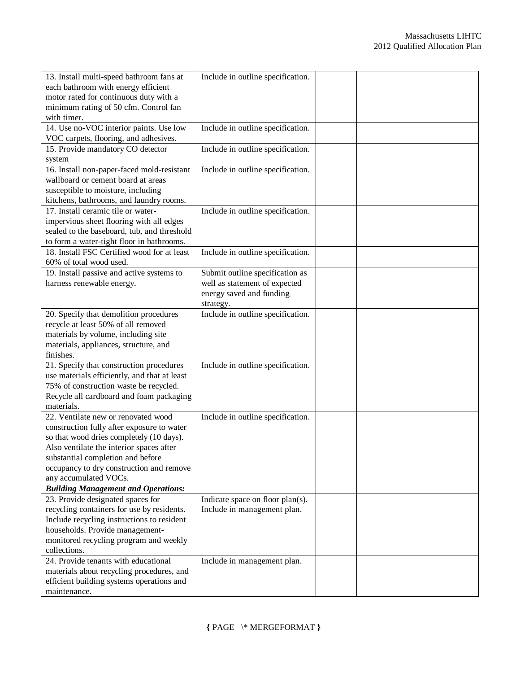| 13. Install multi-speed bathroom fans at     | Include in outline specification. |  |
|----------------------------------------------|-----------------------------------|--|
| each bathroom with energy efficient          |                                   |  |
| motor rated for continuous duty with a       |                                   |  |
| minimum rating of 50 cfm. Control fan        |                                   |  |
| with timer.                                  |                                   |  |
| 14. Use no-VOC interior paints. Use low      | Include in outline specification. |  |
| VOC carpets, flooring, and adhesives.        |                                   |  |
| 15. Provide mandatory CO detector            | Include in outline specification. |  |
| system                                       |                                   |  |
| 16. Install non-paper-faced mold-resistant   | Include in outline specification. |  |
| wallboard or cement board at areas           |                                   |  |
| susceptible to moisture, including           |                                   |  |
| kitchens, bathrooms, and laundry rooms.      |                                   |  |
| 17. Install ceramic tile or water-           | Include in outline specification. |  |
| impervious sheet flooring with all edges     |                                   |  |
| sealed to the baseboard, tub, and threshold  |                                   |  |
| to form a water-tight floor in bathrooms.    |                                   |  |
| 18. Install FSC Certified wood for at least  | Include in outline specification. |  |
| 60% of total wood used.                      |                                   |  |
| 19. Install passive and active systems to    | Submit outline specification as   |  |
| harness renewable energy.                    | well as statement of expected     |  |
|                                              | energy saved and funding          |  |
|                                              | strategy.                         |  |
| 20. Specify that demolition procedures       | Include in outline specification. |  |
| recycle at least 50% of all removed          |                                   |  |
| materials by volume, including site          |                                   |  |
| materials, appliances, structure, and        |                                   |  |
| finishes.                                    |                                   |  |
| 21. Specify that construction procedures     | Include in outline specification. |  |
| use materials efficiently, and that at least |                                   |  |
| 75% of construction waste be recycled.       |                                   |  |
| Recycle all cardboard and foam packaging     |                                   |  |
| materials.                                   |                                   |  |
| 22. Ventilate new or renovated wood          | Include in outline specification. |  |
| construction fully after exposure to water   |                                   |  |
| so that wood dries completely (10 days).     |                                   |  |
| Also ventilate the interior spaces after     |                                   |  |
| substantial completion and before            |                                   |  |
| occupancy to dry construction and remove     |                                   |  |
| any accumulated VOCs.                        |                                   |  |
| <b>Building Management and Operations:</b>   |                                   |  |
| 23. Provide designated spaces for            | Indicate space on floor plan(s).  |  |
| recycling containers for use by residents.   | Include in management plan.       |  |
| Include recycling instructions to resident   |                                   |  |
| households. Provide management-              |                                   |  |
| monitored recycling program and weekly       |                                   |  |
| collections.                                 |                                   |  |
| 24. Provide tenants with educational         | Include in management plan.       |  |
| materials about recycling procedures, and    |                                   |  |
| efficient building systems operations and    |                                   |  |
| maintenance.                                 |                                   |  |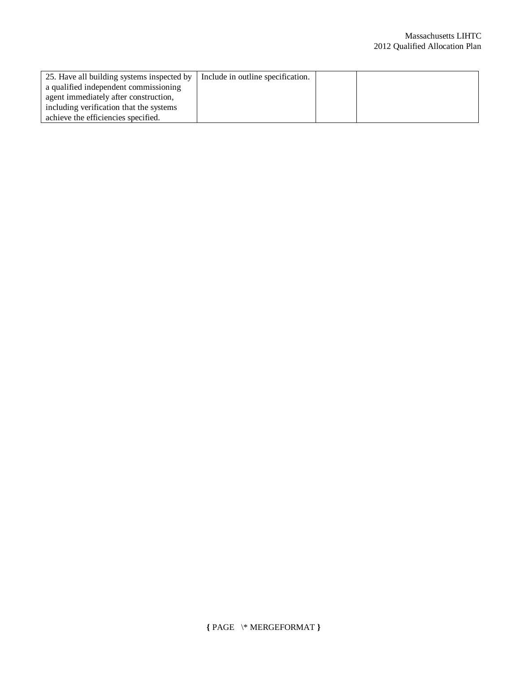| 25. Have all building systems inspected by | Include in outline specification. |  |
|--------------------------------------------|-----------------------------------|--|
| a qualified independent commissioning      |                                   |  |
| agent immediately after construction.      |                                   |  |
| including verification that the systems    |                                   |  |
| achieve the efficiencies specified.        |                                   |  |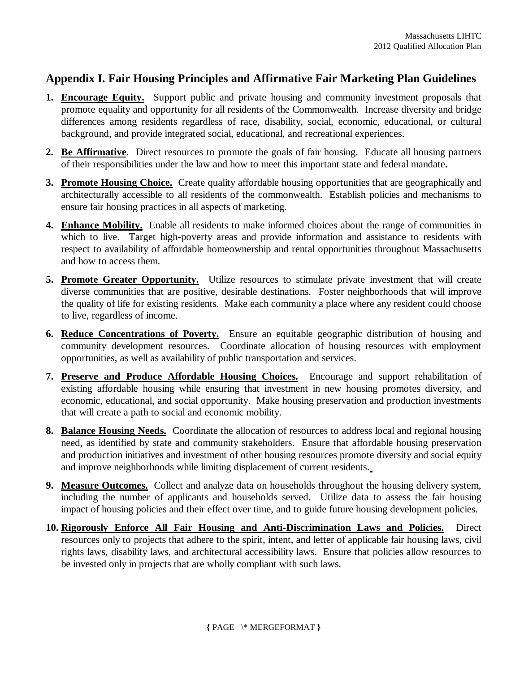# **Appendix I. Fair Housing Principles and Affirmative Fair Marketing Plan Guidelines**

- **1. Encourage Equity.** Support public and private housing and community investment proposals that promote equality and opportunity for all residents of the Commonwealth. Increase diversity and bridge differences among residents regardless of race, disability, social, economic, educational, or cultural background, and provide integrated social, educational, and recreational experiences.
- **2. Be Affirmative**. Direct resources to promote the goals of fair housing. Educate all housing partners of their responsibilities under the law and how to meet this important state and federal mandate**.**
- **3. Promote Housing Choice.** Create quality affordable housing opportunities that are geographically and architecturally accessible to all residents of the commonwealth. Establish policies and mechanisms to ensure fair housing practices in all aspects of marketing.
- **4. Enhance Mobility.** Enable all residents to make informed choices about the range of communities in which to live. Target high-poverty areas and provide information and assistance to residents with respect to availability of affordable homeownership and rental opportunities throughout Massachusetts and how to access them.
- 5. Promote Greater Opportunity. Utilize resources to stimulate private investment that will create diverse communities that are positive, desirable destinations. Foster neighborhoods that will improve the quality of life for existing residents. Make each community a place where any resident could choose to live, regardless of income.
- **6. Reduce Concentrations of Poverty.** Ensure an equitable geographic distribution of housing and community development resources. Coordinate allocation of housing resources with employment opportunities, as well as availability of public transportation and services.
- **7. Preserve and Produce Affordable Housing Choices.** Encourage and support rehabilitation of existing affordable housing while ensuring that investment in new housing promotes diversity, and economic, educational, and social opportunity. Make housing preservation and production investments that will create a path to social and economic mobility.
- **8. Balance Housing Needs.** Coordinate the allocation of resources to address local and regional housing need, as identified by state and community stakeholders. Ensure that affordable housing preservation and production initiatives and investment of other housing resources promote diversity and social equity and improve neighborhoods while limiting displacement of current residents.
- **9. Measure Outcomes.** Collect and analyze data on households throughout the housing delivery system, including the number of applicants and households served. Utilize data to assess the fair housing impact of housing policies and their effect over time, and to guide future housing development policies.
- **10. Rigorously Enforce All Fair Housing and Anti-Discrimination Laws and Policies.** Direct resources only to projects that adhere to the spirit, intent, and letter of applicable fair housing laws, civil rights laws, disability laws, and architectural accessibility laws. Ensure that policies allow resources to be invested only in projects that are wholly compliant with such laws.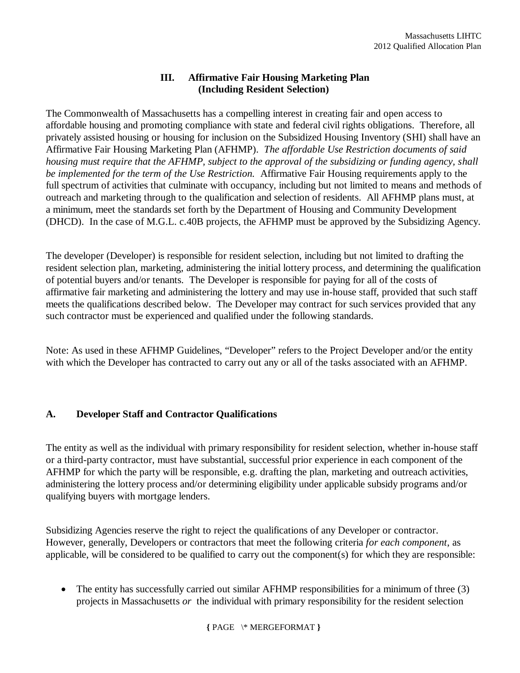## **III. Affirmative Fair Housing Marketing Plan (Including Resident Selection)**

The Commonwealth of Massachusetts has a compelling interest in creating fair and open access to affordable housing and promoting compliance with state and federal civil rights obligations. Therefore, all privately assisted housing or housing for inclusion on the Subsidized Housing Inventory (SHI) shall have an Affirmative Fair Housing Marketing Plan (AFHMP). *The affordable Use Restriction documents of said housing must require that the AFHMP, subject to the approval of the subsidizing or funding agency, shall be implemented for the term of the Use Restriction.* Affirmative Fair Housing requirements apply to the full spectrum of activities that culminate with occupancy, including but not limited to means and methods of outreach and marketing through to the qualification and selection of residents. All AFHMP plans must, at a minimum, meet the standards set forth by the Department of Housing and Community Development (DHCD). In the case of M.G.L. c.40B projects, the AFHMP must be approved by the Subsidizing Agency.

The developer (Developer) is responsible for resident selection, including but not limited to drafting the resident selection plan, marketing, administering the initial lottery process, and determining the qualification of potential buyers and/or tenants. The Developer is responsible for paying for all of the costs of affirmative fair marketing and administering the lottery and may use in-house staff, provided that such staff meets the qualifications described below. The Developer may contract for such services provided that any such contractor must be experienced and qualified under the following standards.

Note: As used in these AFHMP Guidelines, "Developer" refers to the Project Developer and/or the entity with which the Developer has contracted to carry out any or all of the tasks associated with an AFHMP.

## **A. Developer Staff and Contractor Qualifications**

The entity as well as the individual with primary responsibility for resident selection, whether in-house staff or a third-party contractor, must have substantial, successful prior experience in each component of the AFHMP for which the party will be responsible, e.g. drafting the plan, marketing and outreach activities, administering the lottery process and/or determining eligibility under applicable subsidy programs and/or qualifying buyers with mortgage lenders.

Subsidizing Agencies reserve the right to reject the qualifications of any Developer or contractor. However, generally, Developers or contractors that meet the following criteria *for each component*, as applicable, will be considered to be qualified to carry out the component(s) for which they are responsible:

• The entity has successfully carried out similar AFHMP responsibilities for a minimum of three (3) projects in Massachusetts *or* the individual with primary responsibility for the resident selection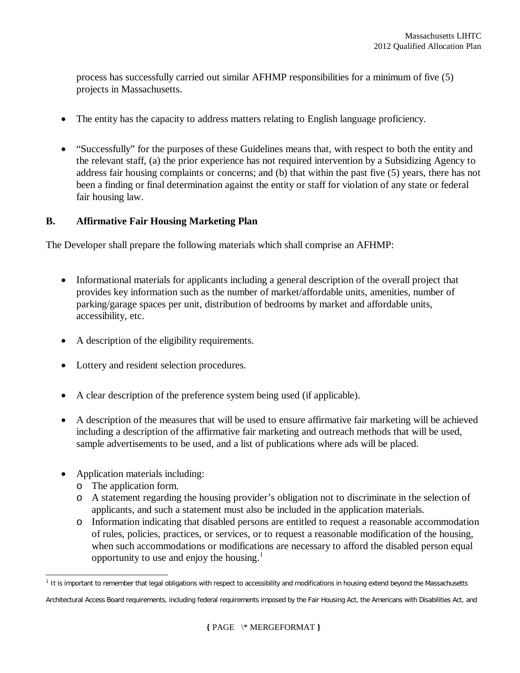process has successfully carried out similar AFHMP responsibilities for a minimum of five (5) projects in Massachusetts.

- The entity has the capacity to address matters relating to English language proficiency.
- "Successfully" for the purposes of these Guidelines means that, with respect to both the entity and the relevant staff, (a) the prior experience has not required intervention by a Subsidizing Agency to address fair housing complaints or concerns; and (b) that within the past five (5) years, there has not been a finding or final determination against the entity or staff for violation of any state or federal fair housing law.

## **B. Affirmative Fair Housing Marketing Plan**

The Developer shall prepare the following materials which shall comprise an AFHMP:

- Informational materials for applicants including a general description of the overall project that provides key information such as the number of market/affordable units, amenities, number of parking/garage spaces per unit, distribution of bedrooms by market and affordable units, accessibility, etc.
- A description of the eligibility requirements.
- Lottery and resident selection procedures.
- A clear description of the preference system being used (if applicable).
- A description of the measures that will be used to ensure affirmative fair marketing will be achieved including a description of the affirmative fair marketing and outreach methods that will be used, sample advertisements to be used, and a list of publications where ads will be placed.
- Application materials including:
	- o The application form.
	- o A statement regarding the housing provider's obligation not to discriminate in the selection of applicants, and such a statement must also be included in the application materials.
	- o Information indicating that disabled persons are entitled to request a reasonable accommodation of rules, policies, practices, or services, or to request a reasonable modification of the housing, when such accommodations or modifications are necessary to afford the disabled person equal opportunity to use and enjoy the housing.<sup>1</sup>

 $\overline{a}$ <sup>1</sup> It is important to remember that legal obligations with respect to accessibility and modifications in housing extend beyond the Massachusetts

Architectural Access Board requirements, including federal requirements imposed by the Fair Housing Act, the Americans with Disabilities Act, and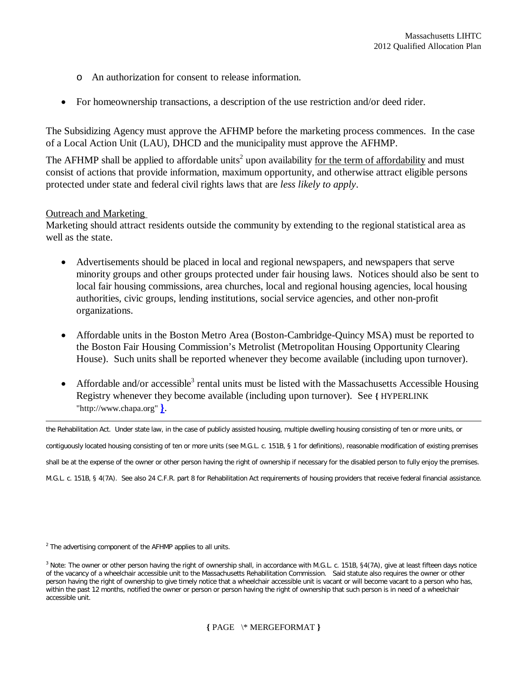- o An authorization for consent to release information.
- For homeownership transactions, a description of the use restriction and/or deed rider.

The Subsidizing Agency must approve the AFHMP before the marketing process commences. In the case of a Local Action Unit (LAU), DHCD and the municipality must approve the AFHMP.

The AFHMP shall be applied to affordable units<sup>2</sup> upon availability for the term of affordability and must consist of actions that provide information, maximum opportunity, and otherwise attract eligible persons protected under state and federal civil rights laws that are *less likely to apply*.

### Outreach and Marketing

 $\overline{a}$ 

Marketing should attract residents outside the community by extending to the regional statistical area as well as the state.

- Advertisements should be placed in local and regional newspapers, and newspapers that serve minority groups and other groups protected under fair housing laws. Notices should also be sent to local fair housing commissions, area churches, local and regional housing agencies, local housing authorities, civic groups, lending institutions, social service agencies, and other non-profit organizations.
- Affordable units in the Boston Metro Area (Boston-Cambridge-Quincy MSA) must be reported to the Boston Fair Housing Commission's Metrolist (Metropolitan Housing Opportunity Clearing House). Such units shall be reported whenever they become available (including upon turnover).
- Affordable and/or accessible<sup>3</sup> rental units must be listed with the Massachusetts Accessible Housing Registry whenever they become available (including upon turnover). See **{** HYPERLINK "http://www.chapa.org" **}**.

the Rehabilitation Act. Under state law, in the case of publicly assisted housing, multiple dwelling housing consisting of ten or more units, or contiguously located housing consisting of ten or more units (see M.G.L. c. 151B, § 1 for definitions), reasonable modification of existing premises shall *be at the expense of the owner* or other person having the right of ownership if necessary for the disabled person to fully enjoy the premises. M.G.L. c. 151B, § 4(7A). See also 24 C.F.R. part 8 for Rehabilitation Act requirements of housing providers that receive federal financial assistance.

 $2$  The advertising component of the AFHMP applies to all units.

<sup>&</sup>lt;sup>3</sup> Note: The owner or other person having the right of ownership shall, in accordance with M.G.L. c. 151B, §4(7A), give at least fifteen days notice of the vacancy of a wheelchair accessible unit to the Massachusetts Rehabilitation Commission. Said statute also requires the owner or other person having the right of ownership to give timely notice that a wheelchair accessible unit is vacant or will become vacant to a person who has, within the past 12 months, notified the owner or person or person having the right of ownership that such person is in need of a wheelchair accessible unit.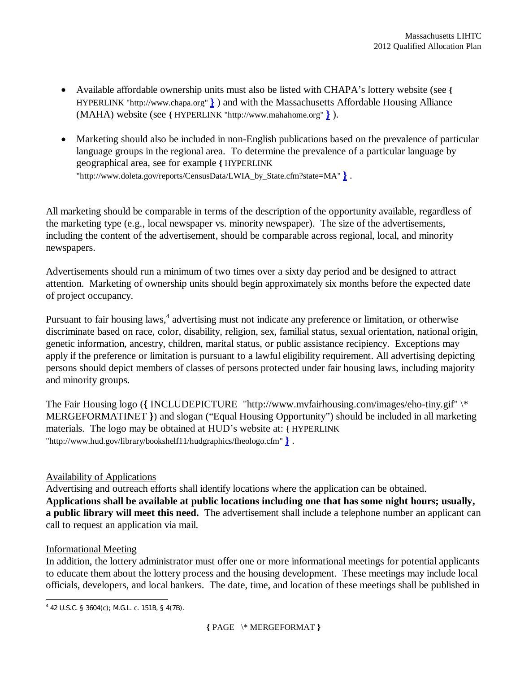- Available affordable ownership units must also be listed with CHAPA's lottery website (see **{** HYPERLINK "http://www.chapa.org" **}** ) and with the Massachusetts Affordable Housing Alliance (MAHA) website (see **{** HYPERLINK "http://www.mahahome.org" **}** ).
- Marketing should also be included in non-English publications based on the prevalence of particular language groups in the regional area. To determine the prevalence of a particular language by geographical area, see for example **{** HYPERLINK "http://www.doleta.gov/reports/CensusData/LWIA\_by\_State.cfm?state=MA" **}** .

All marketing should be comparable in terms of the description of the opportunity available, regardless of the marketing type (e.g., local newspaper vs. minority newspaper). The size of the advertisements, including the content of the advertisement, should be comparable across regional, local, and minority newspapers.

Advertisements should run a minimum of two times over a sixty day period and be designed to attract attention. Marketing of ownership units should begin approximately six months before the expected date of project occupancy.

Pursuant to fair housing laws,<sup>4</sup> advertising must not indicate any preference or limitation, or otherwise discriminate based on race, color, disability, religion, sex, familial status, sexual orientation, national origin, genetic information, ancestry, children, marital status, or public assistance recipiency. Exceptions may apply if the preference or limitation is pursuant to a lawful eligibility requirement. All advertising depicting persons should depict members of classes of persons protected under fair housing laws, including majority and minority groups.

The Fair Housing logo (**{** INCLUDEPICTURE "http://www.mvfairhousing.com/images/eho-tiny.gif" \\* MERGEFORMATINET **}**) and slogan ("Equal Housing Opportunity") should be included in all marketing materials. The logo may be obtained at HUD's website at: **{** HYPERLINK "http://www.hud.gov/library/bookshelf11/hudgraphics/fheologo.cfm" **}** .

## Availability of Applications

Advertising and outreach efforts shall identify locations where the application can be obtained. **Applications shall be available at public locations including one that has some night hours; usually, a public library will meet this need.** The advertisement shall include a telephone number an applicant can call to request an application via mail.

## Informational Meeting

In addition, the lottery administrator must offer one or more informational meetings for potential applicants to educate them about the lottery process and the housing development. These meetings may include local officials, developers, and local bankers. The date, time, and location of these meetings shall be published in

 4 42 U.S.C. § 3604(c); M.G.L. c. 151B, § 4(7B).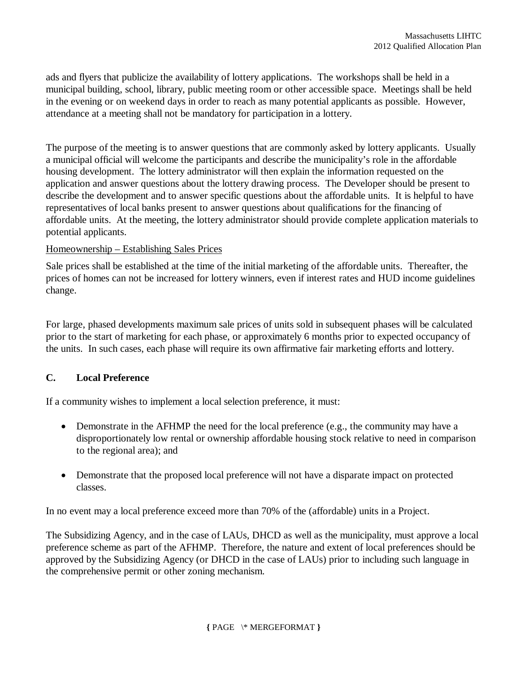ads and flyers that publicize the availability of lottery applications. The workshops shall be held in a municipal building, school, library, public meeting room or other accessible space. Meetings shall be held in the evening or on weekend days in order to reach as many potential applicants as possible. However, attendance at a meeting shall not be mandatory for participation in a lottery.

The purpose of the meeting is to answer questions that are commonly asked by lottery applicants. Usually a municipal official will welcome the participants and describe the municipality's role in the affordable housing development. The lottery administrator will then explain the information requested on the application and answer questions about the lottery drawing process. The Developer should be present to describe the development and to answer specific questions about the affordable units. It is helpful to have representatives of local banks present to answer questions about qualifications for the financing of affordable units. At the meeting, the lottery administrator should provide complete application materials to potential applicants.

### Homeownership – Establishing Sales Prices

Sale prices shall be established at the time of the initial marketing of the affordable units. Thereafter, the prices of homes can not be increased for lottery winners, even if interest rates and HUD income guidelines change.

For large, phased developments maximum sale prices of units sold in subsequent phases will be calculated prior to the start of marketing for each phase, or approximately 6 months prior to expected occupancy of the units. In such cases, each phase will require its own affirmative fair marketing efforts and lottery.

## **C. Local Preference**

If a community wishes to implement a local selection preference, it must:

- Demonstrate in the AFHMP the need for the local preference (e.g., the community may have a disproportionately low rental or ownership affordable housing stock relative to need in comparison to the regional area); and
- Demonstrate that the proposed local preference will not have a disparate impact on protected classes.

In no event may a local preference exceed more than 70% of the (affordable) units in a Project.

The Subsidizing Agency, and in the case of LAUs, DHCD as well as the municipality, must approve a local preference scheme as part of the AFHMP. Therefore, the nature and extent of local preferences should be approved by the Subsidizing Agency (or DHCD in the case of LAUs) prior to including such language in the comprehensive permit or other zoning mechanism.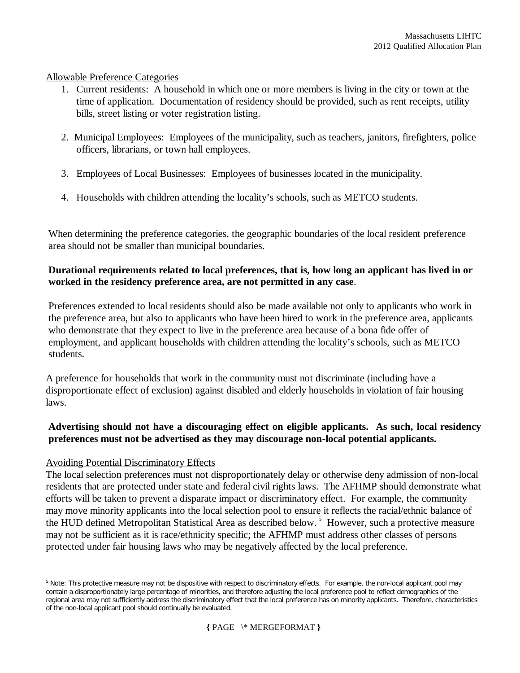### Allowable Preference Categories

- 1. Current residents: A household in which one or more members is living in the city or town at the time of application. Documentation of residency should be provided, such as rent receipts, utility bills, street listing or voter registration listing.
- 2. Municipal Employees: Employees of the municipality, such as teachers, janitors, firefighters, police officers, librarians, or town hall employees.
- 3. Employees of Local Businesses: Employees of businesses located in the municipality.
- 4. Households with children attending the locality's schools, such as METCO students.

When determining the preference categories, the geographic boundaries of the local resident preference area should not be smaller than municipal boundaries.

## **Durational requirements related to local preferences, that is, how long an applicant has lived in or worked in the residency preference area, are not permitted in any case**.

Preferences extended to local residents should also be made available not only to applicants who work in the preference area, but also to applicants who have been hired to work in the preference area, applicants who demonstrate that they expect to live in the preference area because of a bona fide offer of employment, and applicant households with children attending the locality's schools, such as METCO students.

A preference for households that work in the community must not discriminate (including have a disproportionate effect of exclusion) against disabled and elderly households in violation of fair housing laws.

## **Advertising should not have a discouraging effect on eligible applicants. As such, local residency preferences must not be advertised as they may discourage non-local potential applicants.**

## Avoiding Potential Discriminatory Effects

The local selection preferences must not disproportionately delay or otherwise deny admission of non-local residents that are protected under state and federal civil rights laws. The AFHMP should demonstrate what efforts will be taken to prevent a disparate impact or discriminatory effect. For example, the community may move minority applicants into the local selection pool to ensure it reflects the racial/ethnic balance of the HUD defined Metropolitan Statistical Area as described below.<sup>5</sup> However, such a protective measure may not be sufficient as it is race/ethnicity specific; the AFHMP must address other classes of persons protected under fair housing laws who may be negatively affected by the local preference.

 $\overline{a}$ <sup>5</sup> Note: This protective measure may not be dispositive with respect to discriminatory effects. For example, the non-local applicant pool may contain a disproportionately large percentage of minorities, and therefore adjusting the local preference pool to reflect demographics of the regional area may not sufficiently address the discriminatory effect that the local preference has on minority applicants. Therefore, characteristics of the non-local applicant pool should continually be evaluated.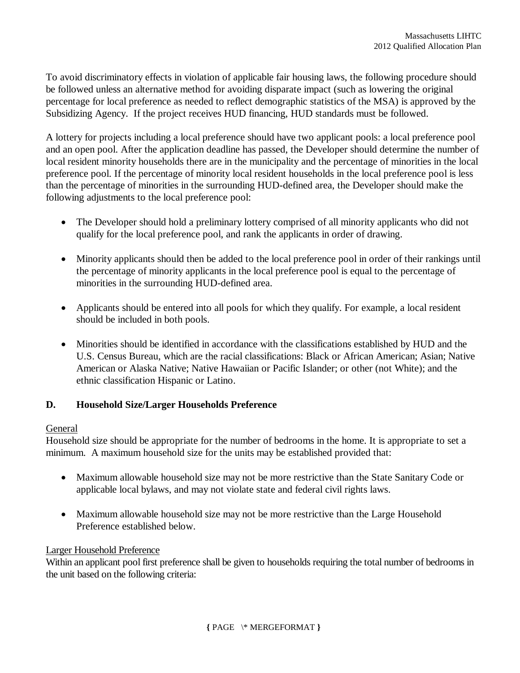To avoid discriminatory effects in violation of applicable fair housing laws, the following procedure should be followed unless an alternative method for avoiding disparate impact (such as lowering the original percentage for local preference as needed to reflect demographic statistics of the MSA) is approved by the Subsidizing Agency. If the project receives HUD financing, HUD standards must be followed.

A lottery for projects including a local preference should have two applicant pools: a local preference pool and an open pool. After the application deadline has passed, the Developer should determine the number of local resident minority households there are in the municipality and the percentage of minorities in the local preference pool. If the percentage of minority local resident households in the local preference pool is less than the percentage of minorities in the surrounding HUD-defined area, the Developer should make the following adjustments to the local preference pool:

- The Developer should hold a preliminary lottery comprised of all minority applicants who did not qualify for the local preference pool, and rank the applicants in order of drawing.
- Minority applicants should then be added to the local preference pool in order of their rankings until the percentage of minority applicants in the local preference pool is equal to the percentage of minorities in the surrounding HUD-defined area.
- Applicants should be entered into all pools for which they qualify. For example, a local resident should be included in both pools.
- Minorities should be identified in accordance with the classifications established by HUD and the U.S. Census Bureau, which are the racial classifications: Black or African American; Asian; Native American or Alaska Native; Native Hawaiian or Pacific Islander; or other (not White); and the ethnic classification Hispanic or Latino.

## **D. Household Size/Larger Households Preference**

### General

Household size should be appropriate for the number of bedrooms in the home. It is appropriate to set a minimum. A maximum household size for the units may be established provided that:

- Maximum allowable household size may not be more restrictive than the State Sanitary Code or applicable local bylaws, and may not violate state and federal civil rights laws.
- Maximum allowable household size may not be more restrictive than the Large Household Preference established below.

### Larger Household Preference

Within an applicant pool first preference shall be given to households requiring the total number of bedrooms in the unit based on the following criteria: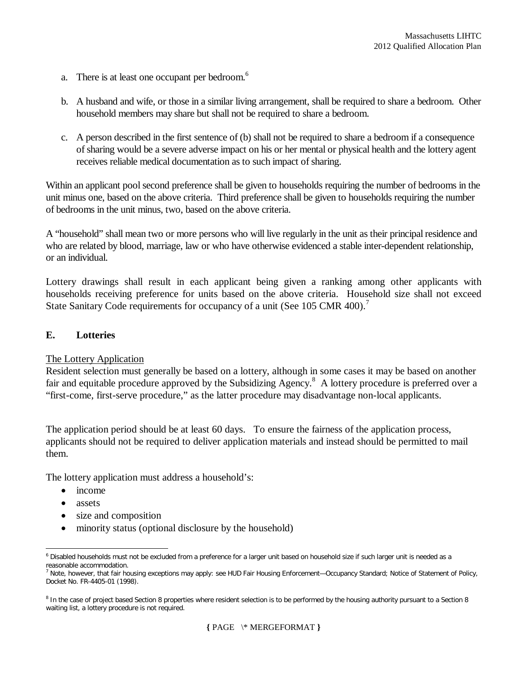- a. There is at least one occupant per bedroom.<sup>6</sup>
- b. A husband and wife, or those in a similar living arrangement, shall be required to share a bedroom. Other household members may share but shall not be required to share a bedroom.
- c. A person described in the first sentence of (b) shall not be required to share a bedroom if a consequence of sharing would be a severe adverse impact on his or her mental or physical health and the lottery agent receives reliable medical documentation as to such impact of sharing.

Within an applicant pool second preference shall be given to households requiring the number of bedrooms in the unit minus one, based on the above criteria. Third preference shall be given to households requiring the number of bedrooms in the unit minus, two, based on the above criteria.

A "household" shall mean two or more persons who will live regularly in the unit as their principal residence and who are related by blood, marriage, law or who have otherwise evidenced a stable inter-dependent relationship, or an individual.

Lottery drawings shall result in each applicant being given a ranking among other applicants with households receiving preference for units based on the above criteria.Household size shall not exceed State Sanitary Code requirements for occupancy of a unit (See 105 CMR 400).<sup>7</sup>

### **E. Lotteries**

### The Lottery Application

Resident selection must generally be based on a lottery, although in some cases it may be based on another fair and equitable procedure approved by the Subsidizing Agency.<sup>8</sup> A lottery procedure is preferred over a "first-come, first-serve procedure," as the latter procedure may disadvantage non-local applicants.

The application period should be at least 60 days. To ensure the fairness of the application process, applicants should not be required to deliver application materials and instead should be permitted to mail them.

The lottery application must address a household's:

- income
- assets
- size and composition
- minority status (optional disclosure by the household)

 $\overline{a}$ <sup>6</sup> Disabled households must not be excluded from a preference for a larger unit based on household size if such larger unit is needed as a reasonable accommodation.

<sup>&</sup>lt;sup>7</sup> Note, however, that fair housing exceptions may apply: see HUD Fair Housing Enforcement—Occupancy Standard; Notice of Statement of Policy, Docket No. FR-4405-01 (1998).

<sup>&</sup>lt;sup>8</sup> In the case of project based Section 8 properties where resident selection is to be performed by the housing authority pursuant to a Section 8 waiting list, a lottery procedure is not required.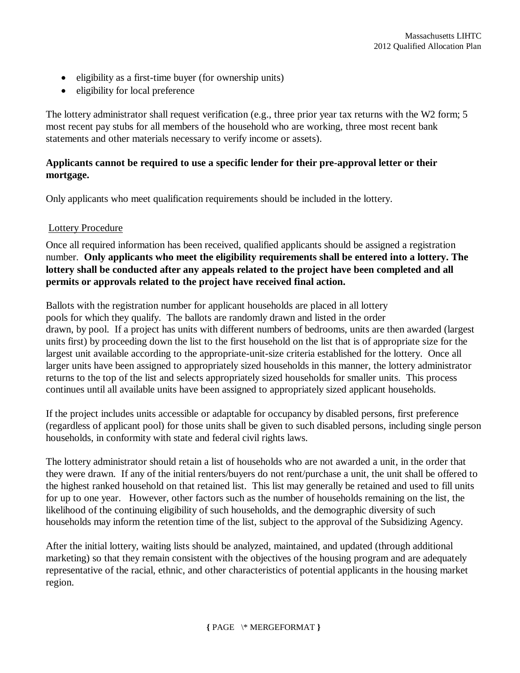- eligibility as a first-time buyer (for ownership units)
- eligibility for local preference

The lottery administrator shall request verification (e.g., three prior year tax returns with the W2 form; 5 most recent pay stubs for all members of the household who are working, three most recent bank statements and other materials necessary to verify income or assets).

## **Applicants cannot be required to use a specific lender for their pre-approval letter or their mortgage.**

Only applicants who meet qualification requirements should be included in the lottery.

### Lottery Procedure

Once all required information has been received, qualified applicants should be assigned a registration number. **Only applicants who meet the eligibility requirements shall be entered into a lottery. The lottery shall be conducted after any appeals related to the project have been completed and all permits or approvals related to the project have received final action.**

Ballots with the registration number for applicant households are placed in all lottery pools for which they qualify. The ballots are randomly drawn and listed in the order drawn, by pool. If a project has units with different numbers of bedrooms, units are then awarded (largest units first) by proceeding down the list to the first household on the list that is of appropriate size for the largest unit available according to the appropriate-unit-size criteria established for the lottery. Once all larger units have been assigned to appropriately sized households in this manner, the lottery administrator returns to the top of the list and selects appropriately sized households for smaller units. This process continues until all available units have been assigned to appropriately sized applicant households.

If the project includes units accessible or adaptable for occupancy by disabled persons, first preference (regardless of applicant pool) for those units shall be given to such disabled persons, including single person households, in conformity with state and federal civil rights laws.

The lottery administrator should retain a list of households who are not awarded a unit, in the order that they were drawn. If any of the initial renters/buyers do not rent/purchase a unit, the unit shall be offered to the highest ranked household on that retained list. This list may generally be retained and used to fill units for up to one year. However, other factors such as the number of households remaining on the list, the likelihood of the continuing eligibility of such households, and the demographic diversity of such households may inform the retention time of the list, subject to the approval of the Subsidizing Agency.

After the initial lottery, waiting lists should be analyzed, maintained, and updated (through additional marketing) so that they remain consistent with the objectives of the housing program and are adequately representative of the racial, ethnic, and other characteristics of potential applicants in the housing market region.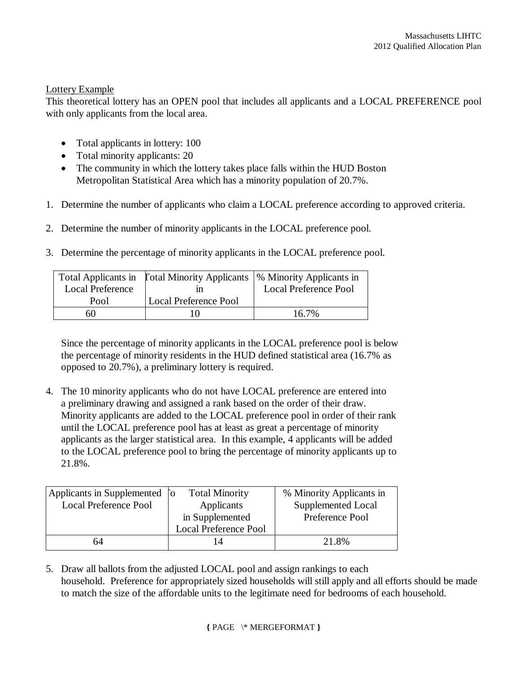### Lottery Example

This theoretical lottery has an OPEN pool that includes all applicants and a LOCAL PREFERENCE pool with only applicants from the local area.

- Total applicants in lottery: 100
- Total minority applicants: 20
- The community in which the lottery takes place falls within the HUD Boston Metropolitan Statistical Area which has a minority population of 20.7%.
- 1. Determine the number of applicants who claim a LOCAL preference according to approved criteria.
- 2. Determine the number of minority applicants in the LOCAL preference pool.
- 3. Determine the percentage of minority applicants in the LOCAL preference pool.

|                         | Total Applicants in Fotal Minority Applicants   % Minority Applicants in |                              |
|-------------------------|--------------------------------------------------------------------------|------------------------------|
| <b>Local Preference</b> |                                                                          | <b>Local Preference Pool</b> |
| Pool                    | <b>Local Preference Pool</b>                                             |                              |
| 60                      |                                                                          | $16.7\%$                     |

Since the percentage of minority applicants in the LOCAL preference pool is below the percentage of minority residents in the HUD defined statistical area (16.7% as opposed to 20.7%), a preliminary lottery is required.

4. The 10 minority applicants who do not have LOCAL preference are entered into a preliminary drawing and assigned a rank based on the order of their draw. Minority applicants are added to the LOCAL preference pool in order of their rank until the LOCAL preference pool has at least as great a percentage of minority applicants as the larger statistical area. In this example, 4 applicants will be added to the LOCAL preference pool to bring the percentage of minority applicants up to 21.8%.

| Applicants in Supplemented [o | <b>Total Minority</b>        | % Minority Applicants in |
|-------------------------------|------------------------------|--------------------------|
| <b>Local Preference Pool</b>  | Applicants                   | Supplemented Local       |
|                               | in Supplemented              | Preference Pool          |
|                               | <b>Local Preference Pool</b> |                          |
| 64                            |                              | 21.8%                    |

5. Draw all ballots from the adjusted LOCAL pool and assign rankings to each household. Preference for appropriately sized households will still apply and all efforts should be made to match the size of the affordable units to the legitimate need for bedrooms of each household.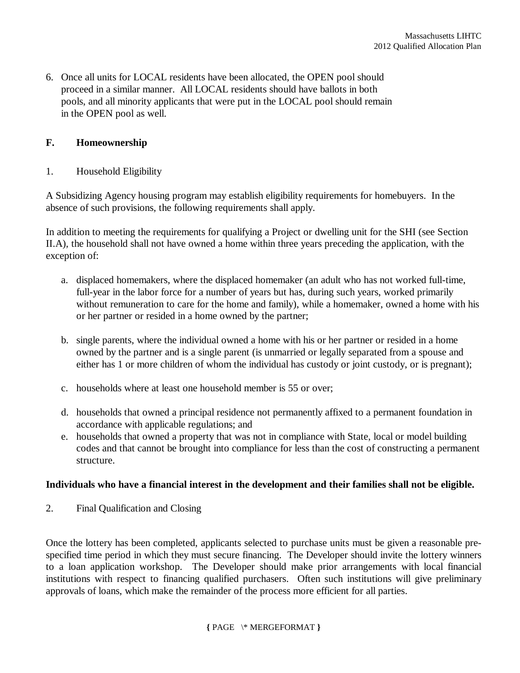6. Once all units for LOCAL residents have been allocated, the OPEN pool should proceed in a similar manner. All LOCAL residents should have ballots in both pools, and all minority applicants that were put in the LOCAL pool should remain in the OPEN pool as well.

### **F. Homeownership**

### 1. Household Eligibility

A Subsidizing Agency housing program may establish eligibility requirements for homebuyers. In the absence of such provisions, the following requirements shall apply.

In addition to meeting the requirements for qualifying a Project or dwelling unit for the SHI (see Section II.A), the household shall not have owned a home within three years preceding the application, with the exception of:

- a. displaced homemakers, where the displaced homemaker (an adult who has not worked full-time, full-year in the labor force for a number of years but has, during such years, worked primarily without remuneration to care for the home and family), while a homemaker, owned a home with his or her partner or resided in a home owned by the partner;
- b. single parents, where the individual owned a home with his or her partner or resided in a home owned by the partner and is a single parent (is unmarried or legally separated from a spouse and either has 1 or more children of whom the individual has custody or joint custody, or is pregnant);
- c. households where at least one household member is 55 or over;
- d. households that owned a principal residence not permanently affixed to a permanent foundation in accordance with applicable regulations; and
- e. households that owned a property that was not in compliance with State, local or model building codes and that cannot be brought into compliance for less than the cost of constructing a permanent structure.

### **Individuals who have a financial interest in the development and their families shall not be eligible.**

2. Final Qualification and Closing

Once the lottery has been completed, applicants selected to purchase units must be given a reasonable prespecified time period in which they must secure financing. The Developer should invite the lottery winners to a loan application workshop. The Developer should make prior arrangements with local financial institutions with respect to financing qualified purchasers. Often such institutions will give preliminary approvals of loans, which make the remainder of the process more efficient for all parties.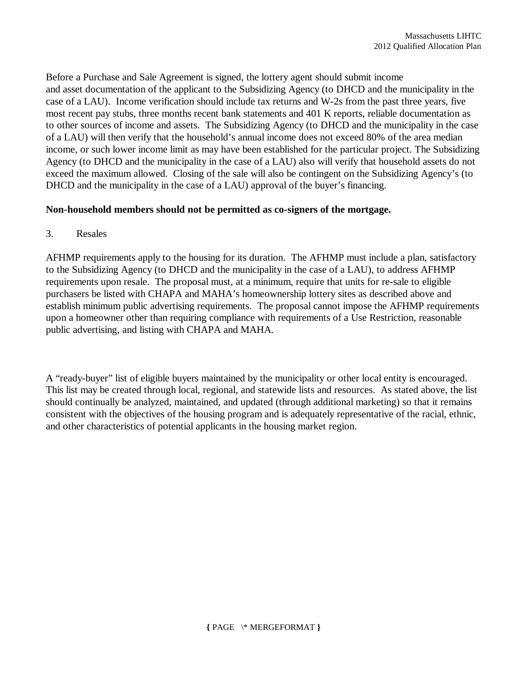Before a Purchase and Sale Agreement is signed, the lottery agent should submit income and asset documentation of the applicant to the Subsidizing Agency (to DHCD and the municipality in the case of a LAU). Income verification should include tax returns and W-2s from the past three years, five most recent pay stubs, three months recent bank statements and 401 K reports, reliable documentation as to other sources of income and assets. The Subsidizing Agency (to DHCD and the municipality in the case of a LAU) will then verify that the household's annual income does not exceed 80% of the area median income, or such lower income limit as may have been established for the particular project. The Subsidizing Agency (to DHCD and the municipality in the case of a LAU) also will verify that household assets do not exceed the maximum allowed. Closing of the sale will also be contingent on the Subsidizing Agency's (to DHCD and the municipality in the case of a LAU) approval of the buyer's financing.

## **Non-household members should not be permitted as co-signers of the mortgage.**

3. Resales

AFHMP requirements apply to the housing for its duration. The AFHMP must include a plan, satisfactory to the Subsidizing Agency (to DHCD and the municipality in the case of a LAU), to address AFHMP requirements upon resale. The proposal must, at a minimum, require that units for re-sale to eligible purchasers be listed with CHAPA and MAHA's homeownership lottery sites as described above and establish minimum public advertising requirements. The proposal cannot impose the AFHMP requirements upon a homeowner other than requiring compliance with requirements of a Use Restriction, reasonable public advertising, and listing with CHAPA and MAHA.

A "ready-buyer" list of eligible buyers maintained by the municipality or other local entity is encouraged. This list may be created through local, regional, and statewide lists and resources. As stated above, the list should continually be analyzed, maintained, and updated (through additional marketing) so that it remains consistent with the objectives of the housing program and is adequately representative of the racial, ethnic, and other characteristics of potential applicants in the housing market region.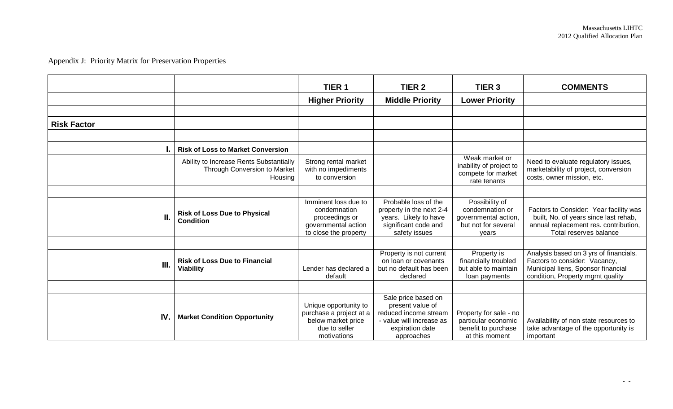# Appendix J: Priority Matrix for Preservation Properties

|                    |                                                                                    | TIER <sub>1</sub>                                                                                      | TIER <sub>2</sub>                                                                                                             | TIER <sub>3</sub>                                                                         | <b>COMMENTS</b>                                                                                                                                    |
|--------------------|------------------------------------------------------------------------------------|--------------------------------------------------------------------------------------------------------|-------------------------------------------------------------------------------------------------------------------------------|-------------------------------------------------------------------------------------------|----------------------------------------------------------------------------------------------------------------------------------------------------|
|                    |                                                                                    | <b>Higher Priority</b>                                                                                 | <b>Middle Priority</b>                                                                                                        | <b>Lower Priority</b>                                                                     |                                                                                                                                                    |
|                    |                                                                                    |                                                                                                        |                                                                                                                               |                                                                                           |                                                                                                                                                    |
| <b>Risk Factor</b> |                                                                                    |                                                                                                        |                                                                                                                               |                                                                                           |                                                                                                                                                    |
|                    |                                                                                    |                                                                                                        |                                                                                                                               |                                                                                           |                                                                                                                                                    |
|                    | <b>Risk of Loss to Market Conversion</b>                                           |                                                                                                        |                                                                                                                               |                                                                                           |                                                                                                                                                    |
|                    | Ability to Increase Rents Substantially<br>Through Conversion to Market<br>Housing | Strong rental market<br>with no impediments<br>to conversion                                           |                                                                                                                               | Weak market or<br>inability of project to<br>compete for market<br>rate tenants           | Need to evaluate regulatory issues,<br>marketability of project, conversion<br>costs, owner mission, etc.                                          |
|                    |                                                                                    |                                                                                                        |                                                                                                                               |                                                                                           |                                                                                                                                                    |
| II.                | <b>Risk of Loss Due to Physical</b><br><b>Condition</b>                            | Imminent loss due to<br>condemnation<br>proceedings or<br>governmental action<br>to close the property | Probable loss of the<br>property in the next 2-4<br>years. Likely to have<br>significant code and<br>safety issues            | Possibility of<br>condemnation or<br>governmental action,<br>but not for several<br>vears | Factors to Consider: Year facility was<br>built, No. of years since last rehab,<br>annual replacement res. contribution,<br>Total reserves balance |
|                    |                                                                                    |                                                                                                        |                                                                                                                               |                                                                                           |                                                                                                                                                    |
| III.               | <b>Risk of Loss Due to Financial</b><br><b>Viability</b>                           | Lender has declared a<br>default                                                                       | Property is not current<br>on loan or covenants<br>but no default has been<br>declared                                        | Property is<br>financially troubled<br>but able to maintain<br>loan payments              | Analysis based on 3 yrs of financials.<br>Factors to consider: Vacancy,<br>Municipal liens, Sponsor financial<br>condition, Property mgmt quality  |
|                    |                                                                                    |                                                                                                        |                                                                                                                               |                                                                                           |                                                                                                                                                    |
| <b>IV</b>          | <b>Market Condition Opportunity</b>                                                | Unique opportunity to<br>purchase a project at a<br>below market price<br>due to seller<br>motivations | Sale price based on<br>present value of<br>reduced income stream<br>- value will increase as<br>expiration date<br>approaches | Property for sale - no<br>particular economic<br>benefit to purchase<br>at this moment    | Availability of non state resources to<br>take advantage of the opportunity is<br>important                                                        |